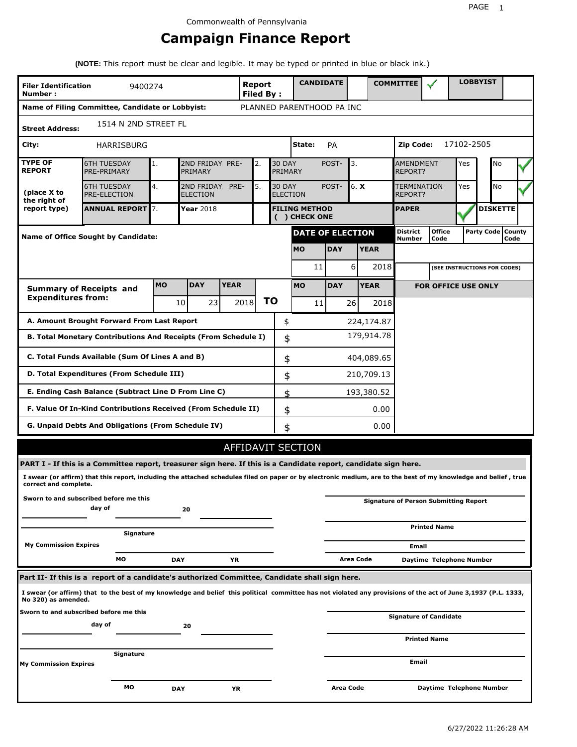# **Campaign Finance Report**

**(NOTE:** This report must be clear and legible. It may be typed or printed in blue or black ink.)

| <b>Filer Identification</b><br>Number: | 9400274                                                                                                                                                         |            |                               |             | <b>Report</b><br><b>Filed By:</b> |                          | <b>CANDIDATE</b>                     |                  |           |             | <b>COMMITTEE</b>                   |                                              |            | <b>LOBBYIST</b>     |      |  |
|----------------------------------------|-----------------------------------------------------------------------------------------------------------------------------------------------------------------|------------|-------------------------------|-------------|-----------------------------------|--------------------------|--------------------------------------|------------------|-----------|-------------|------------------------------------|----------------------------------------------|------------|---------------------|------|--|
|                                        | Name of Filing Committee, Candidate or Lobbyist:                                                                                                                |            |                               |             |                                   |                          | PLANNED PARENTHOOD PA INC            |                  |           |             |                                    |                                              |            |                     |      |  |
| <b>Street Address:</b>                 | 1514 N 2ND STREET FL                                                                                                                                            |            |                               |             |                                   |                          |                                      |                  |           |             |                                    |                                              |            |                     |      |  |
| City:                                  | HARRISBURG                                                                                                                                                      |            |                               |             |                                   |                          | State:                               | <b>PA</b>        |           |             | Zip Code:                          |                                              | 17102-2505 |                     |      |  |
| <b>TYPE OF</b><br><b>REPORT</b>        | <b>6TH TUESDAY</b><br>PRE-PRIMARY                                                                                                                               | 1.         | 2ND FRIDAY PRE-<br>PRIMARY    |             | 2.                                | <b>30 DAY</b><br>PRIMARY |                                      | POST-            | 3.        |             | <b>AMENDMENT</b><br><b>REPORT?</b> |                                              | Yes        | No                  |      |  |
| (place X to<br>the right of            | <b>6TH TUESDAY</b><br><b>PRE-ELECTION</b>                                                                                                                       | 4.         | 2ND FRIDAY<br><b>ELECTION</b> | PRE-        | 5.                                | <b>30 DAY</b>            | <b>ELECTION</b>                      | POST-            | 6. $X$    |             | TERMINATION<br>REPORT?             |                                              | Yes        | No                  |      |  |
| report type)                           | <b>ANNUAL REPORT</b> 7.                                                                                                                                         |            | Year 2018                     |             |                                   |                          | <b>FILING METHOD</b><br>() CHECK ONE |                  |           |             | <b>PAPER</b>                       |                                              |            | <b>DISKETTE</b>     |      |  |
|                                        | Name of Office Sought by Candidate:                                                                                                                             |            |                               |             |                                   |                          | <b>DATE OF ELECTION</b>              |                  |           |             | <b>District</b><br><b>Number</b>   | <b>Office</b><br>Code                        |            | Party Code   County | Code |  |
|                                        |                                                                                                                                                                 |            |                               |             |                                   |                          | <b>MO</b>                            | <b>DAY</b>       |           | <b>YEAR</b> |                                    |                                              |            |                     |      |  |
|                                        |                                                                                                                                                                 |            |                               |             |                                   |                          | 11                                   |                  | 6         | 2018        |                                    | (SEE INSTRUCTIONS FOR CODES)                 |            |                     |      |  |
|                                        | <b>Summary of Receipts and</b>                                                                                                                                  | <b>MO</b>  | <b>DAY</b>                    | <b>YEAR</b> |                                   |                          | <b>MO</b>                            | <b>DAY</b>       |           | <b>YEAR</b> |                                    | <b>FOR OFFICE USE ONLY</b>                   |            |                     |      |  |
| <b>Expenditures from:</b>              |                                                                                                                                                                 |            | 10<br>23                      |             | 2018                              | ΤO                       | 11                                   |                  | 261       | 2018        |                                    |                                              |            |                     |      |  |
|                                        | A. Amount Brought Forward From Last Report                                                                                                                      |            |                               |             |                                   | \$                       |                                      |                  |           | 224,174.87  |                                    |                                              |            |                     |      |  |
|                                        | B. Total Monetary Contributions And Receipts (From Schedule I)                                                                                                  |            |                               |             |                                   | \$                       |                                      |                  |           | 179,914.78  |                                    |                                              |            |                     |      |  |
|                                        | C. Total Funds Available (Sum Of Lines A and B)                                                                                                                 |            |                               |             |                                   | \$                       |                                      |                  |           | 404,089.65  |                                    |                                              |            |                     |      |  |
|                                        | D. Total Expenditures (From Schedule III)                                                                                                                       |            |                               |             |                                   | \$                       |                                      |                  |           | 210,709.13  |                                    |                                              |            |                     |      |  |
|                                        | E. Ending Cash Balance (Subtract Line D From Line C)                                                                                                            |            |                               |             |                                   | \$                       |                                      |                  |           | 193,380.52  |                                    |                                              |            |                     |      |  |
|                                        | F. Value Of In-Kind Contributions Received (From Schedule II)                                                                                                   |            |                               |             |                                   | \$                       |                                      |                  |           | 0.00        |                                    |                                              |            |                     |      |  |
|                                        | <b>G. Unpaid Debts And Obligations (From Schedule IV)</b>                                                                                                       |            |                               |             |                                   | \$                       |                                      |                  |           | 0.00        |                                    |                                              |            |                     |      |  |
|                                        |                                                                                                                                                                 |            |                               |             |                                   |                          | AFFIDAVIT SECTION                    |                  |           |             |                                    |                                              |            |                     |      |  |
|                                        | PART I - If this is a Committee report, treasurer sign here. If this is a Candidate report, candidate sign here.                                                |            |                               |             |                                   |                          |                                      |                  |           |             |                                    |                                              |            |                     |      |  |
| correct and complete.                  | I swear (or affirm) that this report, including the attached schedules filed on paper or by electronic medium, are to the best of my knowledge and belief, true |            |                               |             |                                   |                          |                                      |                  |           |             |                                    |                                              |            |                     |      |  |
|                                        | Sworn to and subscribed before me this<br>day of                                                                                                                |            | 20                            |             |                                   |                          |                                      |                  |           |             |                                    | <b>Signature of Person Submitting Report</b> |            |                     |      |  |
|                                        | Signature                                                                                                                                                       |            |                               |             |                                   |                          |                                      |                  |           |             |                                    | <b>Printed Name</b>                          |            |                     |      |  |
| <b>My Commission Expires</b>           |                                                                                                                                                                 |            |                               |             |                                   |                          |                                      |                  |           |             | Email                              |                                              |            |                     |      |  |
|                                        | МO                                                                                                                                                              | <b>DAY</b> |                               | YR          |                                   |                          |                                      |                  | Area Code |             |                                    | Daytime Telephone Number                     |            |                     |      |  |
|                                        | Part II- If this is a report of a candidate's authorized Committee, Candidate shall sign here.                                                                  |            |                               |             |                                   |                          |                                      |                  |           |             |                                    |                                              |            |                     |      |  |
| No 320) as amended.                    | I swear (or affirm) that to the best of my knowledge and belief this political committee has not violated any provisions of the act of June 3,1937 (P.L. 1333,  |            |                               |             |                                   |                          |                                      |                  |           |             |                                    |                                              |            |                     |      |  |
|                                        | Sworn to and subscribed before me this<br>day of                                                                                                                |            | 20                            |             |                                   |                          |                                      |                  |           |             |                                    | <b>Signature of Candidate</b>                |            |                     |      |  |
|                                        |                                                                                                                                                                 |            |                               |             |                                   |                          |                                      |                  |           |             |                                    | <b>Printed Name</b>                          |            |                     |      |  |
| My Commission Expires                  | Signature                                                                                                                                                       |            |                               |             |                                   |                          |                                      |                  |           |             | Email                              |                                              |            |                     |      |  |
|                                        | МO                                                                                                                                                              | <b>DAY</b> |                               | ΥR          |                                   |                          |                                      | <b>Area Code</b> |           |             |                                    | Daytime Telephone Number                     |            |                     |      |  |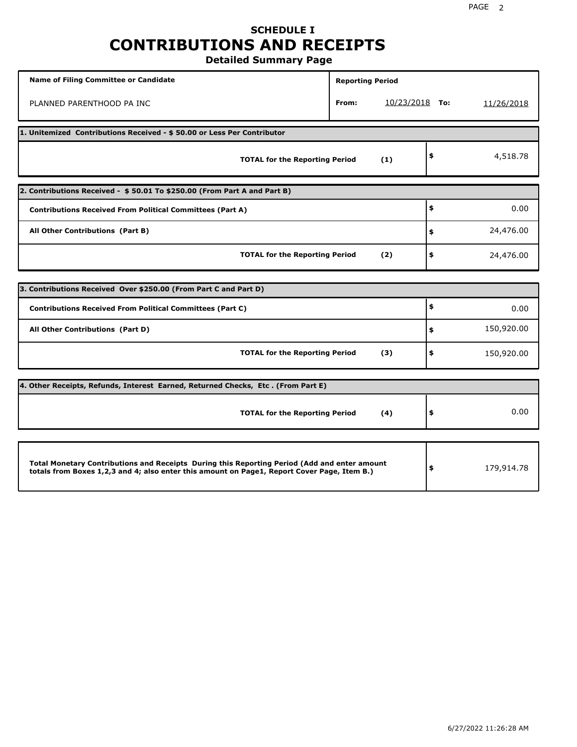# **SCHEDULE I CONTRIBUTIONS AND RECEIPTS**

**Detailed Summary Page**

| <b>Name of Filing Committee or Candidate</b>                                                                                                                                                | <b>Reporting Period</b> |                |                  |
|---------------------------------------------------------------------------------------------------------------------------------------------------------------------------------------------|-------------------------|----------------|------------------|
| PLANNED PARENTHOOD PA INC                                                                                                                                                                   | From:                   | 10/23/2018 То: | 11/26/2018       |
| 1. Unitemized Contributions Received - \$50.00 or Less Per Contributor                                                                                                                      |                         |                |                  |
| <b>TOTAL for the Reporting Period</b>                                                                                                                                                       |                         | (1)            | \$<br>4,518.78   |
| 2. Contributions Received - \$50.01 To \$250.00 (From Part A and Part B)                                                                                                                    |                         |                |                  |
| <b>Contributions Received From Political Committees (Part A)</b>                                                                                                                            |                         |                | \$<br>0.00       |
| All Other Contributions (Part B)                                                                                                                                                            |                         |                | \$<br>24,476.00  |
| <b>TOTAL for the Reporting Period</b>                                                                                                                                                       |                         | (2)            | \$<br>24,476.00  |
| 3. Contributions Received Over \$250.00 (From Part C and Part D)                                                                                                                            |                         |                |                  |
|                                                                                                                                                                                             |                         |                | \$               |
| <b>Contributions Received From Political Committees (Part C)</b>                                                                                                                            |                         |                | 0.00             |
| All Other Contributions (Part D)                                                                                                                                                            |                         |                | \$<br>150,920.00 |
| <b>TOTAL for the Reporting Period</b>                                                                                                                                                       |                         | (3)            | \$<br>150,920.00 |
| 4. Other Receipts, Refunds, Interest Earned, Returned Checks, Etc. (From Part E)                                                                                                            |                         |                |                  |
| <b>TOTAL for the Reporting Period</b>                                                                                                                                                       |                         | (4)            | \$<br>0.00       |
|                                                                                                                                                                                             |                         |                |                  |
| Total Monetary Contributions and Receipts During this Reporting Period (Add and enter amount<br>totals from Boxes 1,2,3 and 4; also enter this amount on Page1, Report Cover Page, Item B.) |                         |                | \$<br>179,914.78 |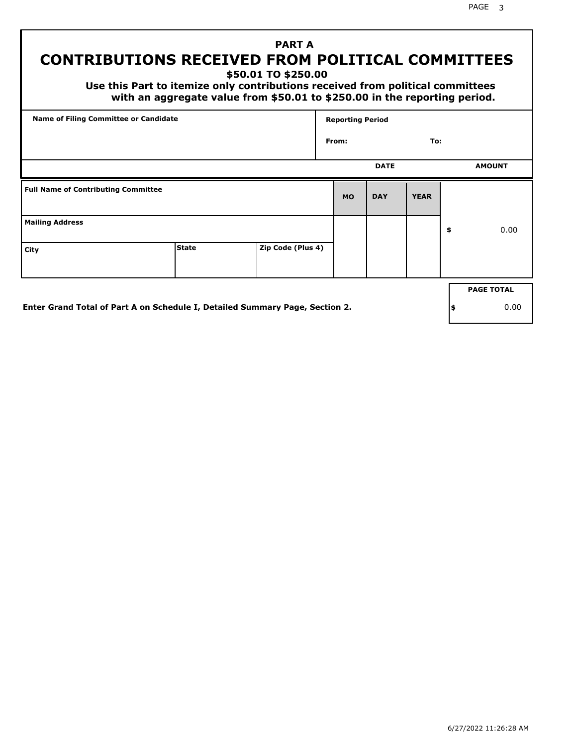PAGE 3

# **PART A CONTRIBUTIONS RECEIVED FROM POLITICAL COMMITTEES**

**\$50.01 TO \$250.00**

 **Use this Part to itemize only contributions received from political committees with an aggregate value from \$50.01 to \$250.00 in the reporting period.**

| Name of Filing Committee or Candidate      |              |                   | <b>Reporting Period</b> |             |             |                   |
|--------------------------------------------|--------------|-------------------|-------------------------|-------------|-------------|-------------------|
|                                            |              |                   | From:                   |             | To:         |                   |
|                                            |              |                   |                         | <b>DATE</b> |             | <b>AMOUNT</b>     |
| <b>Full Name of Contributing Committee</b> |              |                   | <b>MO</b>               | <b>DAY</b>  | <b>YEAR</b> |                   |
| <b>Mailing Address</b>                     |              |                   |                         |             |             | \$<br>0.00        |
| City                                       | <b>State</b> | Zip Code (Plus 4) |                         |             |             |                   |
|                                            |              |                   |                         |             |             | <b>PAGE TOTAL</b> |
|                                            |              |                   |                         |             |             |                   |

**Enter Grand Total of Part A on Schedule I, Detailed Summary Page, Section 2.**

**\$** 0.00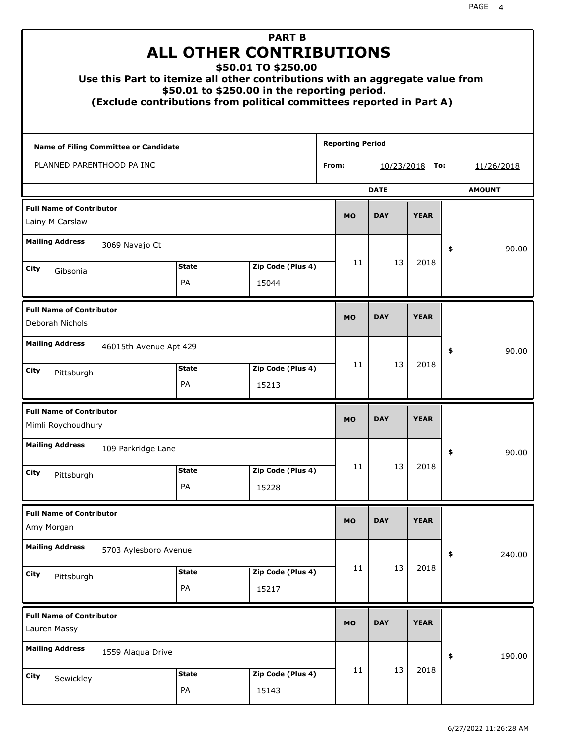| Use this Part to itemize all other contributions with an aggregate value from |                    | <b>PART B</b><br><b>ALL OTHER CONTRIBUTIONS</b><br>\$50.01 TO \$250.00<br>\$50.01 to \$250.00 in the reporting period.<br>(Exclude contributions from political committees reported in Part A) |                         |                   |             |               |
|-------------------------------------------------------------------------------|--------------------|------------------------------------------------------------------------------------------------------------------------------------------------------------------------------------------------|-------------------------|-------------------|-------------|---------------|
| <b>Name of Filing Committee or Candidate</b>                                  |                    |                                                                                                                                                                                                | <b>Reporting Period</b> |                   |             |               |
| PLANNED PARENTHOOD PA INC                                                     |                    |                                                                                                                                                                                                | From:                   | <u>10/23/2018</u> | To:         | 11/26/2018    |
|                                                                               |                    |                                                                                                                                                                                                |                         | <b>DATE</b>       |             | <b>AMOUNT</b> |
| <b>Full Name of Contributor</b><br>Lainy M Carslaw                            |                    |                                                                                                                                                                                                | <b>MO</b>               | <b>DAY</b>        | <b>YEAR</b> |               |
| <b>Mailing Address</b><br>3069 Navajo Ct                                      |                    |                                                                                                                                                                                                |                         |                   |             | \$<br>90.00   |
| City<br>Gibsonia                                                              | <b>State</b>       | Zip Code (Plus 4)                                                                                                                                                                              | 11                      | 13                | 2018        |               |
|                                                                               | PA                 | 15044                                                                                                                                                                                          |                         |                   |             |               |
| <b>Full Name of Contributor</b><br>Deborah Nichols                            |                    |                                                                                                                                                                                                | <b>MO</b>               | <b>DAY</b>        | <b>YEAR</b> |               |
| <b>Mailing Address</b><br>46015th Avenue Apt 429                              |                    |                                                                                                                                                                                                |                         |                   |             | \$<br>90.00   |
| City<br>Pittsburgh                                                            | <b>State</b><br>PA | Zip Code (Plus 4)<br>15213                                                                                                                                                                     | 11                      | 13                | 2018        |               |
| <b>Full Name of Contributor</b><br>Mimli Roychoudhury                         |                    |                                                                                                                                                                                                | <b>MO</b>               | <b>DAY</b>        | <b>YEAR</b> |               |
| <b>Mailing Address</b><br>109 Parkridge Lane                                  |                    |                                                                                                                                                                                                |                         |                   |             | 90.00<br>≯    |
| <b>City</b><br>Pittsburgh                                                     | <b>State</b>       | Zip Code (Plus 4)                                                                                                                                                                              | 11                      | 13                | 2018        |               |
|                                                                               | PA                 | 15228                                                                                                                                                                                          |                         |                   |             |               |
| <b>Full Name of Contributor</b><br>Amy Morgan                                 |                    |                                                                                                                                                                                                | <b>MO</b>               | <b>DAY</b>        | <b>YEAR</b> |               |
| <b>Mailing Address</b><br>5703 Aylesboro Avenue                               |                    |                                                                                                                                                                                                |                         |                   |             | \$<br>240.00  |
| <b>City</b><br>Pittsburgh                                                     | <b>State</b><br>PA | Zip Code (Plus 4)<br>15217                                                                                                                                                                     | 11                      | 13                | 2018        |               |
| <b>Full Name of Contributor</b><br>Lauren Massy                               |                    |                                                                                                                                                                                                | <b>MO</b>               | <b>DAY</b>        | <b>YEAR</b> |               |
| <b>Mailing Address</b><br>1559 Alaqua Drive                                   |                    |                                                                                                                                                                                                |                         |                   |             | \$<br>190.00  |
| City<br>Sewickley                                                             | <b>State</b><br>PA | Zip Code (Plus 4)<br>15143                                                                                                                                                                     | 11                      | 13                | 2018        |               |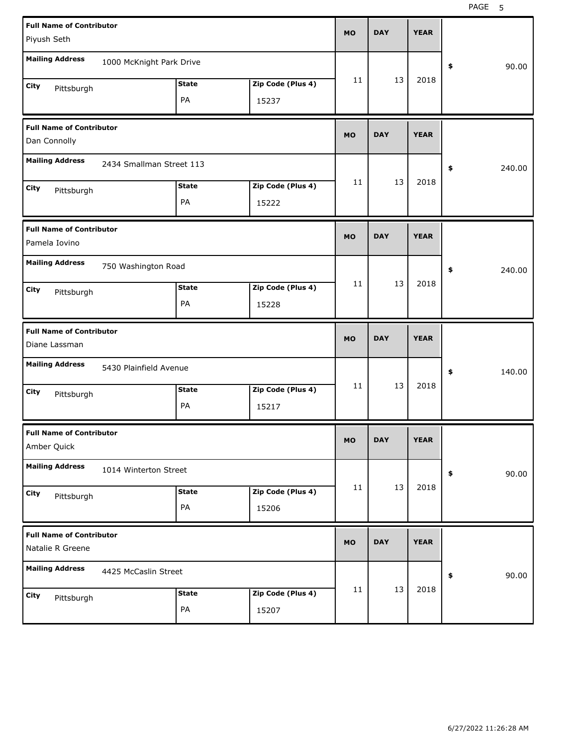| <b>Full Name of Contributor</b><br>Piyush Seth      |                          |                    |                            | <b>MO</b> | <b>DAY</b> | <b>YEAR</b> |              |
|-----------------------------------------------------|--------------------------|--------------------|----------------------------|-----------|------------|-------------|--------------|
| <b>Mailing Address</b>                              | 1000 McKnight Park Drive |                    |                            |           |            |             | 90.00<br>\$  |
| City<br>Pittsburgh                                  |                          | <b>State</b><br>PA | Zip Code (Plus 4)<br>15237 | 11        | 13         | 2018        |              |
| <b>Full Name of Contributor</b><br>Dan Connolly     |                          |                    |                            | <b>MO</b> | <b>DAY</b> | <b>YEAR</b> |              |
| <b>Mailing Address</b>                              | 2434 Smallman Street 113 |                    |                            |           |            |             | \$<br>240.00 |
| City<br>Pittsburgh                                  |                          | <b>State</b><br>PA | Zip Code (Plus 4)<br>15222 | 11        | 13         | 2018        |              |
| <b>Full Name of Contributor</b><br>Pamela Iovino    |                          |                    |                            | <b>MO</b> | <b>DAY</b> | <b>YEAR</b> |              |
| <b>Mailing Address</b>                              | 750 Washington Road      |                    |                            |           |            |             | 240.00<br>\$ |
| City<br>Pittsburgh                                  |                          | <b>State</b><br>PA | Zip Code (Plus 4)<br>15228 | 11        | 13         | 2018        |              |
|                                                     |                          |                    |                            |           |            |             |              |
| <b>Full Name of Contributor</b><br>Diane Lassman    |                          |                    |                            | <b>MO</b> | <b>DAY</b> | <b>YEAR</b> |              |
| <b>Mailing Address</b>                              | 5430 Plainfield Avenue   |                    |                            |           |            |             | 140.00<br>\$ |
| City<br>Pittsburgh                                  |                          | <b>State</b><br>PA | Zip Code (Plus 4)<br>15217 | 11        | 13         | 2018        |              |
| <b>Full Name of Contributor</b><br>Amber Quick      |                          |                    |                            | <b>MO</b> | <b>DAY</b> | <b>YEAR</b> |              |
| <b>Mailing Address</b>                              | 1014 Winterton Street    |                    |                            |           |            |             | 90.00<br>\$  |
| City<br>Pittsburgh                                  |                          | <b>State</b><br>PA | Zip Code (Plus 4)<br>15206 | 11        | 13         | 2018        |              |
| <b>Full Name of Contributor</b><br>Natalie R Greene |                          |                    |                            | <b>MO</b> | <b>DAY</b> | <b>YEAR</b> |              |
| <b>Mailing Address</b>                              | 4425 McCaslin Street     |                    |                            | 11        | 13         | 2018        | 90.00<br>\$  |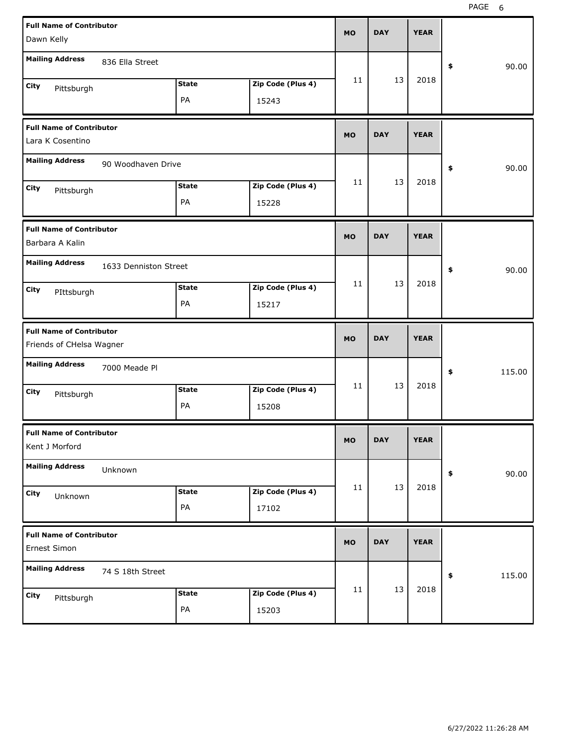| <b>Full Name of Contributor</b><br>Dawn Kelly       |                       |              |                   | <b>MO</b> | <b>DAY</b> | <b>YEAR</b> |              |
|-----------------------------------------------------|-----------------------|--------------|-------------------|-----------|------------|-------------|--------------|
|                                                     |                       |              |                   |           |            |             |              |
| <b>Mailing Address</b>                              | 836 Ella Street       |              |                   |           |            |             | \$<br>90.00  |
| City<br>Pittsburgh                                  |                       | <b>State</b> | Zip Code (Plus 4) | 11        | 13         | 2018        |              |
|                                                     |                       | PA           | 15243             |           |            |             |              |
| <b>Full Name of Contributor</b><br>Lara K Cosentino |                       |              |                   | <b>MO</b> | <b>DAY</b> | <b>YEAR</b> |              |
|                                                     |                       |              |                   |           |            |             |              |
| <b>Mailing Address</b>                              | 90 Woodhaven Drive    |              |                   |           |            |             | \$<br>90.00  |
| City<br>Pittsburgh                                  |                       | <b>State</b> | Zip Code (Plus 4) | 11        | 13         | 2018        |              |
|                                                     |                       | PA           | 15228             |           |            |             |              |
| <b>Full Name of Contributor</b>                     |                       |              |                   | <b>MO</b> | <b>DAY</b> | <b>YEAR</b> |              |
| Barbara A Kalin                                     |                       |              |                   |           |            |             |              |
| <b>Mailing Address</b>                              | 1633 Denniston Street |              |                   |           |            |             | \$<br>90.00  |
| City<br>PIttsburgh                                  |                       | <b>State</b> | Zip Code (Plus 4) | 11        | 13         | 2018        |              |
|                                                     |                       | PA           | 15217             |           |            |             |              |
|                                                     |                       |              |                   |           |            |             |              |
| <b>Full Name of Contributor</b>                     |                       |              |                   | <b>MO</b> | <b>DAY</b> | <b>YEAR</b> |              |
| Friends of CHelsa Wagner                            |                       |              |                   |           |            |             |              |
| <b>Mailing Address</b>                              | 7000 Meade Pl         |              |                   |           |            |             | \$<br>115.00 |
| City                                                |                       | <b>State</b> | Zip Code (Plus 4) | 11        | 13         | 2018        |              |
| Pittsburgh                                          |                       | PA           | 15208             |           |            |             |              |
| <b>Full Name of Contributor</b><br>Kent J Morford   |                       |              |                   | MO        | <b>DAY</b> | <b>YEAR</b> |              |
| <b>Mailing Address</b>                              | Unknown               |              |                   |           |            |             | \$<br>90.00  |
| City                                                |                       | <b>State</b> | Zip Code (Plus 4) | 11        | 13         | 2018        |              |
| Unknown                                             |                       | PA           | 17102             |           |            |             |              |
| <b>Full Name of Contributor</b><br>Ernest Simon     |                       |              |                   | <b>MO</b> | <b>DAY</b> | <b>YEAR</b> |              |
| <b>Mailing Address</b>                              | 74 S 18th Street      |              |                   |           |            |             | \$<br>115.00 |
| City<br>Pittsburgh                                  |                       | <b>State</b> | Zip Code (Plus 4) | 11        | 13         | 2018        |              |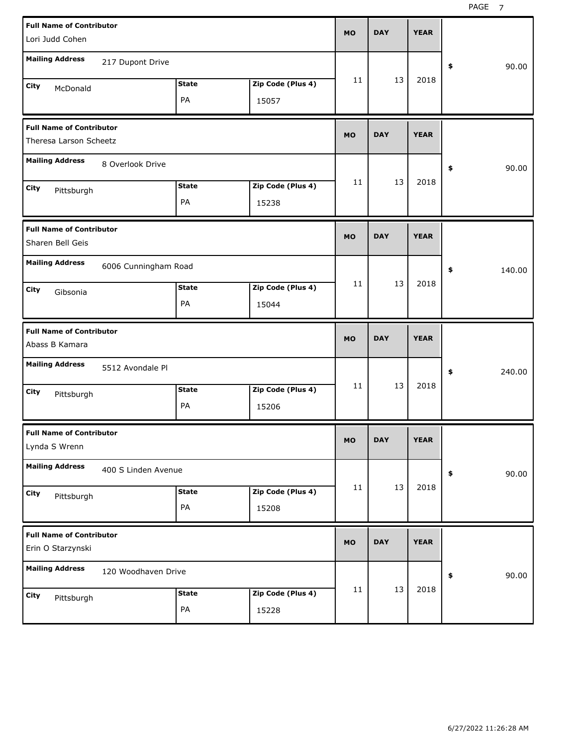| <b>Full Name of Contributor</b><br>Lori Judd Cohen        |                      |                    |                            | <b>MO</b> | <b>DAY</b> | <b>YEAR</b> |              |
|-----------------------------------------------------------|----------------------|--------------------|----------------------------|-----------|------------|-------------|--------------|
| <b>Mailing Address</b>                                    | 217 Dupont Drive     |                    |                            |           |            |             | 90.00<br>\$  |
| City<br>McDonald                                          |                      | <b>State</b><br>PA | Zip Code (Plus 4)<br>15057 | 11        | 13         | 2018        |              |
| <b>Full Name of Contributor</b><br>Theresa Larson Scheetz |                      |                    |                            | <b>MO</b> | <b>DAY</b> | <b>YEAR</b> |              |
| <b>Mailing Address</b>                                    | 8 Overlook Drive     |                    |                            |           |            |             | \$<br>90.00  |
| City<br>Pittsburgh                                        |                      | <b>State</b><br>PA | Zip Code (Plus 4)<br>15238 | 11        | 13         | 2018        |              |
| <b>Full Name of Contributor</b><br>Sharen Bell Geis       |                      |                    |                            | <b>MO</b> | <b>DAY</b> | <b>YEAR</b> |              |
| <b>Mailing Address</b><br>City<br>Gibsonia                | 6006 Cunningham Road | <b>State</b><br>PA | Zip Code (Plus 4)<br>15044 | 11        | 13         | 2018        | \$<br>140.00 |
|                                                           |                      |                    |                            |           |            |             |              |
| <b>Full Name of Contributor</b><br>Abass B Kamara         |                      |                    |                            | <b>MO</b> | <b>DAY</b> | <b>YEAR</b> |              |
| <b>Mailing Address</b>                                    | 5512 Avondale Pl     |                    |                            |           |            |             | \$<br>240.00 |
| City<br>Pittsburgh                                        |                      | <b>State</b><br>PA | Zip Code (Plus 4)<br>15206 | 11        | 13         | 2018        |              |
| <b>Full Name of Contributor</b><br>Lynda S Wrenn          |                      |                    |                            | MO        | <b>DAY</b> | <b>YEAR</b> |              |
| <b>Mailing Address</b>                                    | 400 S Linden Avenue  |                    |                            |           |            |             | 90.00<br>\$  |
| City<br>Pittsburgh                                        |                      | <b>State</b><br>PA | Zip Code (Plus 4)<br>15208 | 11        | 13         | 2018        |              |
| <b>Full Name of Contributor</b><br>Erin O Starzynski      |                      |                    |                            | <b>MO</b> | <b>DAY</b> | <b>YEAR</b> |              |
| <b>Mailing Address</b>                                    | 120 Woodhaven Drive  |                    |                            | 11        | 13         | 2018        | 90.00<br>\$  |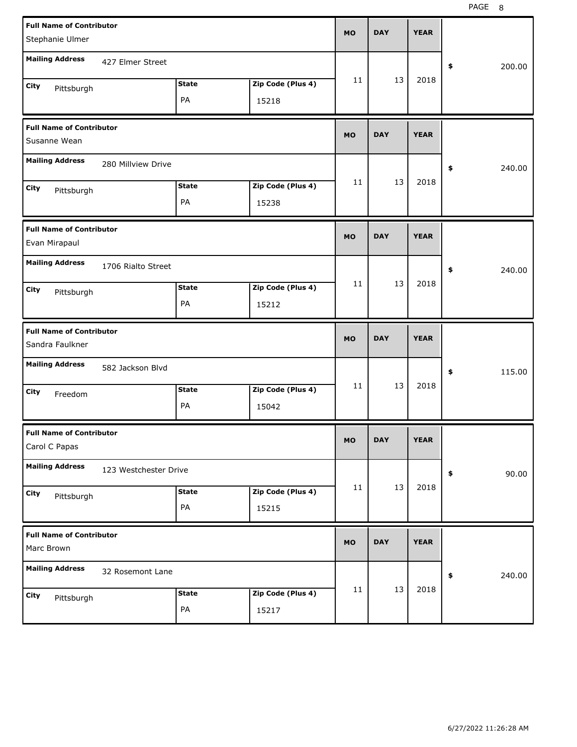| <b>Full Name of Contributor</b><br>Stephanie Ulmer |                       |              |                   | <b>MO</b> | <b>DAY</b> | <b>YEAR</b> |              |
|----------------------------------------------------|-----------------------|--------------|-------------------|-----------|------------|-------------|--------------|
| <b>Mailing Address</b>                             | 427 Elmer Street      |              |                   |           |            |             | \$<br>200.00 |
| City<br>Pittsburgh                                 |                       | <b>State</b> | Zip Code (Plus 4) | 11        | 13         | 2018        |              |
|                                                    |                       | PA           | 15218             |           |            |             |              |
| <b>Full Name of Contributor</b><br>Susanne Wean    |                       |              |                   | <b>MO</b> | <b>DAY</b> | <b>YEAR</b> |              |
| <b>Mailing Address</b>                             | 280 Millview Drive    |              |                   |           |            |             | \$<br>240.00 |
| City<br>Pittsburgh                                 |                       | <b>State</b> | Zip Code (Plus 4) | 11        | 13         | 2018        |              |
|                                                    |                       | PA           | 15238             |           |            |             |              |
| <b>Full Name of Contributor</b><br>Evan Mirapaul   |                       |              |                   | <b>MO</b> | <b>DAY</b> | <b>YEAR</b> |              |
| <b>Mailing Address</b>                             | 1706 Rialto Street    |              |                   |           |            |             | \$<br>240.00 |
| City<br>Pittsburgh                                 |                       | <b>State</b> | Zip Code (Plus 4) | 11        | 13         | 2018        |              |
|                                                    |                       | PA           | 15212             |           |            |             |              |
|                                                    |                       |              |                   |           |            |             |              |
| <b>Full Name of Contributor</b><br>Sandra Faulkner |                       |              |                   | <b>MO</b> | <b>DAY</b> | <b>YEAR</b> |              |
| <b>Mailing Address</b>                             | 582 Jackson Blvd      |              |                   |           |            |             | \$<br>115.00 |
| City                                               |                       | <b>State</b> | Zip Code (Plus 4) | 11        | 13         | 2018        |              |
| Freedom                                            |                       | PA           | 15042             |           |            |             |              |
| <b>Full Name of Contributor</b><br>Carol C Papas   |                       |              |                   | <b>MO</b> | <b>DAY</b> | <b>YEAR</b> |              |
| <b>Mailing Address</b>                             | 123 Westchester Drive |              |                   |           |            |             | 90.00<br>\$  |
| <b>City</b>                                        |                       | <b>State</b> | Zip Code (Plus 4) | 11        | 13         | 2018        |              |
| Pittsburgh                                         |                       | PA           | 15215             |           |            |             |              |
| <b>Full Name of Contributor</b><br>Marc Brown      |                       |              |                   | <b>MO</b> | <b>DAY</b> | <b>YEAR</b> |              |
| <b>Mailing Address</b>                             | 32 Rosemont Lane      |              |                   |           |            |             | 240.00<br>\$ |
| City<br>Pittsburgh                                 |                       | <b>State</b> | Zip Code (Plus 4) | 11        | 13         | 2018        |              |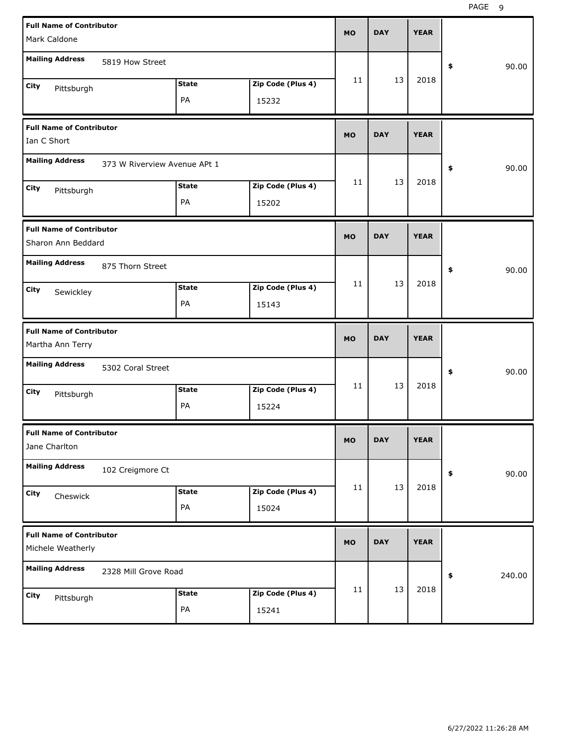| <b>Full Name of Contributor</b>                       |                              |              |                   |           |            |             |              |       |
|-------------------------------------------------------|------------------------------|--------------|-------------------|-----------|------------|-------------|--------------|-------|
| Mark Caldone                                          |                              |              |                   | <b>MO</b> | <b>DAY</b> | <b>YEAR</b> |              |       |
| <b>Mailing Address</b>                                | 5819 How Street              |              |                   |           |            |             | \$           | 90.00 |
| City<br>Pittsburgh                                    |                              | <b>State</b> | Zip Code (Plus 4) | 11        | 13         | 2018        |              |       |
|                                                       |                              | PA           | 15232             |           |            |             |              |       |
| <b>Full Name of Contributor</b><br>Ian C Short        |                              |              |                   | <b>MO</b> | <b>DAY</b> | <b>YEAR</b> |              |       |
| <b>Mailing Address</b>                                | 373 W Riverview Avenue APt 1 |              |                   |           |            |             | \$           | 90.00 |
| City<br>Pittsburgh                                    |                              | <b>State</b> | Zip Code (Plus 4) | 11        | 13         | 2018        |              |       |
|                                                       |                              | PA           | 15202             |           |            |             |              |       |
| <b>Full Name of Contributor</b><br>Sharon Ann Beddard |                              |              |                   | <b>MO</b> | <b>DAY</b> | <b>YEAR</b> |              |       |
| <b>Mailing Address</b>                                | 875 Thorn Street             |              |                   |           |            |             | \$           | 90.00 |
| City<br>Sewickley                                     |                              | <b>State</b> | Zip Code (Plus 4) | 11        | 13         | 2018        |              |       |
|                                                       |                              | PA           | 15143             |           |            |             |              |       |
|                                                       |                              |              |                   |           |            |             |              |       |
| <b>Full Name of Contributor</b><br>Martha Ann Terry   |                              |              |                   | <b>MO</b> | <b>DAY</b> | <b>YEAR</b> |              |       |
| <b>Mailing Address</b>                                | 5302 Coral Street            |              |                   |           |            |             | \$           | 90.00 |
| City                                                  |                              | <b>State</b> | Zip Code (Plus 4) | 11        | 13         | 2018        |              |       |
| Pittsburgh                                            |                              | PA           | 15224             |           |            |             |              |       |
| <b>Full Name of Contributor</b><br>Jane Charlton      |                              |              |                   | <b>MO</b> | DAY        | YEAK        |              |       |
| <b>Mailing Address</b>                                | 102 Creigmore Ct             |              |                   |           |            |             | \$           | 90.00 |
| City                                                  |                              | <b>State</b> | Zip Code (Plus 4) | 11        | 13         | 2018        |              |       |
| Cheswick                                              |                              | PA           | 15024             |           |            |             |              |       |
| <b>Full Name of Contributor</b><br>Michele Weatherly  |                              |              |                   | <b>MO</b> | <b>DAY</b> | <b>YEAR</b> |              |       |
| <b>Mailing Address</b>                                | 2328 Mill Grove Road         |              |                   |           |            |             | 240.00<br>\$ |       |
| City<br>Pittsburgh                                    |                              | <b>State</b> | Zip Code (Plus 4) | 11        | 13         | 2018        |              |       |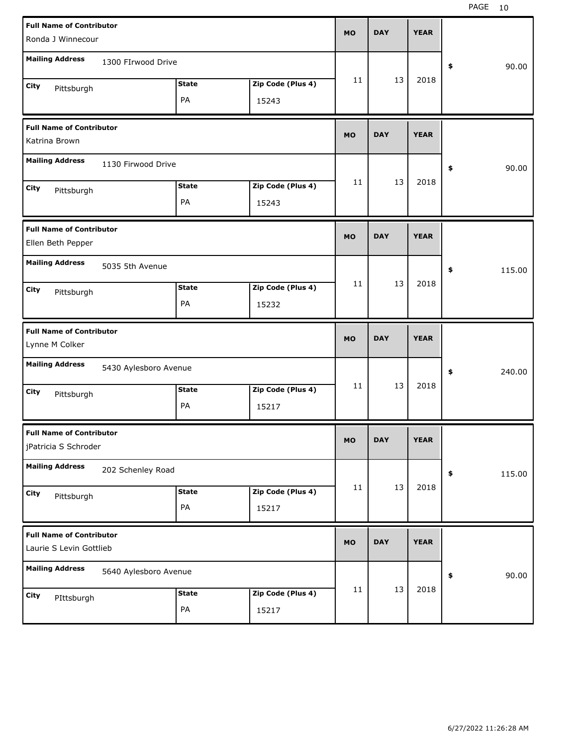| <b>Full Name of Contributor</b><br>Ronda J Winnecour       |                       |              |                   | <b>MO</b> | <b>DAY</b> | <b>YEAR</b> |              |
|------------------------------------------------------------|-----------------------|--------------|-------------------|-----------|------------|-------------|--------------|
|                                                            |                       |              |                   |           |            |             |              |
| <b>Mailing Address</b>                                     | 1300 FIrwood Drive    |              |                   |           |            |             | \$<br>90.00  |
| City<br>Pittsburgh                                         |                       | <b>State</b> | Zip Code (Plus 4) | 11        | 13         | 2018        |              |
|                                                            |                       | PA           | 15243             |           |            |             |              |
| <b>Full Name of Contributor</b>                            |                       |              |                   | <b>MO</b> | <b>DAY</b> | <b>YEAR</b> |              |
| Katrina Brown                                              |                       |              |                   |           |            |             |              |
| <b>Mailing Address</b>                                     | 1130 Firwood Drive    |              |                   |           |            |             | \$<br>90.00  |
| City<br>Pittsburgh                                         |                       | <b>State</b> | Zip Code (Plus 4) | 11        | 13         | 2018        |              |
|                                                            |                       | PA           | 15243             |           |            |             |              |
| <b>Full Name of Contributor</b>                            |                       |              |                   | <b>MO</b> | <b>DAY</b> | <b>YEAR</b> |              |
| Ellen Beth Pepper                                          |                       |              |                   |           |            |             |              |
| <b>Mailing Address</b>                                     | 5035 5th Avenue       |              |                   |           |            |             | \$<br>115.00 |
| City<br>Pittsburgh                                         |                       | <b>State</b> | Zip Code (Plus 4) | 11        | 13         | 2018        |              |
|                                                            |                       | PA           | 15232             |           |            |             |              |
|                                                            |                       |              |                   |           |            |             |              |
| <b>Full Name of Contributor</b>                            |                       |              |                   | <b>MO</b> | <b>DAY</b> | <b>YEAR</b> |              |
| Lynne M Colker                                             |                       |              |                   |           |            |             |              |
| <b>Mailing Address</b>                                     | 5430 Aylesboro Avenue |              |                   |           |            |             | \$<br>240.00 |
| City<br>Pittsburgh                                         |                       | <b>State</b> | Zip Code (Plus 4) | 11        | 13         | 2018        |              |
|                                                            |                       | PA           | 15217             |           |            |             |              |
| <b>Full Name of Contributor</b><br>jPatricia S Schroder    |                       |              |                   | MO        | <b>DAY</b> | <b>YEAR</b> |              |
| <b>Mailing Address</b>                                     | 202 Schenley Road     |              |                   |           |            |             | 115.00<br>\$ |
|                                                            |                       | <b>State</b> | Zip Code (Plus 4) | 11        | 13         | 2018        |              |
| City<br>Pittsburgh                                         |                       | PA           | 15217             |           |            |             |              |
| <b>Full Name of Contributor</b><br>Laurie S Levin Gottlieb |                       |              |                   | <b>MO</b> | <b>DAY</b> | <b>YEAR</b> |              |
| <b>Mailing Address</b>                                     | 5640 Aylesboro Avenue |              |                   |           |            |             | 90.00<br>\$  |
| <b>City</b><br>PIttsburgh                                  |                       | <b>State</b> | Zip Code (Plus 4) | 11        | 13         | 2018        |              |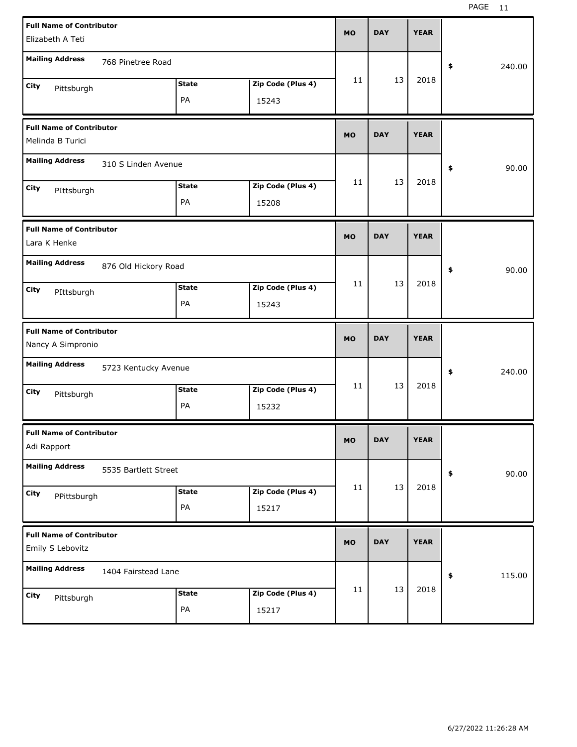| <b>Full Name of Contributor</b>                      |                      |              |                   |           |            |             |              |
|------------------------------------------------------|----------------------|--------------|-------------------|-----------|------------|-------------|--------------|
| Elizabeth A Teti                                     |                      |              |                   | <b>MO</b> | <b>DAY</b> | <b>YEAR</b> |              |
| <b>Mailing Address</b>                               | 768 Pinetree Road    |              |                   |           |            |             | 240.00<br>\$ |
| City                                                 |                      | <b>State</b> | Zip Code (Plus 4) | 11        | 13         | 2018        |              |
| Pittsburgh                                           |                      | PA           | 15243             |           |            |             |              |
| <b>Full Name of Contributor</b><br>Melinda B Turici  |                      |              |                   | <b>MO</b> | <b>DAY</b> | <b>YEAR</b> |              |
| <b>Mailing Address</b>                               | 310 S Linden Avenue  |              |                   |           |            |             | 90.00<br>\$  |
| City<br>PIttsburgh                                   |                      | <b>State</b> | Zip Code (Plus 4) | 11        | 13         | 2018        |              |
|                                                      |                      | PA           | 15208             |           |            |             |              |
| <b>Full Name of Contributor</b><br>Lara K Henke      |                      |              |                   | <b>MO</b> | <b>DAY</b> | <b>YEAR</b> |              |
| <b>Mailing Address</b>                               | 876 Old Hickory Road |              |                   |           |            |             | 90.00<br>\$  |
| City<br>PIttsburgh                                   |                      | <b>State</b> | Zip Code (Plus 4) | 11        | 13         | 2018        |              |
|                                                      |                      | PA           | 15243             |           |            |             |              |
|                                                      |                      |              |                   |           |            |             |              |
| <b>Full Name of Contributor</b><br>Nancy A Simpronio |                      |              |                   | <b>MO</b> | <b>DAY</b> | <b>YEAR</b> |              |
| <b>Mailing Address</b>                               | 5723 Kentucky Avenue |              |                   |           |            |             | \$<br>240.00 |
| City                                                 |                      | <b>State</b> | Zip Code (Plus 4) | 11        | 13         | 2018        |              |
| Pittsburgh                                           |                      | PA           | 15232             |           |            |             |              |
| <b>Full Name of Contributor</b><br>Adi Rapport       |                      |              |                   | <b>MO</b> | <b>DAY</b> | <b>YEAR</b> |              |
| <b>Mailing Address</b>                               | 5535 Bartlett Street |              |                   |           |            |             | 90.00<br>\$  |
| City                                                 |                      | <b>State</b> | Zip Code (Plus 4) | 11        | 13         | 2018        |              |
| PPittsburgh                                          |                      | PA           | 15217             |           |            |             |              |
| <b>Full Name of Contributor</b><br>Emily S Lebovitz  |                      |              |                   | <b>MO</b> | <b>DAY</b> | <b>YEAR</b> |              |
| <b>Mailing Address</b>                               | 1404 Fairstead Lane  |              |                   |           |            |             | 115.00<br>\$ |
| <b>City</b><br>Pittsburgh                            |                      | <b>State</b> | Zip Code (Plus 4) | 11        | 13         | 2018        |              |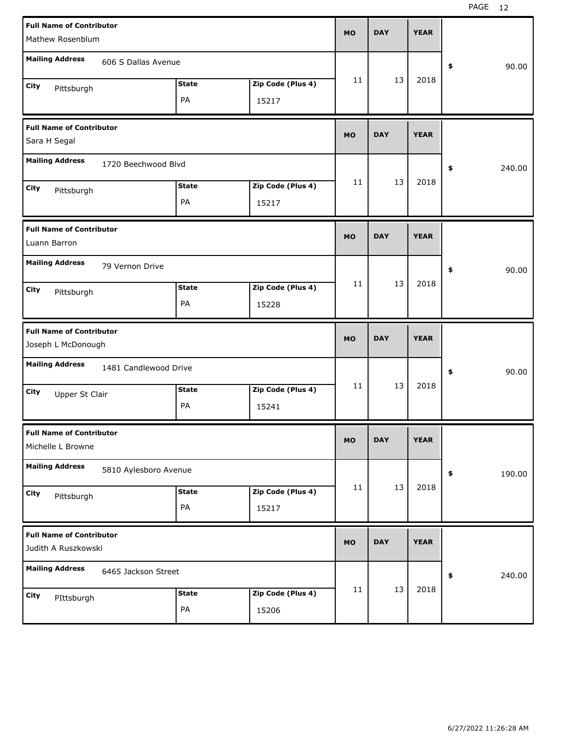| <b>Full Name of Contributor</b><br>Mathew Rosenblum                        | <b>MO</b> | <b>DAY</b> | <b>YEAR</b> |              |
|----------------------------------------------------------------------------|-----------|------------|-------------|--------------|
| <b>Mailing Address</b><br>606 S Dallas Avenue                              |           |            |             | 90.00<br>\$  |
| Zip Code (Plus 4)<br><b>State</b><br>City<br>Pittsburgh<br>PA<br>15217     | 11        | 13         | 2018        |              |
| <b>Full Name of Contributor</b><br>Sara H Segal                            | <b>MO</b> | <b>DAY</b> | <b>YEAR</b> |              |
| <b>Mailing Address</b><br>1720 Beechwood Blvd                              |           |            |             | 240.00<br>\$ |
| Zip Code (Plus 4)<br><b>State</b><br>City<br>Pittsburgh<br>PA<br>15217     | 11        | 13         | 2018        |              |
| <b>Full Name of Contributor</b><br>Luann Barron                            | <b>MO</b> | <b>DAY</b> | <b>YEAR</b> |              |
| <b>Mailing Address</b><br>79 Vernon Drive                                  |           |            |             | 90.00<br>\$  |
| Zip Code (Plus 4)<br><b>State</b><br>City<br>Pittsburgh<br>PA<br>15228     | 11        | 13         | 2018        |              |
|                                                                            |           |            |             |              |
| <b>Full Name of Contributor</b><br>Joseph L McDonough                      | <b>MO</b> | <b>DAY</b> | <b>YEAR</b> |              |
| <b>Mailing Address</b><br>1481 Candlewood Drive                            |           |            |             | \$<br>90.00  |
| <b>State</b><br>Zip Code (Plus 4)<br>City<br>Upper St Clair<br>PA<br>15241 | 11        | 13         | 2018        |              |
| <b>Full Name of Contributor</b><br>Michelle L Browne                       | <b>MO</b> | <b>DAY</b> | <b>YEAR</b> |              |
| <b>Mailing Address</b><br>5810 Aylesboro Avenue                            |           |            |             | \$<br>190.00 |
| Zip Code (Plus 4)<br><b>State</b><br>City<br>Pittsburgh<br>PA<br>15217     | 11        | 13         | 2018        |              |
| <b>Full Name of Contributor</b><br>Judith A Ruszkowski                     | <b>MO</b> | <b>DAY</b> | <b>YEAR</b> |              |
| <b>Mailing Address</b><br>6465 Jackson Street                              |           | 13         | 2018        | \$<br>240.00 |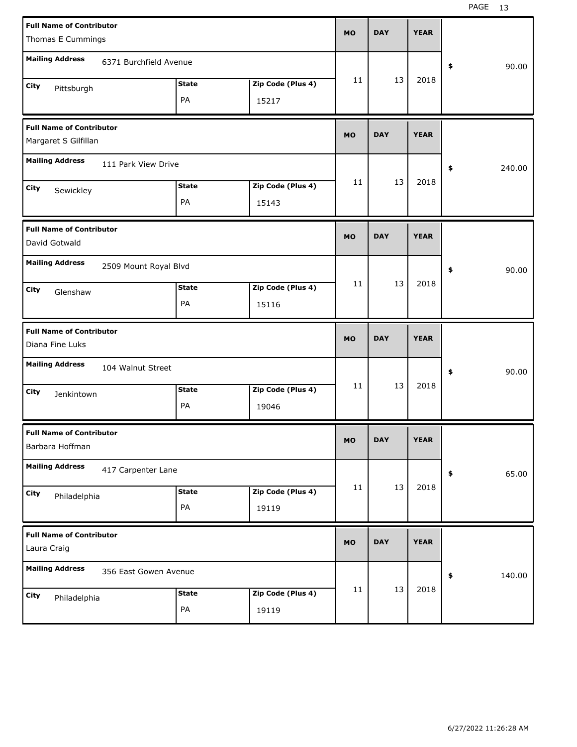| <b>Full Name of Contributor</b>                    |              |                   |           |            |             |              |
|----------------------------------------------------|--------------|-------------------|-----------|------------|-------------|--------------|
| Thomas E Cummings                                  |              |                   | <b>MO</b> | <b>DAY</b> | <b>YEAR</b> |              |
| <b>Mailing Address</b><br>6371 Burchfield Avenue   |              |                   |           |            |             | \$<br>90.00  |
| City                                               | <b>State</b> | Zip Code (Plus 4) | 11        | 13         | 2018        |              |
| Pittsburgh                                         | PA           | 15217             |           |            |             |              |
| <b>Full Name of Contributor</b>                    |              |                   | <b>MO</b> | <b>DAY</b> | <b>YEAR</b> |              |
| Margaret S Gilfillan                               |              |                   |           |            |             |              |
| <b>Mailing Address</b><br>111 Park View Drive      |              |                   |           |            |             | \$<br>240.00 |
| City<br>Sewickley                                  | <b>State</b> | Zip Code (Plus 4) | 11        | 13         | 2018        |              |
|                                                    | PA           | 15143             |           |            |             |              |
| <b>Full Name of Contributor</b>                    |              |                   | <b>MO</b> | <b>DAY</b> | <b>YEAR</b> |              |
| David Gotwald                                      |              |                   |           |            |             |              |
| <b>Mailing Address</b><br>2509 Mount Royal Blvd    |              |                   |           |            |             | \$<br>90.00  |
| City<br>Glenshaw                                   | <b>State</b> | Zip Code (Plus 4) | 11        | 13         | 2018        |              |
|                                                    | PA           | 15116             |           |            |             |              |
|                                                    |              |                   |           |            |             |              |
| <b>Full Name of Contributor</b>                    |              |                   | <b>MO</b> | <b>DAY</b> | <b>YEAR</b> |              |
| Diana Fine Luks                                    |              |                   |           |            |             |              |
| <b>Mailing Address</b><br>104 Walnut Street        |              |                   |           |            |             | \$<br>90.00  |
| City<br>Jenkintown                                 | <b>State</b> | Zip Code (Plus 4) | 11        | 13         | 2018        |              |
|                                                    | PA           | 19046             |           |            |             |              |
| <b>Full Name of Contributor</b><br>Barbara Hoffman |              |                   | МO        | <b>DAY</b> | <b>YEAR</b> |              |
| <b>Mailing Address</b><br>417 Carpenter Lane       |              |                   |           |            |             | \$<br>65.00  |
| City                                               | <b>State</b> | Zip Code (Plus 4) | 11        | 13         | 2018        |              |
| Philadelphia                                       | PA           | 19119             |           |            |             |              |
| <b>Full Name of Contributor</b>                    |              |                   |           |            |             |              |
| Laura Craig                                        |              |                   | <b>MO</b> | <b>DAY</b> | <b>YEAR</b> |              |
| <b>Mailing Address</b><br>356 East Gowen Avenue    |              |                   |           |            |             | \$<br>140.00 |
| City<br>Philadelphia                               | <b>State</b> | Zip Code (Plus 4) | 11        | 13         | 2018        |              |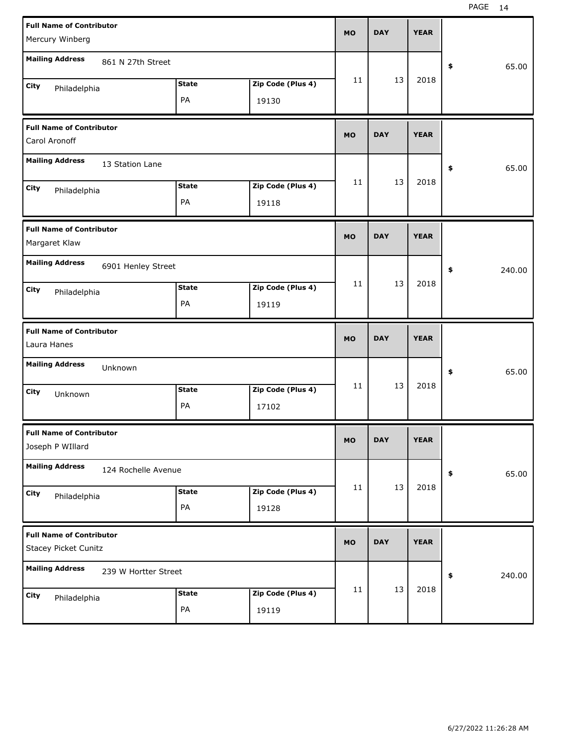| <b>Full Name of Contributor</b><br>Mercury Winberg             |                    |                            | <b>MO</b> | <b>DAY</b> | <b>YEAR</b> |                      |
|----------------------------------------------------------------|--------------------|----------------------------|-----------|------------|-------------|----------------------|
| <b>Mailing Address</b><br>861 N 27th Street                    |                    |                            |           |            |             | 65.00<br>\$          |
| City<br>Philadelphia                                           | <b>State</b><br>PA | Zip Code (Plus 4)<br>19130 | 11        | 13         | 2018        |                      |
| <b>Full Name of Contributor</b><br>Carol Aronoff               |                    |                            | <b>MO</b> | <b>DAY</b> | <b>YEAR</b> |                      |
| <b>Mailing Address</b><br>13 Station Lane                      |                    |                            |           |            |             | 65.00<br>\$          |
| City<br>Philadelphia                                           | State<br>PA        | Zip Code (Plus 4)<br>19118 | 11        | 13         | 2018        |                      |
| <b>Full Name of Contributor</b><br>Margaret Klaw               |                    |                            | <b>MO</b> | <b>DAY</b> | <b>YEAR</b> |                      |
| <b>Mailing Address</b><br>6901 Henley Street                   |                    |                            |           |            |             | 240.00<br>\$         |
| City<br>Philadelphia                                           | <b>State</b><br>PA | Zip Code (Plus 4)<br>19119 | 11        | 13         | 2018        |                      |
|                                                                |                    |                            |           |            |             |                      |
| <b>Full Name of Contributor</b><br>Laura Hanes                 |                    |                            | <b>MO</b> | <b>DAY</b> | <b>YEAR</b> |                      |
| <b>Mailing Address</b><br>Unknown                              |                    |                            |           |            |             | 65.00<br>\$          |
| City<br>Unknown                                                | State<br>PA        | Zip Code (Plus 4)<br>17102 | 11        | 13         | 2018        |                      |
| <b>Full Name of Contributor</b><br>Joseph P WIllard            |                    |                            | МO        | <b>DAY</b> | <b>YEAR</b> |                      |
| <b>Mailing Address</b><br>124 Rochelle Avenue                  |                    |                            |           |            |             | 65.00<br>$\pmb{\$}$  |
| City<br>Philadelphia                                           | <b>State</b><br>PA | Zip Code (Plus 4)<br>19128 | 11        | 13         | 2018        |                      |
| <b>Full Name of Contributor</b><br><b>Stacey Picket Cunitz</b> |                    |                            | <b>MO</b> | <b>DAY</b> | <b>YEAR</b> |                      |
| <b>Mailing Address</b><br>239 W Hortter Street                 |                    |                            |           | 13         | 2018        | $\pmb{\$}$<br>240.00 |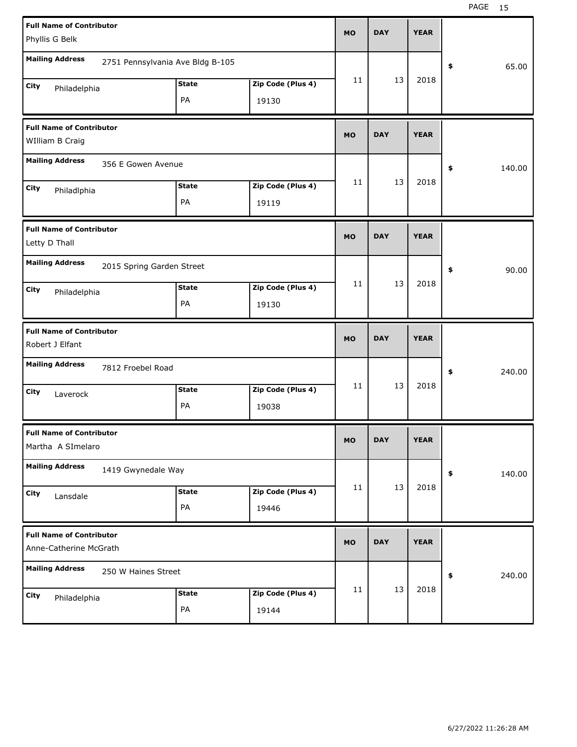| <b>Full Name of Contributor</b>                           |                                  |                    |                            | <b>MO</b> | <b>DAY</b> | <b>YEAR</b> |              |
|-----------------------------------------------------------|----------------------------------|--------------------|----------------------------|-----------|------------|-------------|--------------|
| Phyllis G Belk                                            |                                  |                    |                            |           |            |             |              |
| <b>Mailing Address</b>                                    | 2751 Pennsylvania Ave Bldg B-105 |                    |                            |           |            |             | \$<br>65.00  |
| City<br>Philadelphia                                      |                                  | <b>State</b>       | Zip Code (Plus 4)          | 11        | 13         | 2018        |              |
|                                                           |                                  | PA                 | 19130                      |           |            |             |              |
| <b>Full Name of Contributor</b>                           |                                  |                    |                            | <b>MO</b> | <b>DAY</b> | <b>YEAR</b> |              |
| WIlliam B Craig                                           |                                  |                    |                            |           |            |             |              |
| <b>Mailing Address</b>                                    | 356 E Gowen Avenue               |                    |                            |           |            |             | \$<br>140.00 |
| City<br>Philadlphia                                       |                                  | <b>State</b>       | Zip Code (Plus 4)          | 11        | 13         | 2018        |              |
|                                                           |                                  | PA                 | 19119                      |           |            |             |              |
| <b>Full Name of Contributor</b>                           |                                  |                    |                            | <b>MO</b> | <b>DAY</b> | <b>YEAR</b> |              |
| Letty D Thall                                             |                                  |                    |                            |           |            |             |              |
| <b>Mailing Address</b>                                    | 2015 Spring Garden Street        |                    |                            |           |            |             | \$<br>90.00  |
| City<br>Philadelphia                                      |                                  | <b>State</b>       | Zip Code (Plus 4)          | 11        | 13         | 2018        |              |
|                                                           |                                  | PA                 | 19130                      |           |            |             |              |
|                                                           |                                  |                    |                            |           |            |             |              |
| <b>Full Name of Contributor</b>                           |                                  |                    |                            | <b>MO</b> | <b>DAY</b> | <b>YEAR</b> |              |
| Robert J Elfant                                           |                                  |                    |                            |           |            |             |              |
| <b>Mailing Address</b>                                    | 7812 Froebel Road                |                    |                            |           |            |             | \$<br>240.00 |
| City<br>Laverock                                          |                                  | <b>State</b>       | Zip Code (Plus 4)          | 11        | 13         | 2018        |              |
|                                                           |                                  | PA                 | 19038                      |           |            |             |              |
| <b>Full Name of Contributor</b>                           |                                  |                    |                            | MO        | <b>DAY</b> | <b>YEAR</b> |              |
| Martha A SImelaro                                         |                                  |                    |                            |           |            |             |              |
| <b>Mailing Address</b>                                    | 1419 Gwynedale Way               |                    |                            |           |            |             | \$<br>140.00 |
| City<br>Lansdale                                          |                                  | <b>State</b>       | Zip Code (Plus 4)          | 11        | 13         | 2018        |              |
|                                                           |                                  | PA                 | 19446                      |           |            |             |              |
| <b>Full Name of Contributor</b><br>Anne-Catherine McGrath |                                  |                    |                            | <b>MO</b> | <b>DAY</b> | <b>YEAR</b> |              |
| <b>Mailing Address</b>                                    | 250 W Haines Street              |                    |                            |           |            |             |              |
|                                                           |                                  |                    |                            |           |            |             | \$<br>240.00 |
| City<br>Philadelphia                                      |                                  | <b>State</b><br>PA | Zip Code (Plus 4)<br>19144 | 11        | 13         | 2018        |              |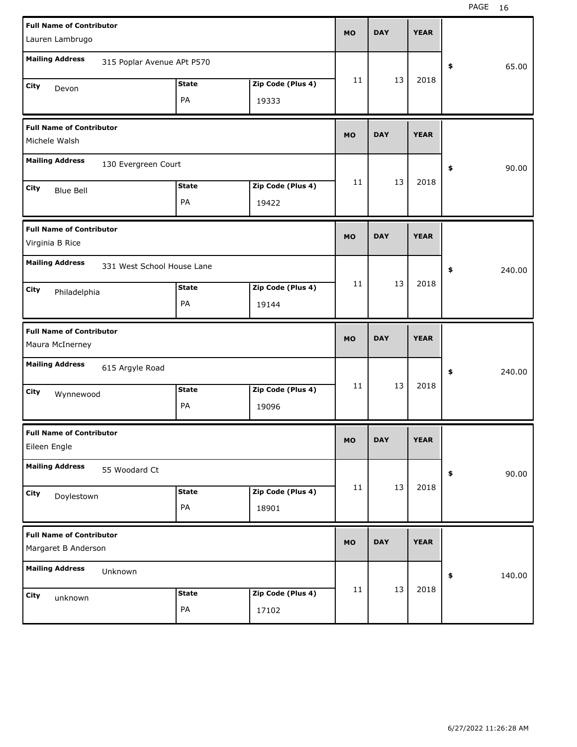| <b>Full Name of Contributor</b>                        |                            |              |                   | <b>MO</b> | <b>DAY</b> | <b>YEAR</b> |              |
|--------------------------------------------------------|----------------------------|--------------|-------------------|-----------|------------|-------------|--------------|
| Lauren Lambrugo                                        |                            |              |                   |           |            |             |              |
| <b>Mailing Address</b>                                 | 315 Poplar Avenue APt P570 |              |                   |           |            |             | \$<br>65.00  |
| City<br>Devon                                          |                            | <b>State</b> | Zip Code (Plus 4) | 11        | 13         | 2018        |              |
|                                                        |                            | PA           | 19333             |           |            |             |              |
| <b>Full Name of Contributor</b>                        |                            |              |                   | <b>MO</b> | <b>DAY</b> | <b>YEAR</b> |              |
| Michele Walsh                                          |                            |              |                   |           |            |             |              |
| <b>Mailing Address</b>                                 | 130 Evergreen Court        |              |                   |           |            |             | \$<br>90.00  |
| City<br><b>Blue Bell</b>                               |                            | <b>State</b> | Zip Code (Plus 4) | 11        | 13         | 2018        |              |
|                                                        |                            | PA           | 19422             |           |            |             |              |
| <b>Full Name of Contributor</b>                        |                            |              |                   | <b>MO</b> | <b>DAY</b> | <b>YEAR</b> |              |
| Virginia B Rice                                        |                            |              |                   |           |            |             |              |
| <b>Mailing Address</b>                                 | 331 West School House Lane |              |                   |           |            |             | \$<br>240.00 |
| City<br>Philadelphia                                   |                            | <b>State</b> | Zip Code (Plus 4) | 11        | 13         | 2018        |              |
|                                                        |                            | PA           | 19144             |           |            |             |              |
|                                                        |                            |              |                   |           |            |             |              |
| <b>Full Name of Contributor</b>                        |                            |              |                   | <b>MO</b> | <b>DAY</b> | <b>YEAR</b> |              |
| Maura McInerney                                        |                            |              |                   |           |            |             |              |
| <b>Mailing Address</b>                                 | 615 Argyle Road            |              |                   |           |            |             | \$<br>240.00 |
| City<br>Wynnewood                                      |                            | <b>State</b> | Zip Code (Plus 4) | 11        | 13         | 2018        |              |
|                                                        |                            | PA           | 19096             |           |            |             |              |
| <b>Full Name of Contributor</b><br>Eileen Engle        |                            |              |                   | МO        | <b>DAY</b> | <b>YEAR</b> |              |
| <b>Mailing Address</b>                                 | 55 Woodard Ct              |              |                   |           |            |             | \$<br>90.00  |
| City                                                   |                            | <b>State</b> | Zip Code (Plus 4) | 11        | 13         | 2018        |              |
| Doylestown                                             |                            | PA           | 18901             |           |            |             |              |
| <b>Full Name of Contributor</b><br>Margaret B Anderson |                            |              |                   | <b>MO</b> | <b>DAY</b> | <b>YEAR</b> |              |
| <b>Mailing Address</b>                                 | Unknown                    |              |                   |           |            |             | \$<br>140.00 |
| City<br>unknown                                        |                            | <b>State</b> | Zip Code (Plus 4) | 11        | 13         | 2018        |              |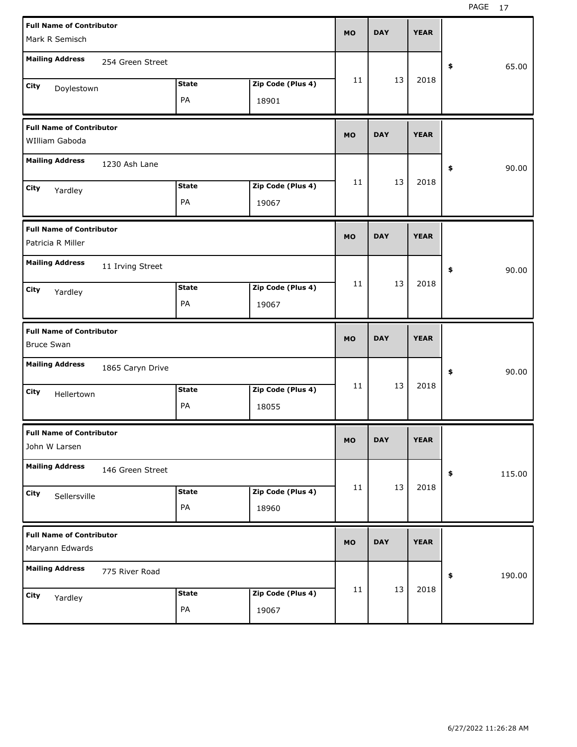| <b>Full Name of Contributor</b> |                  |              |                   | <b>MO</b> | <b>DAY</b> | <b>YEAR</b> |              |
|---------------------------------|------------------|--------------|-------------------|-----------|------------|-------------|--------------|
| Mark R Semisch                  |                  |              |                   |           |            |             |              |
| <b>Mailing Address</b>          | 254 Green Street |              |                   |           |            |             | \$<br>65.00  |
| City<br>Doylestown              |                  | <b>State</b> | Zip Code (Plus 4) | 11        | 13         | 2018        |              |
|                                 |                  | PA           | 18901             |           |            |             |              |
| <b>Full Name of Contributor</b> |                  |              |                   | <b>MO</b> | <b>DAY</b> | <b>YEAR</b> |              |
| WIlliam Gaboda                  |                  |              |                   |           |            |             |              |
| <b>Mailing Address</b>          | 1230 Ash Lane    |              |                   |           |            |             | \$<br>90.00  |
| City<br>Yardley                 |                  | <b>State</b> | Zip Code (Plus 4) | 11        | 13         | 2018        |              |
|                                 |                  | PA           | 19067             |           |            |             |              |
| <b>Full Name of Contributor</b> |                  |              |                   | <b>MO</b> | <b>DAY</b> | <b>YEAR</b> |              |
| Patricia R Miller               |                  |              |                   |           |            |             |              |
| <b>Mailing Address</b>          | 11 Irving Street |              |                   |           |            |             | \$<br>90.00  |
| City<br>Yardley                 |                  | <b>State</b> | Zip Code (Plus 4) | 11        | 13         | 2018        |              |
|                                 |                  | PA           | 19067             |           |            |             |              |
|                                 |                  |              |                   |           |            |             |              |
| <b>Full Name of Contributor</b> |                  |              |                   | <b>MO</b> | <b>DAY</b> | <b>YEAR</b> |              |
| <b>Bruce Swan</b>               |                  |              |                   |           |            |             |              |
| <b>Mailing Address</b>          | 1865 Caryn Drive |              |                   |           |            |             | \$<br>90.00  |
| City<br>Hellertown              |                  | <b>State</b> | Zip Code (Plus 4) | 11        | 13         | 2018        |              |
|                                 |                  | PA           | 18055             |           |            |             |              |
| <b>Full Name of Contributor</b> |                  |              |                   | МO        | <b>DAY</b> | <b>YEAR</b> |              |
| John W Larsen                   |                  |              |                   |           |            |             |              |
| <b>Mailing Address</b>          | 146 Green Street |              |                   |           |            |             | \$<br>115.00 |
| City<br>Sellersville            |                  | <b>State</b> | Zip Code (Plus 4) | 11        | 13         | 2018        |              |
|                                 |                  | PA           | 18960             |           |            |             |              |
| <b>Full Name of Contributor</b> |                  |              |                   | <b>MO</b> | <b>DAY</b> | <b>YEAR</b> |              |
| Maryann Edwards                 |                  |              |                   |           |            |             |              |
| <b>Mailing Address</b>          | 775 River Road   |              |                   |           |            |             | \$<br>190.00 |
| City<br>Yardley                 |                  | <b>State</b> | Zip Code (Plus 4) | 11        | 13         | 2018        |              |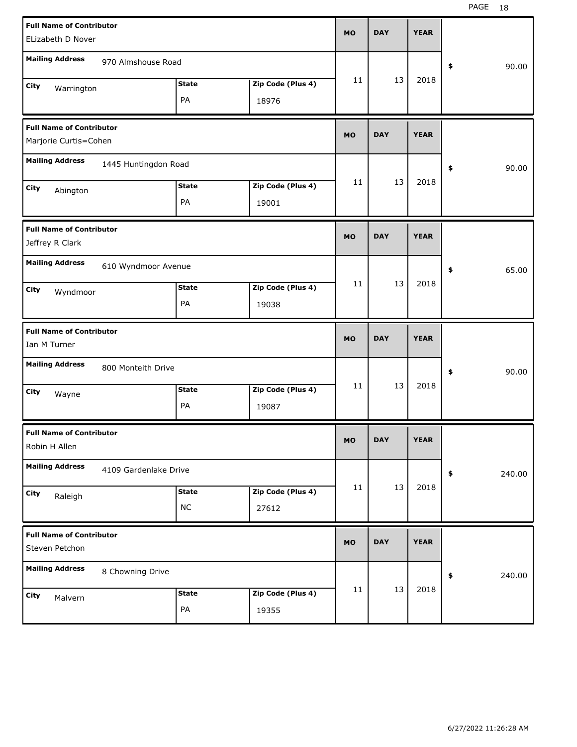| <b>Full Name of Contributor</b>                  |                       |              |                   | <b>MO</b> | <b>DAY</b> | <b>YEAR</b> |              |
|--------------------------------------------------|-----------------------|--------------|-------------------|-----------|------------|-------------|--------------|
| ELizabeth D Nover                                |                       |              |                   |           |            |             |              |
| <b>Mailing Address</b>                           | 970 Almshouse Road    |              |                   |           |            |             | \$<br>90.00  |
| City<br>Warrington                               |                       | <b>State</b> | Zip Code (Plus 4) | 11        | 13         | 2018        |              |
|                                                  |                       | PA           | 18976             |           |            |             |              |
| <b>Full Name of Contributor</b>                  |                       |              |                   | <b>MO</b> | <b>DAY</b> | <b>YEAR</b> |              |
| Marjorie Curtis=Cohen                            |                       |              |                   |           |            |             |              |
| <b>Mailing Address</b>                           | 1445 Huntingdon Road  |              |                   |           |            |             | \$<br>90.00  |
| City<br>Abington                                 |                       | <b>State</b> | Zip Code (Plus 4) | 11        | 13         | 2018        |              |
|                                                  |                       | PA           | 19001             |           |            |             |              |
| <b>Full Name of Contributor</b>                  |                       |              |                   | <b>MO</b> | <b>DAY</b> | <b>YEAR</b> |              |
| Jeffrey R Clark                                  |                       |              |                   |           |            |             |              |
| <b>Mailing Address</b>                           | 610 Wyndmoor Avenue   |              |                   |           |            |             | \$<br>65.00  |
| City<br>Wyndmoor                                 |                       | <b>State</b> | Zip Code (Plus 4) | 11        | 13         | 2018        |              |
|                                                  |                       | PA           | 19038             |           |            |             |              |
|                                                  |                       |              |                   |           |            |             |              |
| <b>Full Name of Contributor</b>                  |                       |              |                   | <b>MO</b> | <b>DAY</b> | <b>YEAR</b> |              |
| Ian M Turner                                     |                       |              |                   |           |            |             |              |
| <b>Mailing Address</b>                           | 800 Monteith Drive    |              |                   |           |            |             | \$<br>90.00  |
| City<br>Wayne                                    |                       | <b>State</b> | Zip Code (Plus 4) | 11        | 13         | 2018        |              |
|                                                  |                       | PA           | 19087             |           |            |             |              |
| <b>Full Name of Contributor</b><br>Robin H Allen |                       |              |                   | <b>MO</b> | <b>DAY</b> | <b>YEAR</b> |              |
| <b>Mailing Address</b>                           | 4109 Gardenlake Drive |              |                   |           |            |             | \$<br>240.00 |
|                                                  |                       | <b>State</b> | Zip Code (Plus 4) | 11        | 13         | 2018        |              |
| City<br>Raleigh                                  |                       | $NC$         | 27612             |           |            |             |              |
| <b>Full Name of Contributor</b>                  |                       |              |                   |           | <b>DAY</b> | <b>YEAR</b> |              |
| Steven Petchon                                   |                       |              |                   | <b>MO</b> |            |             |              |
| <b>Mailing Address</b>                           | 8 Chowning Drive      |              |                   |           |            |             | \$<br>240.00 |
| City<br>Malvern                                  |                       | <b>State</b> | Zip Code (Plus 4) | 11        | 13         | 2018        |              |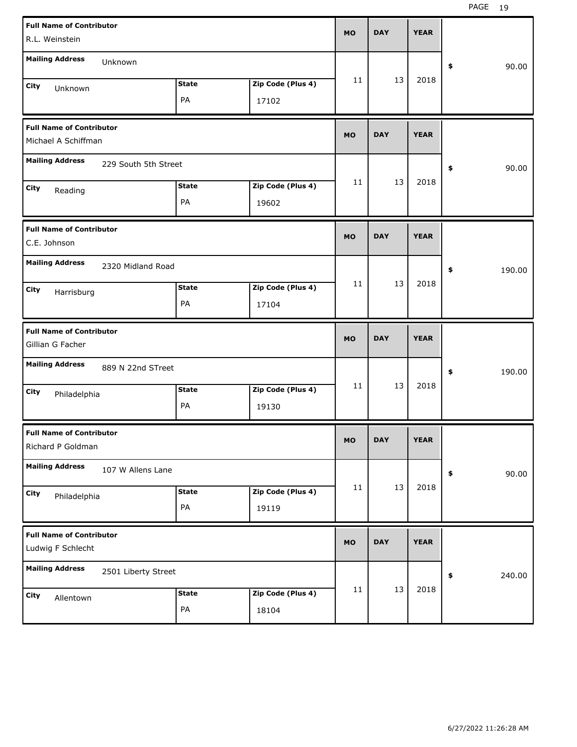| <b>Full Name of Contributor</b><br>R.L. Weinstein      |                      |                    |                            | <b>MO</b> | <b>DAY</b> | <b>YEAR</b> |              |
|--------------------------------------------------------|----------------------|--------------------|----------------------------|-----------|------------|-------------|--------------|
| <b>Mailing Address</b>                                 | Unknown              |                    |                            |           |            |             | 90.00<br>\$  |
| City<br>Unknown                                        |                      | <b>State</b><br>PA | Zip Code (Plus 4)<br>17102 | 11        | 13         | 2018        |              |
| <b>Full Name of Contributor</b><br>Michael A Schiffman |                      |                    |                            | <b>MO</b> | <b>DAY</b> | <b>YEAR</b> |              |
| <b>Mailing Address</b>                                 | 229 South 5th Street |                    |                            |           |            |             | 90.00<br>\$  |
| City<br>Reading                                        |                      | <b>State</b><br>PA | Zip Code (Plus 4)<br>19602 | 11        | 13         | 2018        |              |
| <b>Full Name of Contributor</b><br>C.E. Johnson        |                      |                    |                            | <b>MO</b> | <b>DAY</b> | <b>YEAR</b> |              |
| <b>Mailing Address</b>                                 | 2320 Midland Road    |                    |                            |           |            |             | \$<br>190.00 |
| City<br>Harrisburg                                     |                      | <b>State</b><br>PA | Zip Code (Plus 4)<br>17104 | 11        | 13         | 2018        |              |
|                                                        |                      |                    |                            |           |            |             |              |
| <b>Full Name of Contributor</b><br>Gillian G Facher    |                      |                    |                            | <b>MO</b> | <b>DAY</b> | <b>YEAR</b> |              |
| <b>Mailing Address</b>                                 | 889 N 22nd STreet    |                    |                            |           |            |             | \$<br>190.00 |
| City<br>Philadelphia                                   |                      | <b>State</b><br>PA | Zip Code (Plus 4)<br>19130 | 11        | 13         | 2018        |              |
| <b>Full Name of Contributor</b><br>Richard P Goldman   |                      |                    |                            | <b>MO</b> | <b>DAY</b> | <b>YEAR</b> |              |
| <b>Mailing Address</b>                                 | 107 W Allens Lane    |                    |                            |           |            |             | 90.00<br>\$  |
| City<br>Philadelphia                                   |                      | <b>State</b><br>PA | Zip Code (Plus 4)<br>19119 | 11        | 13         | 2018        |              |
| <b>Full Name of Contributor</b><br>Ludwig F Schlecht   |                      |                    |                            | <b>MO</b> | <b>DAY</b> | <b>YEAR</b> |              |
| <b>Mailing Address</b>                                 | 2501 Liberty Street  |                    |                            | 11        | 13         | 2018        | 240.00<br>\$ |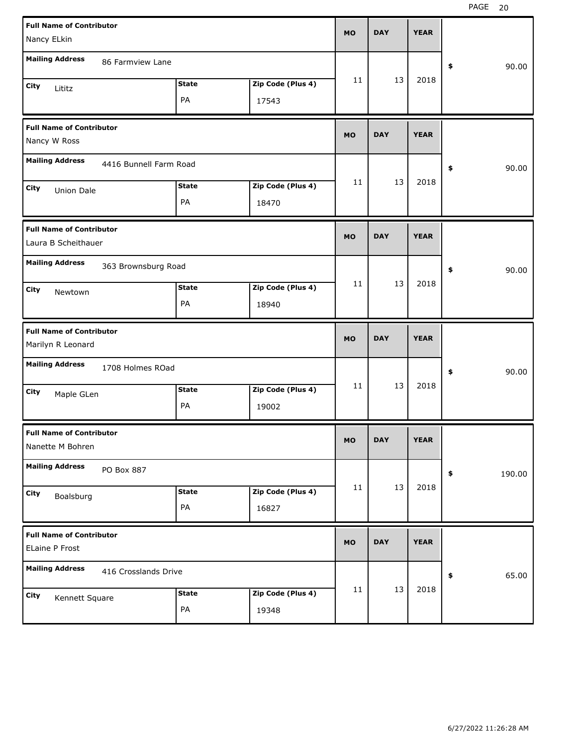| <b>Full Name of Contributor</b><br>Nancy ELkin           |                            | <b>MO</b> | <b>DAY</b> | <b>YEAR</b> |              |
|----------------------------------------------------------|----------------------------|-----------|------------|-------------|--------------|
| <b>Mailing Address</b><br>86 Farmview Lane               |                            |           |            |             | 90.00<br>\$  |
| <b>State</b><br>City<br>Lititz<br>PA                     | Zip Code (Plus 4)<br>17543 | 11        | 13         | 2018        |              |
| <b>Full Name of Contributor</b><br>Nancy W Ross          |                            | <b>MO</b> | <b>DAY</b> | <b>YEAR</b> |              |
| <b>Mailing Address</b><br>4416 Bunnell Farm Road         |                            |           |            |             | 90.00<br>\$  |
| <b>State</b><br>City<br>Union Dale<br>PA                 | Zip Code (Plus 4)<br>18470 | 11        | 13         | 2018        |              |
| <b>Full Name of Contributor</b><br>Laura B Scheithauer   |                            | <b>MO</b> | <b>DAY</b> | <b>YEAR</b> |              |
| <b>Mailing Address</b><br>363 Brownsburg Road            |                            |           |            |             | 90.00<br>\$  |
| <b>State</b><br>City<br>Newtown<br>PA                    | Zip Code (Plus 4)<br>18940 | 11        | 13         | 2018        |              |
|                                                          |                            |           |            |             |              |
| <b>Full Name of Contributor</b><br>Marilyn R Leonard     |                            | <b>MO</b> | <b>DAY</b> | <b>YEAR</b> |              |
| <b>Mailing Address</b><br>1708 Holmes ROad               |                            |           |            |             | \$<br>90.00  |
| <b>State</b><br>City<br>Maple GLen<br>PA                 | Zip Code (Plus 4)<br>19002 | 11        | 13         | 2018        |              |
| <b>Full Name of Contributor</b><br>Nanette M Bohren      |                            | <b>MO</b> | <b>DAY</b> | <b>YEAR</b> |              |
| <b>Mailing Address</b><br>PO Box 887                     |                            |           |            |             | 190.00<br>\$ |
| <b>State</b><br>City<br>Boalsburg<br>$\mathsf{PA}$       | Zip Code (Plus 4)<br>16827 | 11        | 13         | 2018        |              |
| <b>Full Name of Contributor</b><br><b>ELaine P Frost</b> |                            | <b>MO</b> | <b>DAY</b> | <b>YEAR</b> |              |
| <b>Mailing Address</b><br>416 Crosslands Drive           |                            | 11        | 13         | 2018        | 65.00<br>\$  |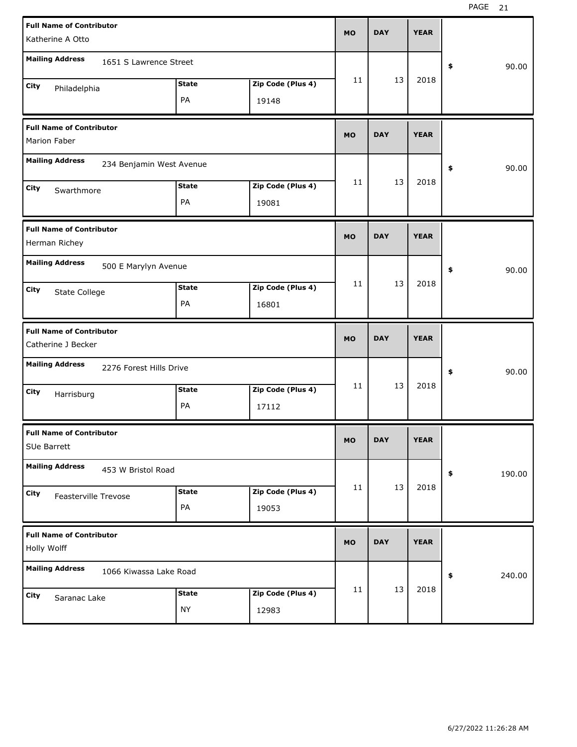| <b>Full Name of Contributor</b><br>Katherine A Otto |              |                   | <b>MO</b> | <b>DAY</b> | <b>YEAR</b> |              |
|-----------------------------------------------------|--------------|-------------------|-----------|------------|-------------|--------------|
|                                                     |              |                   |           |            |             |              |
| <b>Mailing Address</b><br>1651 S Lawrence Street    |              |                   |           |            |             | \$<br>90.00  |
| City<br>Philadelphia                                | <b>State</b> | Zip Code (Plus 4) | 11        | 13         | 2018        |              |
|                                                     | PA           | 19148             |           |            |             |              |
| <b>Full Name of Contributor</b>                     |              |                   | <b>MO</b> | <b>DAY</b> | <b>YEAR</b> |              |
| Marion Faber                                        |              |                   |           |            |             |              |
| <b>Mailing Address</b><br>234 Benjamin West Avenue  |              |                   |           |            |             | \$<br>90.00  |
| City<br>Swarthmore                                  | <b>State</b> | Zip Code (Plus 4) | 11        | 13         | 2018        |              |
|                                                     | PA           | 19081             |           |            |             |              |
| <b>Full Name of Contributor</b>                     |              |                   | <b>MO</b> | <b>DAY</b> | <b>YEAR</b> |              |
| Herman Richey                                       |              |                   |           |            |             |              |
| <b>Mailing Address</b><br>500 E Marylyn Avenue      |              |                   |           |            |             | \$<br>90.00  |
| City<br>State College                               | <b>State</b> | Zip Code (Plus 4) | 11        | 13         | 2018        |              |
|                                                     | PA           | 16801             |           |            |             |              |
|                                                     |              |                   |           |            |             |              |
| <b>Full Name of Contributor</b>                     |              |                   | <b>MO</b> | <b>DAY</b> | <b>YEAR</b> |              |
| Catherine J Becker                                  |              |                   |           |            |             |              |
| <b>Mailing Address</b><br>2276 Forest Hills Drive   |              |                   |           |            |             | \$<br>90.00  |
| City<br>Harrisburg                                  | <b>State</b> | Zip Code (Plus 4) | 11        | 13         | 2018        |              |
|                                                     | PA           | 17112             |           |            |             |              |
| <b>Full Name of Contributor</b>                     |              |                   | МO        | <b>DAY</b> | <b>YEAR</b> |              |
| SUe Barrett                                         |              |                   |           |            |             |              |
| <b>Mailing Address</b><br>453 W Bristol Road        |              |                   |           |            |             | \$<br>190.00 |
| City<br>Feasterville Trevose                        | <b>State</b> | Zip Code (Plus 4) | 11        | 13         | 2018        |              |
|                                                     | PA           | 19053             |           |            |             |              |
| <b>Full Name of Contributor</b>                     |              |                   |           |            |             |              |
| Holly Wolff                                         |              |                   | <b>MO</b> | <b>DAY</b> | <b>YEAR</b> |              |
| <b>Mailing Address</b><br>1066 Kiwassa Lake Road    |              |                   |           |            |             | \$<br>240.00 |
| City<br>Saranac Lake                                | <b>State</b> | Zip Code (Plus 4) | 11        | 13         | 2018        |              |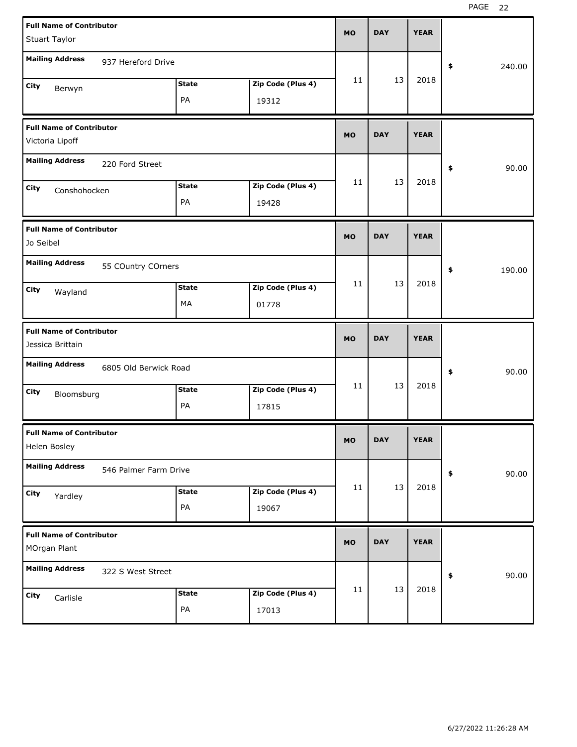| <b>Full Name of Contributor</b><br>Stuart Taylor    | <b>MO</b>                  |    | <b>DAY</b> | <b>YEAR</b> |              |
|-----------------------------------------------------|----------------------------|----|------------|-------------|--------------|
| <b>Mailing Address</b><br>937 Hereford Drive        |                            |    |            |             | \$<br>240.00 |
| <b>State</b><br>City<br>Berwyn<br>PA                | Zip Code (Plus 4)<br>19312 | 11 | 13         | 2018        |              |
| <b>Full Name of Contributor</b><br>Victoria Lipoff  | <b>MO</b>                  |    | <b>DAY</b> | <b>YEAR</b> |              |
| <b>Mailing Address</b><br>220 Ford Street           |                            |    |            |             | \$<br>90.00  |
| <b>State</b><br>City<br>Conshohocken<br>PA          | Zip Code (Plus 4)<br>19428 | 11 | 13         | 2018        |              |
| <b>Full Name of Contributor</b><br>Jo Seibel        | <b>MO</b>                  |    | <b>DAY</b> | <b>YEAR</b> |              |
| <b>Mailing Address</b><br>55 COuntry COrners        |                            |    |            |             | \$<br>190.00 |
| <b>State</b><br>City<br>Wayland<br>МA               | Zip Code (Plus 4)<br>01778 | 11 | 13         | 2018        |              |
|                                                     |                            |    |            |             |              |
| <b>Full Name of Contributor</b><br>Jessica Brittain | <b>MO</b>                  |    | <b>DAY</b> | <b>YEAR</b> |              |
| <b>Mailing Address</b><br>6805 Old Berwick Road     |                            |    |            |             | \$<br>90.00  |
| <b>State</b><br>City<br>Bloomsburg<br>PA            | Zip Code (Plus 4)<br>17815 | 11 | 13         | 2018        |              |
| <b>Full Name of Contributor</b><br>Helen Bosley     | <b>MO</b>                  |    | <b>DAY</b> | <b>YEAR</b> |              |
| <b>Mailing Address</b><br>546 Palmer Farm Drive     |                            |    |            |             | 90.00<br>\$  |
| <b>State</b><br>City<br>Yardley<br>PA               | Zip Code (Plus 4)<br>19067 | 11 | 13         | 2018        |              |
| <b>Full Name of Contributor</b><br>MOrgan Plant     | <b>MO</b>                  |    | <b>DAY</b> | <b>YEAR</b> |              |
| <b>Mailing Address</b><br>322 S West Street         |                            | 11 | 13         | 2018        | 90.00<br>\$  |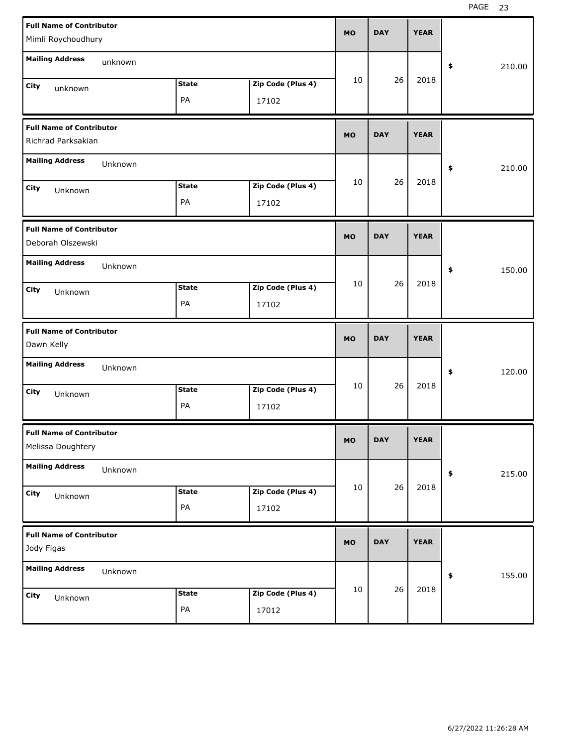| <b>Full Name of Contributor</b><br>Mimli Roychoudhury |         |              |                   | <b>MO</b> | <b>DAY</b> | <b>YEAR</b> |            |        |
|-------------------------------------------------------|---------|--------------|-------------------|-----------|------------|-------------|------------|--------|
| <b>Mailing Address</b>                                | unknown |              |                   |           |            |             |            |        |
|                                                       |         |              |                   | 10        | 26         | 2018        | \$         | 210.00 |
| City<br>unknown                                       |         | <b>State</b> | Zip Code (Plus 4) |           |            |             |            |        |
|                                                       |         | PA           | 17102             |           |            |             |            |        |
| <b>Full Name of Contributor</b><br>Richrad Parksakian |         |              |                   | <b>MO</b> | <b>DAY</b> | <b>YEAR</b> |            |        |
| <b>Mailing Address</b>                                | Unknown |              |                   |           |            |             | \$         | 210.00 |
| City                                                  |         | <b>State</b> | Zip Code (Plus 4) | 10        | 26         | 2018        |            |        |
| Unknown                                               |         | PA           | 17102             |           |            |             |            |        |
| <b>Full Name of Contributor</b><br>Deborah Olszewski  |         |              |                   | <b>MO</b> | <b>DAY</b> | <b>YEAR</b> |            |        |
| <b>Mailing Address</b>                                | Unknown |              |                   |           |            |             | \$         | 150.00 |
| City<br>Unknown                                       |         | <b>State</b> | Zip Code (Plus 4) | 10        | 26         | 2018        |            |        |
|                                                       |         | PA           | 17102             |           |            |             |            |        |
|                                                       |         |              |                   |           |            |             |            |        |
| <b>Full Name of Contributor</b><br>Dawn Kelly         |         |              |                   | <b>MO</b> | <b>DAY</b> | <b>YEAR</b> |            |        |
| <b>Mailing Address</b>                                | Unknown |              |                   |           |            |             | \$         | 120.00 |
| City                                                  |         | <b>State</b> | Zip Code (Plus 4) | 10        | 26         | 2018        |            |        |
| Unknown                                               |         | PA           | 17102             |           |            |             |            |        |
| <b>Full Name of Contributor</b><br>Melissa Doughtery  |         |              |                   | <b>MO</b> | <b>DAY</b> | <b>YEAR</b> |            |        |
| <b>Mailing Address</b>                                | Unknown |              |                   |           |            |             | $\pmb{\$}$ | 215.00 |
| City                                                  |         | <b>State</b> | Zip Code (Plus 4) | 10        | 26         | 2018        |            |        |
| Unknown                                               |         | PA           | 17102             |           |            |             |            |        |
| <b>Full Name of Contributor</b><br>Jody Figas         |         |              |                   | <b>MO</b> | <b>DAY</b> | <b>YEAR</b> |            |        |
| <b>Mailing Address</b>                                | Unknown |              |                   |           |            |             | \$         | 155.00 |
| City<br>Unknown                                       |         | <b>State</b> | Zip Code (Plus 4) | 10        | 26         | 2018        |            |        |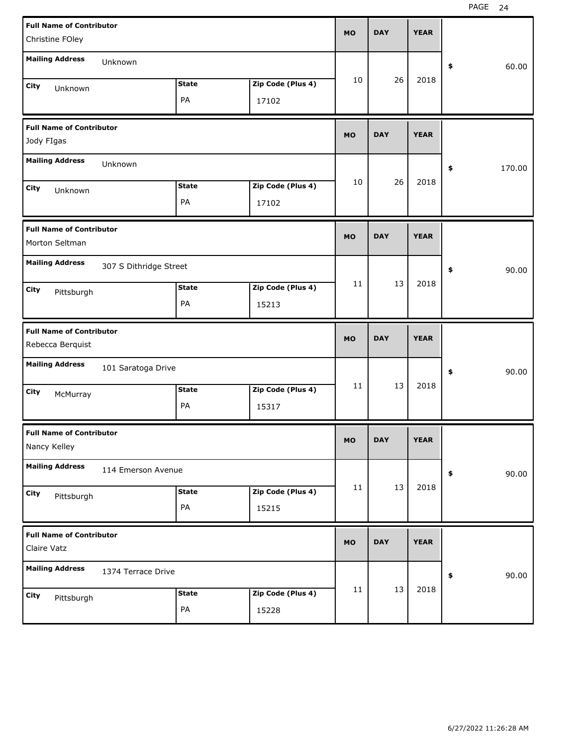| <b>Full Name of Contributor</b><br>Christine FOley  |                        |              |                   | <b>MO</b> | <b>DAY</b> | <b>YEAR</b> |              |  |
|-----------------------------------------------------|------------------------|--------------|-------------------|-----------|------------|-------------|--------------|--|
|                                                     |                        |              |                   |           |            |             |              |  |
| <b>Mailing Address</b>                              | Unknown                |              |                   |           |            |             | \$<br>60.00  |  |
| City<br>Unknown                                     |                        | <b>State</b> | Zip Code (Plus 4) | 10        | 26         | 2018        |              |  |
|                                                     |                        | PA           | 17102             |           |            |             |              |  |
| <b>Full Name of Contributor</b><br>Jody FIgas       |                        |              |                   | <b>MO</b> | <b>DAY</b> | <b>YEAR</b> |              |  |
| <b>Mailing Address</b>                              | Unknown                |              |                   |           |            |             | \$<br>170.00 |  |
| City<br>Unknown                                     |                        | <b>State</b> | Zip Code (Plus 4) | 10        | 26         | 2018        |              |  |
|                                                     |                        | PA           | 17102             |           |            |             |              |  |
| <b>Full Name of Contributor</b>                     |                        |              |                   | <b>MO</b> | <b>DAY</b> | <b>YEAR</b> |              |  |
| Morton Seltman                                      |                        |              |                   |           |            |             |              |  |
| <b>Mailing Address</b>                              | 307 S Dithridge Street |              |                   |           |            |             | \$<br>90.00  |  |
| City<br>Pittsburgh                                  |                        | <b>State</b> | Zip Code (Plus 4) | 11        | 13         | 2018        |              |  |
|                                                     |                        | PA           | 15213             |           |            |             |              |  |
|                                                     |                        |              |                   |           |            |             |              |  |
| <b>Full Name of Contributor</b><br>Rebecca Berquist |                        |              |                   | <b>MO</b> | <b>DAY</b> | <b>YEAR</b> |              |  |
| <b>Mailing Address</b>                              | 101 Saratoga Drive     |              |                   |           |            |             | \$<br>90.00  |  |
|                                                     |                        | <b>State</b> | Zip Code (Plus 4) | 11        | 13         | 2018        |              |  |
| City<br>McMurray                                    |                        | PA           | 15317             |           |            |             |              |  |
| <b>Full Name of Contributor</b><br>Nancy Kelley     |                        |              |                   | МO        | <b>DAY</b> | <b>YEAR</b> |              |  |
| <b>Mailing Address</b>                              | 114 Emerson Avenue     |              |                   |           |            |             | 90.00<br>\$  |  |
|                                                     |                        | <b>State</b> | Zip Code (Plus 4) | 11        | 13         | 2018        |              |  |
| City<br>Pittsburgh                                  |                        | PA           | 15215             |           |            |             |              |  |
| <b>Full Name of Contributor</b><br>Claire Vatz      |                        |              |                   | <b>MO</b> | <b>DAY</b> | <b>YEAR</b> |              |  |
| <b>Mailing Address</b>                              | 1374 Terrace Drive     |              |                   |           |            |             | 90.00<br>\$  |  |
|                                                     |                        | <b>State</b> | Zip Code (Plus 4) | 11        | 13         | 2018        |              |  |
| City<br>Pittsburgh                                  |                        | PA           | 15228             |           |            |             |              |  |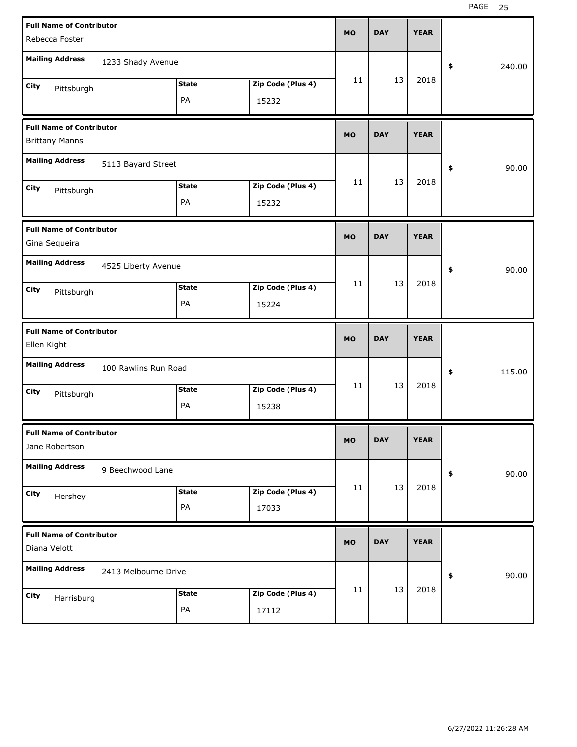| <b>Full Name of Contributor</b><br>Rebecca Foster        |                      |                    |                            | <b>MO</b>   | <b>DAY</b> | <b>YEAR</b> |              |
|----------------------------------------------------------|----------------------|--------------------|----------------------------|-------------|------------|-------------|--------------|
| <b>Mailing Address</b>                                   | 1233 Shady Avenue    |                    |                            |             |            |             | \$<br>240.00 |
| City<br>Pittsburgh                                       |                      | <b>State</b><br>PA | Zip Code (Plus 4)<br>15232 | 11          | 13         | 2018        |              |
| <b>Full Name of Contributor</b><br><b>Brittany Manns</b> |                      |                    |                            |             | <b>DAY</b> | <b>YEAR</b> |              |
| <b>Mailing Address</b>                                   |                      |                    |                            | \$<br>90.00 |            |             |              |
| City<br>Pittsburgh                                       |                      | <b>State</b><br>PA | Zip Code (Plus 4)<br>15232 | 11          | 13         | 2018        |              |
| <b>Full Name of Contributor</b><br>Gina Sequeira         |                      |                    |                            | <b>MO</b>   | <b>DAY</b> | <b>YEAR</b> |              |
| <b>Mailing Address</b>                                   | 4525 Liberty Avenue  |                    |                            |             |            |             | \$<br>90.00  |
| City<br>Pittsburgh                                       |                      | <b>State</b><br>PA | Zip Code (Plus 4)<br>15224 | 11          | 13         | 2018        |              |
|                                                          |                      |                    |                            |             |            |             |              |
| <b>Full Name of Contributor</b><br>Ellen Kight           |                      |                    |                            | <b>MO</b>   | <b>DAY</b> | <b>YEAR</b> |              |
| <b>Mailing Address</b>                                   | 100 Rawlins Run Road |                    |                            |             |            |             | \$<br>115.00 |
| City<br>Pittsburgh                                       |                      | <b>State</b><br>PA | Zip Code (Plus 4)<br>15238 | 11          | 13         | 2018        |              |
| <b>Full Name of Contributor</b><br>Jane Robertson        |                      |                    |                            | MO          | <b>DAY</b> | <b>YEAR</b> |              |
| <b>Mailing Address</b>                                   | 9 Beechwood Lane     |                    |                            |             |            |             | 90.00<br>\$  |
| City<br>Hershey                                          |                      | <b>State</b><br>PA | Zip Code (Plus 4)<br>17033 | 11          | 13         | 2018        |              |
| <b>Full Name of Contributor</b><br>Diana Velott          |                      |                    |                            | <b>MO</b>   | <b>DAY</b> | <b>YEAR</b> |              |
| <b>Mailing Address</b>                                   | 2413 Melbourne Drive |                    |                            |             | 13         | 2018        | 90.00<br>\$  |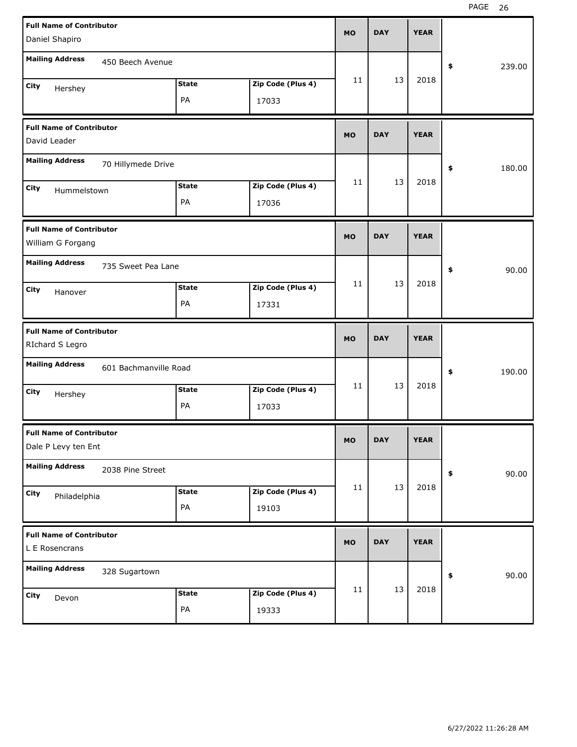| <b>Full Name of Contributor</b><br>Daniel Shapiro                        | <b>MO</b> | <b>DAY</b> |    | <b>YEAR</b> |              |
|--------------------------------------------------------------------------|-----------|------------|----|-------------|--------------|
| <b>Mailing Address</b><br>450 Beech Avenue                               |           |            |    |             | \$<br>239.00 |
| Zip Code (Plus 4)<br><b>State</b><br>City<br>Hershey<br>PA<br>17033      | 11        |            | 13 | 2018        |              |
| <b>Full Name of Contributor</b><br>David Leader                          | <b>MO</b> | <b>DAY</b> |    | <b>YEAR</b> |              |
| <b>Mailing Address</b><br>70 Hillymede Drive                             |           |            |    |             | \$<br>180.00 |
| Zip Code (Plus 4)<br><b>State</b><br>City<br>Hummelstown<br>PA<br>17036  | 11        |            | 13 | 2018        |              |
| <b>Full Name of Contributor</b><br>William G Forgang                     | <b>MO</b> | <b>DAY</b> |    | <b>YEAR</b> |              |
| <b>Mailing Address</b><br>735 Sweet Pea Lane                             |           |            |    |             | \$<br>90.00  |
| Zip Code (Plus 4)<br><b>State</b><br>City<br>Hanover<br>PA<br>17331      | 11        |            | 13 | 2018        |              |
|                                                                          |           |            |    |             |              |
| <b>Full Name of Contributor</b><br>RIchard S Legro                       | <b>MO</b> | <b>DAY</b> |    | <b>YEAR</b> |              |
| <b>Mailing Address</b><br>601 Bachmanville Road                          |           |            |    |             | \$<br>190.00 |
| Zip Code (Plus 4)<br><b>State</b><br>City<br>Hershey<br>PA<br>17033      | 11        |            | 13 | 2018        |              |
| <b>Full Name of Contributor</b><br>Dale P Levy ten Ent                   | <b>MO</b> | <b>DAY</b> |    | <b>YEAR</b> |              |
| <b>Mailing Address</b><br>2038 Pine Street                               |           |            |    |             | \$<br>90.00  |
| Zip Code (Plus 4)<br><b>State</b><br>City<br>Philadelphia<br>PA<br>19103 | 11        |            | 13 | 2018        |              |
| <b>Full Name of Contributor</b><br>L E Rosencrans                        | <b>MO</b> | <b>DAY</b> |    | <b>YEAR</b> |              |
| <b>Mailing Address</b><br>328 Sugartown                                  |           |            | 13 | 2018        | \$<br>90.00  |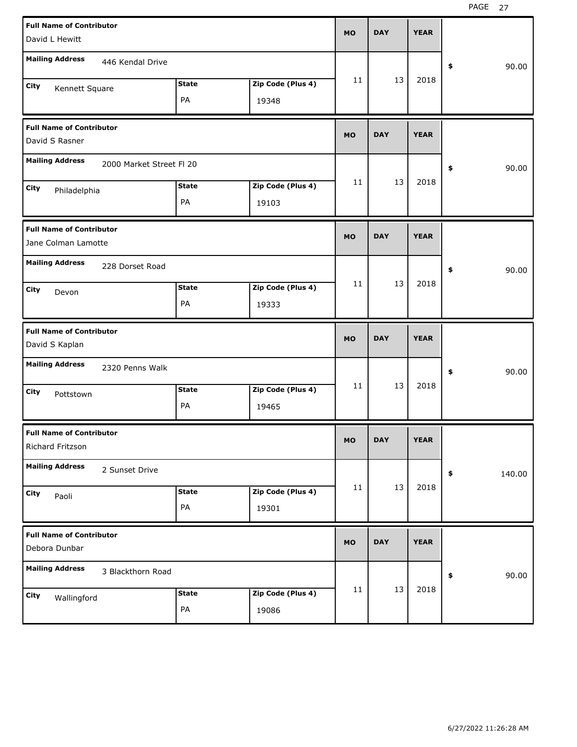| <b>Full Name of Contributor</b><br>David L Hewitt                          | <b>MO</b> | <b>DAY</b> | <b>YEAR</b> |              |
|----------------------------------------------------------------------------|-----------|------------|-------------|--------------|
| <b>Mailing Address</b><br>446 Kendal Drive                                 |           |            |             | 90.00<br>\$  |
| <b>State</b><br>Zip Code (Plus 4)<br>City<br>Kennett Square<br>PA<br>19348 | 11        | 13         | 2018        |              |
| <b>Full Name of Contributor</b><br>David S Rasner                          | <b>MO</b> | <b>DAY</b> | <b>YEAR</b> |              |
| <b>Mailing Address</b><br>2000 Market Street FI 20                         |           |            |             | 90.00<br>\$  |
| Zip Code (Plus 4)<br><b>State</b><br>City<br>Philadelphia<br>PA<br>19103   | 11        | 13         | 2018        |              |
| <b>Full Name of Contributor</b><br>Jane Colman Lamotte                     | <b>MO</b> | <b>DAY</b> | <b>YEAR</b> |              |
| <b>Mailing Address</b><br>228 Dorset Road                                  |           |            |             | 90.00<br>\$  |
| <b>State</b><br>Zip Code (Plus 4)<br>City<br>Devon<br>PA<br>19333          | 11        | 13         | 2018        |              |
|                                                                            |           |            |             |              |
| <b>Full Name of Contributor</b><br>David S Kaplan                          | <b>MO</b> | <b>DAY</b> | <b>YEAR</b> |              |
| <b>Mailing Address</b><br>2320 Penns Walk                                  |           |            |             | 90.00<br>\$  |
| <b>State</b><br>Zip Code (Plus 4)<br>City<br>Pottstown<br>PA<br>19465      | 11        | 13         | 2018        |              |
| <b>Full Name of Contributor</b><br>Richard Fritzson                        | МO        | <b>DAY</b> | <b>YEAR</b> |              |
| <b>Mailing Address</b><br>2 Sunset Drive                                   |           |            |             | 140.00<br>\$ |
| Zip Code (Plus 4)<br><b>State</b><br>City<br>Paoli<br>PA<br>19301          | 11        | 13         | 2018        |              |
| <b>Full Name of Contributor</b><br>Debora Dunbar                           | <b>MO</b> | <b>DAY</b> | <b>YEAR</b> |              |
| <b>Mailing Address</b><br>3 Blackthorn Road                                |           |            |             | 90.00<br>\$  |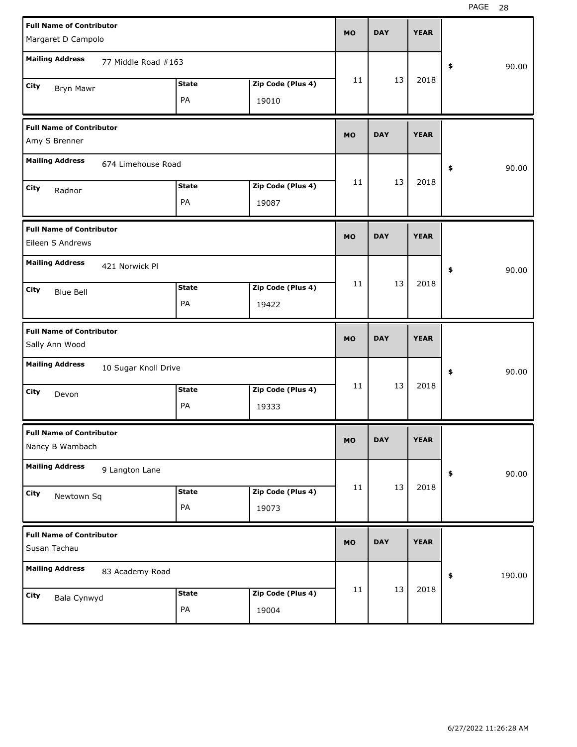| <b>Full Name of Contributor</b><br>Margaret D Campolo |                      |                    |                            | <b>MO</b> | <b>DAY</b> | <b>YEAR</b> |              |
|-------------------------------------------------------|----------------------|--------------------|----------------------------|-----------|------------|-------------|--------------|
|                                                       |                      |                    |                            |           |            |             |              |
| <b>Mailing Address</b>                                | 77 Middle Road #163  |                    |                            |           |            |             | \$<br>90.00  |
| City<br>Bryn Mawr                                     |                      | <b>State</b>       | Zip Code (Plus 4)          | 11        | 13         | 2018        |              |
|                                                       |                      | PA                 | 19010                      |           |            |             |              |
| <b>Full Name of Contributor</b>                       |                      |                    |                            |           | <b>DAY</b> | <b>YEAR</b> |              |
| Amy S Brenner                                         |                      |                    |                            |           |            |             |              |
| <b>Mailing Address</b><br>674 Limehouse Road          |                      |                    |                            |           |            |             | \$<br>90.00  |
| City<br>Radnor                                        |                      | <b>State</b>       | Zip Code (Plus 4)          | 11        | 13         | 2018        |              |
|                                                       |                      | PA                 | 19087                      |           |            |             |              |
| <b>Full Name of Contributor</b>                       |                      |                    |                            |           |            |             |              |
| Eileen S Andrews                                      |                      |                    |                            | <b>MO</b> | <b>DAY</b> | <b>YEAR</b> |              |
| <b>Mailing Address</b>                                | 421 Norwick Pl       |                    |                            |           |            |             | \$<br>90.00  |
| City<br><b>Blue Bell</b>                              |                      | <b>State</b>       | Zip Code (Plus 4)          | 11        | 13         | 2018        |              |
|                                                       |                      | PA                 | 19422                      |           |            |             |              |
|                                                       |                      |                    |                            |           |            |             |              |
| <b>Full Name of Contributor</b>                       |                      |                    |                            |           |            |             |              |
| Sally Ann Wood                                        |                      |                    |                            | <b>MO</b> | <b>DAY</b> | <b>YEAR</b> |              |
| <b>Mailing Address</b>                                | 10 Sugar Knoll Drive |                    |                            |           |            |             | \$<br>90.00  |
| City<br>Devon                                         |                      | <b>State</b>       | Zip Code (Plus 4)          | 11        | 13         | 2018        |              |
|                                                       |                      | PA                 | 19333                      |           |            |             |              |
| <b>Full Name of Contributor</b>                       |                      |                    |                            |           |            |             |              |
| Nancy B Wambach                                       |                      |                    |                            | <b>MO</b> | <b>DAY</b> | <b>YEAR</b> |              |
| <b>Mailing Address</b>                                | 9 Langton Lane       |                    |                            |           |            |             | \$<br>90.00  |
| City<br>Newtown Sq                                    |                      | <b>State</b>       | Zip Code (Plus 4)          | 11        | 13         | 2018        |              |
|                                                       |                      | PA                 | 19073                      |           |            |             |              |
| <b>Full Name of Contributor</b><br>Susan Tachau       |                      |                    |                            | MO        | <b>DAY</b> | <b>YEAR</b> |              |
| <b>Mailing Address</b>                                |                      |                    |                            |           |            |             |              |
|                                                       | 83 Academy Road      |                    |                            |           |            |             | \$<br>190.00 |
| City<br>Bala Cynwyd                                   |                      | <b>State</b><br>PA | Zip Code (Plus 4)<br>19004 | 11        | 13         | 2018        |              |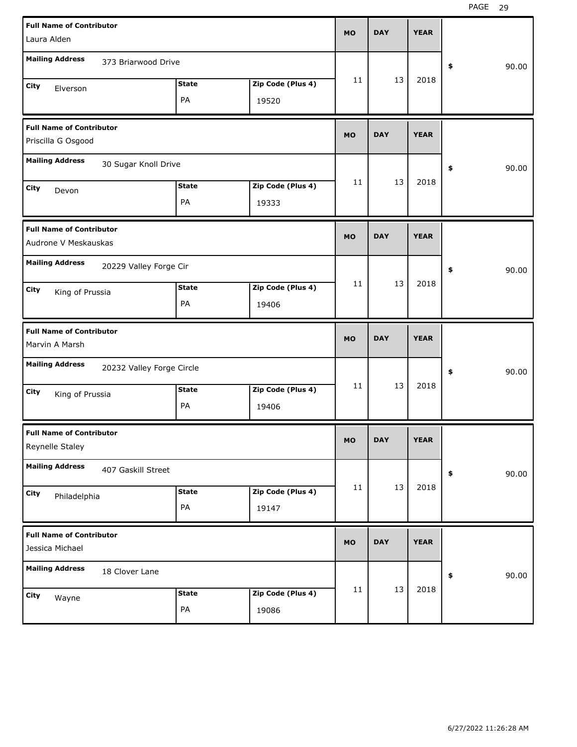| <b>Full Name of Contributor</b>                         |              |                   |             |             |             |             |
|---------------------------------------------------------|--------------|-------------------|-------------|-------------|-------------|-------------|
| Laura Alden                                             |              |                   | <b>MO</b>   | <b>DAY</b>  | <b>YEAR</b> |             |
| <b>Mailing Address</b><br>373 Briarwood Drive           |              |                   |             |             |             | 90.00<br>\$ |
| City                                                    | <b>State</b> | Zip Code (Plus 4) | 11          | 13          | 2018        |             |
| Elverson                                                | PA           | 19520             |             |             |             |             |
| <b>Full Name of Contributor</b><br>Priscilla G Osgood   | <b>MO</b>    | <b>DAY</b>        | <b>YEAR</b> |             |             |             |
| <b>Mailing Address</b><br>30 Sugar Knoll Drive          |              |                   |             | 90.00<br>\$ |             |             |
| City<br>Devon                                           | <b>State</b> | Zip Code (Plus 4) | 11          | 13          | 2018        |             |
|                                                         | PA           | 19333             |             |             |             |             |
| <b>Full Name of Contributor</b><br>Audrone V Meskauskas |              |                   | <b>MO</b>   | <b>DAY</b>  | <b>YEAR</b> |             |
| <b>Mailing Address</b><br>20229 Valley Forge Cir        |              |                   |             |             |             | 90.00<br>\$ |
| City<br>King of Prussia                                 | <b>State</b> | Zip Code (Plus 4) | 11          | 13          | 2018        |             |
|                                                         | PA           | 19406             |             |             |             |             |
|                                                         |              |                   |             |             |             |             |
| <b>Full Name of Contributor</b><br>Marvin A Marsh       |              |                   | <b>MO</b>   | <b>DAY</b>  | <b>YEAR</b> |             |
| <b>Mailing Address</b><br>20232 Valley Forge Circle     |              |                   |             |             |             | 90.00<br>\$ |
| City                                                    | <b>State</b> | Zip Code (Plus 4) | 11          | 13          | 2018        |             |
| King of Prussia                                         | PA           | 19406             |             |             |             |             |
| <b>Full Name of Contributor</b><br>Reynelle Staley      |              |                   | <b>MO</b>   | <b>DAY</b>  | <b>YEAR</b> |             |
| <b>Mailing Address</b><br>407 Gaskill Street            |              |                   |             |             |             | 90.00<br>\$ |
| City                                                    | State        | Zip Code (Plus 4) | 11          | 13          | 2018        |             |
| Philadelphia                                            | PA           | 19147             |             |             |             |             |
| <b>Full Name of Contributor</b><br>Jessica Michael      |              |                   | <b>MO</b>   | <b>DAY</b>  | <b>YEAR</b> |             |
| <b>Mailing Address</b><br>18 Clover Lane                |              |                   |             |             |             | 90.00<br>\$ |
| City<br>Wayne                                           | <b>State</b> | Zip Code (Plus 4) | 11          | 13          | 2018        |             |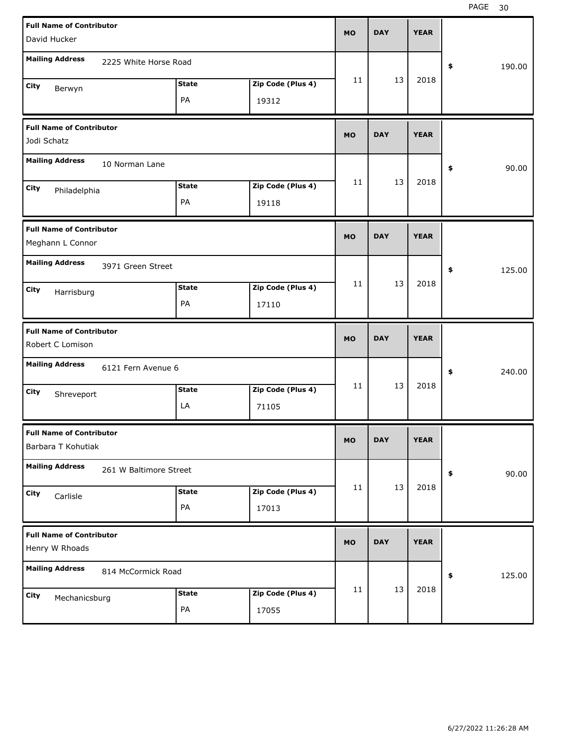| <b>Full Name of Contributor</b> |                        |              |                   | <b>MO</b> | <b>DAY</b> | <b>YEAR</b> |              |
|---------------------------------|------------------------|--------------|-------------------|-----------|------------|-------------|--------------|
| David Hucker                    |                        |              |                   |           |            |             |              |
| <b>Mailing Address</b>          | 2225 White Horse Road  |              |                   |           |            |             | \$<br>190.00 |
| City<br>Berwyn                  |                        | <b>State</b> | Zip Code (Plus 4) | 11        | 13         | 2018        |              |
|                                 |                        | PA           | 19312             |           |            |             |              |
| <b>Full Name of Contributor</b> |                        |              |                   | <b>MO</b> | <b>DAY</b> | <b>YEAR</b> |              |
| Jodi Schatz                     |                        |              |                   |           |            |             |              |
| <b>Mailing Address</b>          | 10 Norman Lane         |              |                   |           |            |             | 90.00<br>\$  |
| City<br>Philadelphia            |                        | <b>State</b> | Zip Code (Plus 4) | 11        | 13         | 2018        |              |
|                                 |                        | PA           | 19118             |           |            |             |              |
| <b>Full Name of Contributor</b> |                        |              |                   | <b>MO</b> | <b>DAY</b> | <b>YEAR</b> |              |
| Meghann L Connor                |                        |              |                   |           |            |             |              |
| <b>Mailing Address</b>          | 3971 Green Street      |              |                   |           |            |             | 125.00<br>\$ |
| City<br>Harrisburg              |                        | <b>State</b> | Zip Code (Plus 4) | 11        | 13         | 2018        |              |
|                                 |                        | PA           | 17110             |           |            |             |              |
|                                 |                        |              |                   |           |            |             |              |
| <b>Full Name of Contributor</b> |                        |              |                   |           |            |             |              |
| Robert C Lomison                |                        |              |                   | <b>MO</b> | <b>DAY</b> | <b>YEAR</b> |              |
| <b>Mailing Address</b>          | 6121 Fern Avenue 6     |              |                   |           |            |             | \$<br>240.00 |
| City                            |                        | <b>State</b> | Zip Code (Plus 4) | 11        | 13         | 2018        |              |
| Shreveport                      |                        | LA           | 71105             |           |            |             |              |
| <b>Full Name of Contributor</b> |                        |              |                   | <b>MO</b> | <b>DAY</b> | <b>YEAR</b> |              |
| Barbara T Kohutiak              |                        |              |                   |           |            |             |              |
| <b>Mailing Address</b>          | 261 W Baltimore Street |              |                   |           |            |             | 90.00<br>\$  |
| City<br>Carlisle                |                        | <b>State</b> | Zip Code (Plus 4) | 11        | 13         | 2018        |              |
|                                 |                        | PA           | 17013             |           |            |             |              |
| <b>Full Name of Contributor</b> |                        |              |                   |           |            |             |              |
| Henry W Rhoads                  |                        |              |                   | <b>MO</b> | <b>DAY</b> | <b>YEAR</b> |              |
| <b>Mailing Address</b>          | 814 McCormick Road     |              |                   |           |            |             | 125.00<br>\$ |
| City                            |                        | <b>State</b> | Zip Code (Plus 4) | 11        | 13         | 2018        |              |
| Mechanicsburg                   |                        | PA           | 17055             |           |            |             |              |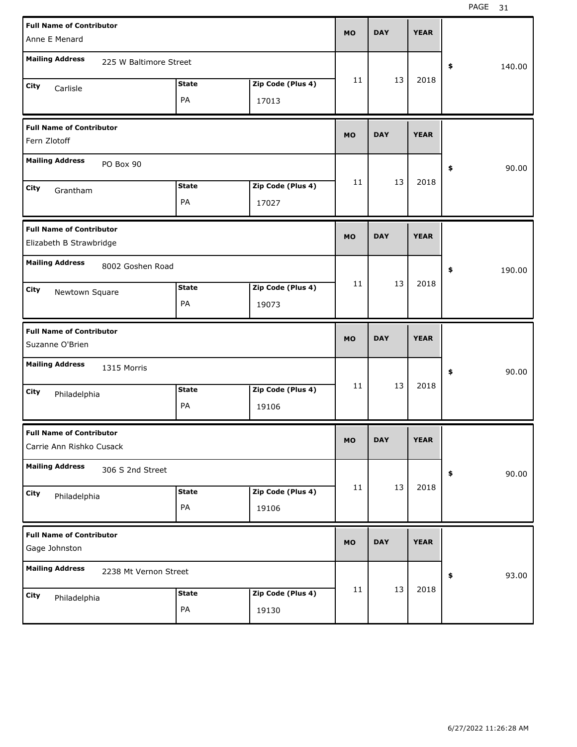| <b>Full Name of Contributor</b><br>Anne E Menard            |              |                   | <b>MO</b>   | <b>DAY</b> | <b>YEAR</b> |              |
|-------------------------------------------------------------|--------------|-------------------|-------------|------------|-------------|--------------|
|                                                             |              |                   |             |            |             |              |
| <b>Mailing Address</b><br>225 W Baltimore Street            |              |                   |             |            |             | \$<br>140.00 |
| City<br>Carlisle                                            | <b>State</b> | Zip Code (Plus 4) | 11          | 13         | 2018        |              |
|                                                             | PA           | 17013             |             |            |             |              |
| <b>Full Name of Contributor</b><br>Fern Zlotoff             | <b>MO</b>    | <b>DAY</b>        | <b>YEAR</b> |            |             |              |
| <b>Mailing Address</b><br>PO Box 90                         |              |                   |             |            |             | \$<br>90.00  |
| City<br>Grantham                                            | <b>State</b> | Zip Code (Plus 4) | 11          | 13         | 2018        |              |
|                                                             | PA           | 17027             |             |            |             |              |
| <b>Full Name of Contributor</b><br>Elizabeth B Strawbridge  |              |                   | <b>MO</b>   | <b>DAY</b> | <b>YEAR</b> |              |
| <b>Mailing Address</b><br>8002 Goshen Road                  |              |                   |             |            |             | \$<br>190.00 |
| City                                                        | <b>State</b> | Zip Code (Plus 4) | 11          | 13         | 2018        |              |
| Newtown Square                                              | PA           | 19073             |             |            |             |              |
|                                                             |              |                   |             |            |             |              |
| <b>Full Name of Contributor</b><br>Suzanne O'Brien          |              |                   | <b>MO</b>   | <b>DAY</b> | <b>YEAR</b> |              |
| <b>Mailing Address</b><br>1315 Morris                       |              |                   |             |            |             | \$<br>90.00  |
| City                                                        | <b>State</b> | Zip Code (Plus 4) | 11          | 13         | 2018        |              |
| Philadelphia                                                | PA           | 19106             |             |            |             |              |
| <b>Full Name of Contributor</b><br>Carrie Ann Rishko Cusack |              |                   | МO          | <b>DAY</b> | <b>YEAR</b> |              |
| <b>Mailing Address</b><br>306 S 2nd Street                  |              |                   |             |            |             | 90.00<br>\$  |
| City                                                        | <b>State</b> | Zip Code (Plus 4) | 11          | 13         | 2018        |              |
| Philadelphia                                                | PA           | 19106             |             |            |             |              |
| <b>Full Name of Contributor</b><br>Gage Johnston            |              |                   | <b>MO</b>   | <b>DAY</b> | <b>YEAR</b> |              |
| <b>Mailing Address</b><br>2238 Mt Vernon Street             |              |                   |             |            |             | 93.00<br>\$  |
| City<br>Philadelphia                                        | <b>State</b> | Zip Code (Plus 4) | 11          | 13         | 2018        |              |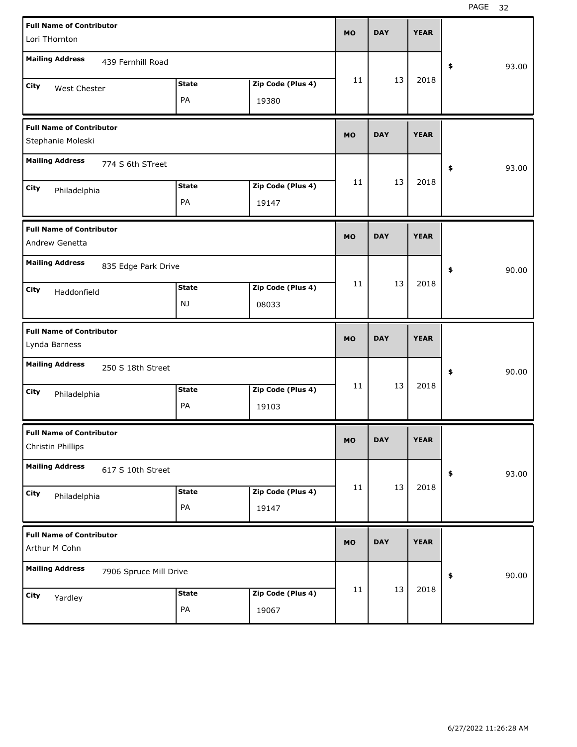| <b>Full Name of Contributor</b><br>Lori THornton     | <b>MO</b>               | <b>DAY</b> | <b>YEAR</b> |             |
|------------------------------------------------------|-------------------------|------------|-------------|-------------|
| <b>Mailing Address</b><br>439 Fernhill Road          |                         |            |             | \$<br>93.00 |
| <b>State</b><br>City<br>West Chester<br>PA<br>19380  | 11<br>Zip Code (Plus 4) | 13         | 2018        |             |
| <b>Full Name of Contributor</b><br>Stephanie Moleski | <b>MO</b>               | <b>DAY</b> | <b>YEAR</b> |             |
| <b>Mailing Address</b><br>774 S 6th STreet           |                         |            |             | \$<br>93.00 |
| <b>State</b><br>City<br>Philadelphia<br>PA<br>19147  | 11<br>Zip Code (Plus 4) | 13         | 2018        |             |
| <b>Full Name of Contributor</b><br>Andrew Genetta    | <b>MO</b>               | <b>DAY</b> | <b>YEAR</b> |             |
| <b>Mailing Address</b><br>835 Edge Park Drive        |                         |            |             | \$<br>90.00 |
| <b>State</b><br>City<br>Haddonfield<br>NJ<br>08033   | 11<br>Zip Code (Plus 4) | 13         | 2018        |             |
|                                                      |                         |            |             |             |
| <b>Full Name of Contributor</b><br>Lynda Barness     | <b>MO</b>               | <b>DAY</b> | <b>YEAR</b> |             |
| <b>Mailing Address</b><br>250 S 18th Street          |                         |            |             | \$<br>90.00 |
| <b>State</b><br>City<br>Philadelphia<br>PA<br>19103  | 11<br>Zip Code (Plus 4) | 13         | 2018        |             |
| <b>Full Name of Contributor</b><br>Christin Phillips | <b>MO</b>               | <b>DAY</b> | <b>YEAR</b> |             |
| <b>Mailing Address</b><br>617 S 10th Street          |                         |            |             | 93.00<br>\$ |
| <b>State</b><br>City<br>Philadelphia<br>PA<br>19147  | 11<br>Zip Code (Plus 4) | 13         | 2018        |             |
| <b>Full Name of Contributor</b><br>Arthur M Cohn     | <b>MO</b>               | <b>DAY</b> | <b>YEAR</b> |             |
| <b>Mailing Address</b><br>7906 Spruce Mill Drive     |                         | 13         | 2018        | 90.00<br>\$ |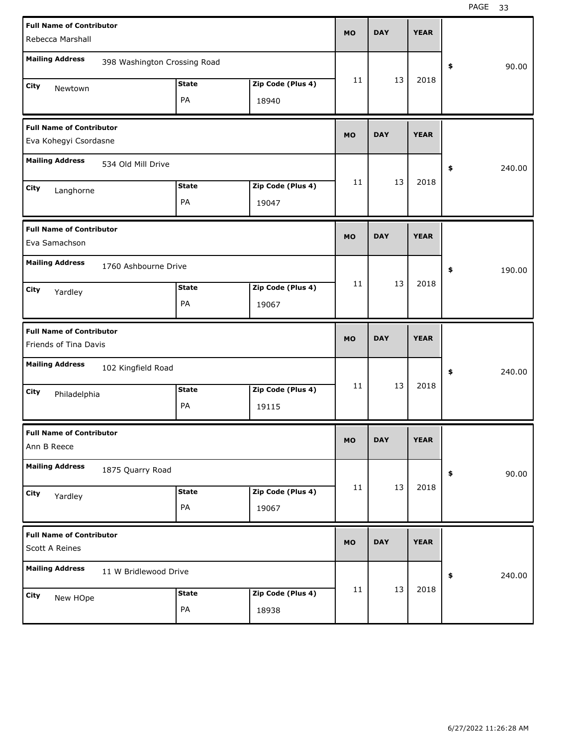| <b>Full Name of Contributor</b>                          |                              |              |                   |           |            |             |              |  |
|----------------------------------------------------------|------------------------------|--------------|-------------------|-----------|------------|-------------|--------------|--|
| Rebecca Marshall                                         |                              |              |                   | <b>MO</b> | <b>DAY</b> | <b>YEAR</b> |              |  |
| <b>Mailing Address</b>                                   | 398 Washington Crossing Road |              |                   |           |            |             | 90.00<br>\$  |  |
| City<br>Newtown                                          |                              | <b>State</b> | Zip Code (Plus 4) | 11        | 13         | 2018        |              |  |
|                                                          |                              | PA           | 18940             |           |            |             |              |  |
| <b>Full Name of Contributor</b>                          |                              |              |                   | <b>MO</b> | <b>DAY</b> | <b>YEAR</b> |              |  |
| Eva Kohegyi Csordasne                                    |                              |              |                   |           |            |             |              |  |
| <b>Mailing Address</b>                                   | 534 Old Mill Drive           |              |                   |           |            |             | 240.00<br>\$ |  |
| City<br>Langhorne                                        |                              | <b>State</b> | Zip Code (Plus 4) | 11        | 13         | 2018        |              |  |
|                                                          |                              | PA           | 19047             |           |            |             |              |  |
| <b>Full Name of Contributor</b><br>Eva Samachson         |                              |              |                   | <b>MO</b> | <b>DAY</b> | <b>YEAR</b> |              |  |
| <b>Mailing Address</b>                                   | 1760 Ashbourne Drive         |              |                   |           |            |             | 190.00<br>\$ |  |
| City<br>Yardley                                          |                              | <b>State</b> | Zip Code (Plus 4) | 11        | 13         | 2018        |              |  |
|                                                          |                              | PA           | 19067             |           |            |             |              |  |
|                                                          |                              |              |                   |           |            |             |              |  |
| <b>Full Name of Contributor</b><br>Friends of Tina Davis |                              |              |                   | <b>MO</b> | <b>DAY</b> | <b>YEAR</b> |              |  |
| <b>Mailing Address</b>                                   | 102 Kingfield Road           |              |                   |           |            |             | 240.00<br>\$ |  |
| City                                                     |                              | <b>State</b> | Zip Code (Plus 4) | 11        | 13         | 2018        |              |  |
| Philadelphia                                             |                              | PA           | 19115             |           |            |             |              |  |
| <b>Full Name of Contributor</b><br>Ann B Reece           |                              |              |                   | МO        | <b>DAY</b> | <b>YEAR</b> |              |  |
| <b>Mailing Address</b>                                   | 1875 Quarry Road             |              |                   |           |            |             | 90.00<br>\$  |  |
| City                                                     |                              | <b>State</b> | Zip Code (Plus 4) | 11        | 13         | 2018        |              |  |
| Yardley                                                  |                              | PA           | 19067             |           |            |             |              |  |
| <b>Full Name of Contributor</b><br>Scott A Reines        |                              |              |                   | <b>MO</b> | <b>DAY</b> | <b>YEAR</b> |              |  |
| <b>Mailing Address</b>                                   | 11 W Bridlewood Drive        |              |                   |           |            |             | 240.00<br>\$ |  |
| City<br>New HOpe                                         |                              | <b>State</b> | Zip Code (Plus 4) | 11        | 13         | 2018        |              |  |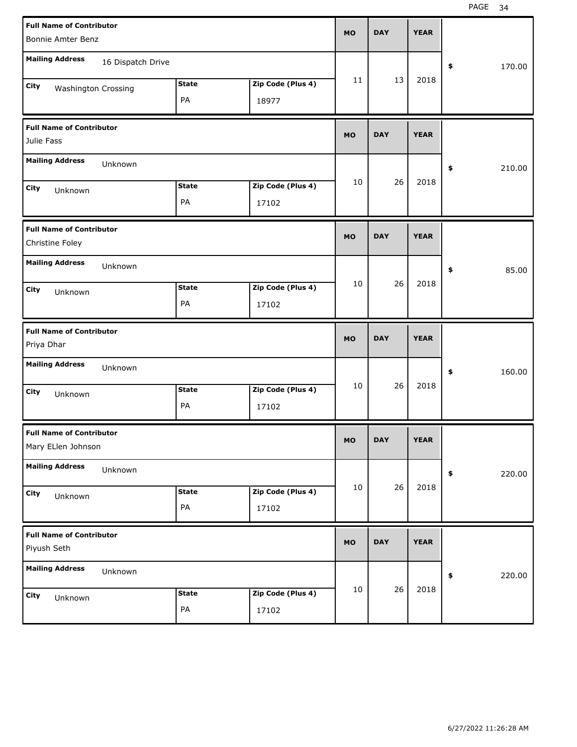| <b>Full Name of Contributor</b>                       |                   |              |                   | <b>MO</b> | <b>DAY</b> | <b>YEAR</b> |              |
|-------------------------------------------------------|-------------------|--------------|-------------------|-----------|------------|-------------|--------------|
| Bonnie Amter Benz                                     |                   |              |                   |           |            |             |              |
| <b>Mailing Address</b>                                | 16 Dispatch Drive |              |                   |           |            |             | \$<br>170.00 |
| City<br><b>Washington Crossing</b>                    |                   | <b>State</b> | Zip Code (Plus 4) | 11        | 13         | 2018        |              |
|                                                       |                   | PA           | 18977             |           |            |             |              |
| <b>Full Name of Contributor</b><br>Julie Fass         |                   |              |                   | <b>MO</b> | <b>DAY</b> | <b>YEAR</b> |              |
| <b>Mailing Address</b>                                | Unknown           |              |                   |           |            |             | \$<br>210.00 |
| City<br>Unknown                                       |                   | <b>State</b> | Zip Code (Plus 4) | 10        | 26         | 2018        |              |
|                                                       |                   | PA           | 17102             |           |            |             |              |
| <b>Full Name of Contributor</b><br>Christine Foley    |                   |              |                   | <b>MO</b> | <b>DAY</b> | <b>YEAR</b> |              |
| <b>Mailing Address</b>                                | Unknown           |              |                   |           |            |             | \$<br>85.00  |
| City<br>Unknown                                       |                   | <b>State</b> | Zip Code (Plus 4) | 10        | 26         | 2018        |              |
|                                                       |                   | PA           | 17102             |           |            |             |              |
|                                                       |                   |              |                   |           |            |             |              |
| <b>Full Name of Contributor</b><br>Priya Dhar         |                   |              |                   | <b>MO</b> | <b>DAY</b> | <b>YEAR</b> |              |
| <b>Mailing Address</b>                                | Unknown           |              |                   |           |            |             | \$<br>160.00 |
| City<br>Unknown                                       |                   | <b>State</b> | Zip Code (Plus 4) | 10        | 26         | 2018        |              |
|                                                       |                   | PA           | 17102             |           |            |             |              |
| <b>Full Name of Contributor</b><br>Mary ELlen Johnson |                   |              |                   | МO        | <b>DAY</b> | <b>YEAR</b> |              |
| <b>Mailing Address</b>                                | Unknown           |              |                   |           |            |             | \$<br>220.00 |
| City<br>Unknown                                       |                   | <b>State</b> | Zip Code (Plus 4) | 10        | 26         | 2018        |              |
|                                                       |                   | PA           | 17102             |           |            |             |              |
| <b>Full Name of Contributor</b><br>Piyush Seth        |                   |              |                   | <b>MO</b> | <b>DAY</b> | <b>YEAR</b> |              |
| <b>Mailing Address</b>                                | Unknown           |              |                   |           |            |             | \$<br>220.00 |
| City<br>Unknown                                       |                   | <b>State</b> | Zip Code (Plus 4) | 10        | 26         | 2018        |              |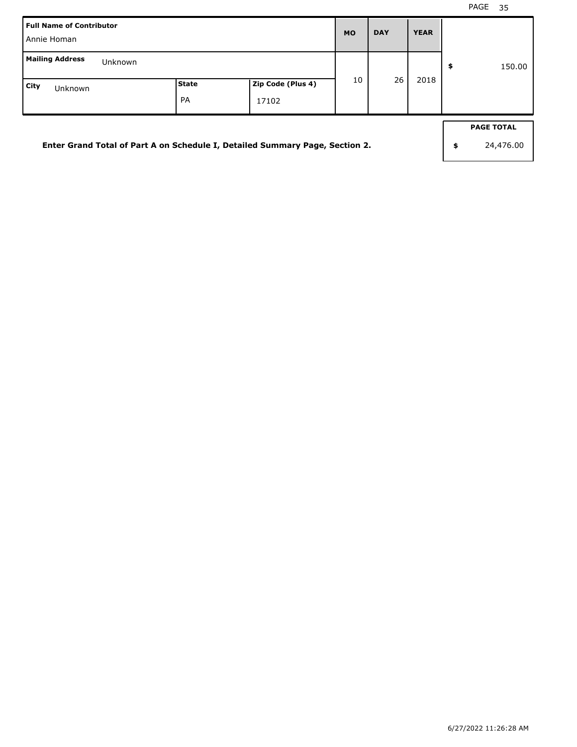| <b>Full Name of Contributor</b><br>Annie Homan                               |             |                            | <b>MO</b> | <b>DAY</b> | <b>YEAR</b> |                                      |
|------------------------------------------------------------------------------|-------------|----------------------------|-----------|------------|-------------|--------------------------------------|
| <b>Mailing Address</b><br>Unknown                                            |             |                            |           |            |             | \$<br>150.00                         |
| City<br>Unknown                                                              | State<br>PA | Zip Code (Plus 4)<br>17102 | 10        | 26         | 2018        |                                      |
| Enter Grand Total of Part A on Schedule I, Detailed Summary Page, Section 2. |             |                            |           |            |             | \$<br><b>PAGE TOTAL</b><br>24,476.00 |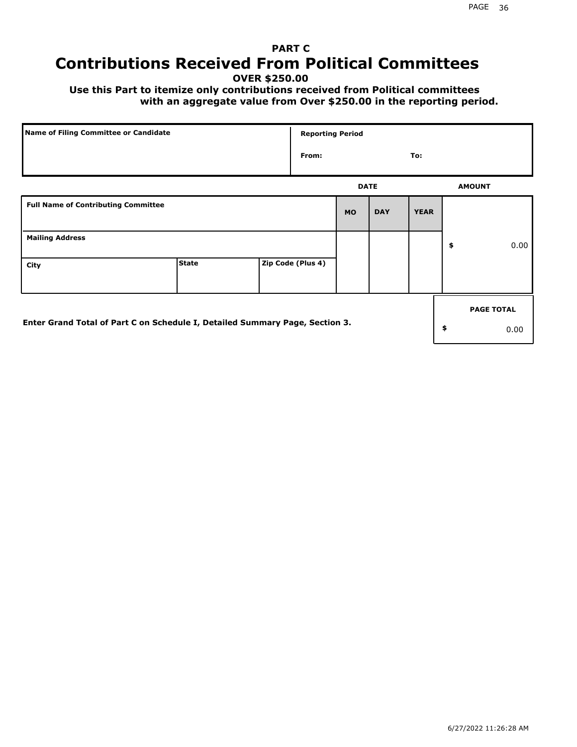# **PART C Contributions Received From Political Committees**

**OVER \$250.00**

 **Use this Part to itemize only contributions received from Political committees with an aggregate value from Over \$250.00 in the reporting period.**

| Name of Filing Committee or Candidate                                        |              |  | <b>Reporting Period</b> |             |            |             |    |                   |
|------------------------------------------------------------------------------|--------------|--|-------------------------|-------------|------------|-------------|----|-------------------|
|                                                                              |              |  | From:                   |             |            | To:         |    |                   |
|                                                                              |              |  |                         | <b>DATE</b> |            |             |    | <b>AMOUNT</b>     |
| <b>Full Name of Contributing Committee</b>                                   |              |  |                         | <b>MO</b>   | <b>DAY</b> | <b>YEAR</b> |    |                   |
| <b>Mailing Address</b>                                                       |              |  |                         |             |            |             | \$ | 0.00              |
| City                                                                         | <b>State</b> |  | Zip Code (Plus 4)       |             |            |             |    |                   |
|                                                                              |              |  |                         |             |            |             |    | <b>PAGE TOTAL</b> |
| Enter Grand Total of Part C on Schedule I, Detailed Summary Page, Section 3. |              |  |                         |             |            |             | \$ | 0.00              |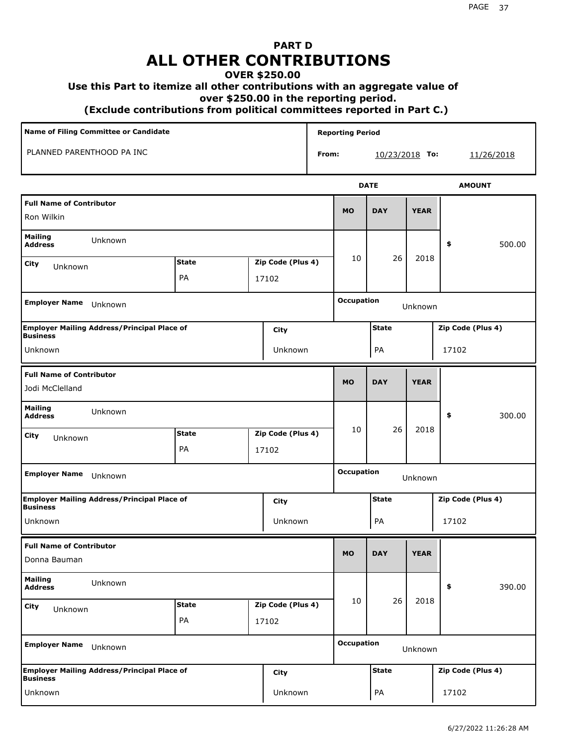# **PART D ALL OTHER CONTRIBUTIONS**

#### **OVER \$250.00**

#### **Use this Part to itemize all other contributions with an aggregate value of**

 **over \$250.00 in the reporting period.**

 **(Exclude contributions from political committees reported in Part C.)** 

| Name of Filing Committee or Candidate<br>PLANNED PARENTHOOD PA INC |                                                    |              |  |                   |       | <b>Reporting Period</b> |                  |             |            |                   |        |
|--------------------------------------------------------------------|----------------------------------------------------|--------------|--|-------------------|-------|-------------------------|------------------|-------------|------------|-------------------|--------|
|                                                                    |                                                    |              |  |                   | From: |                         | $10/23/2018$ To: |             | 11/26/2018 |                   |        |
|                                                                    |                                                    |              |  |                   |       |                         | <b>DATE</b>      |             |            | <b>AMOUNT</b>     |        |
| <b>Full Name of Contributor</b><br>Ron Wilkin                      |                                                    |              |  |                   |       | <b>MO</b>               | <b>DAY</b>       | <b>YEAR</b> |            |                   |        |
| <b>Mailing</b><br><b>Address</b>                                   | Unknown                                            |              |  |                   |       |                         |                  |             | \$         |                   | 500.00 |
| City<br>Unknown                                                    |                                                    | <b>State</b> |  | Zip Code (Plus 4) |       | 10                      | 26               | 2018        |            |                   |        |
|                                                                    |                                                    | PA           |  | 17102             |       |                         |                  |             |            |                   |        |
| <b>Employer Name</b>                                               | Unknown                                            |              |  |                   |       | <b>Occupation</b>       |                  | Unknown     |            |                   |        |
| <b>Business</b>                                                    | <b>Employer Mailing Address/Principal Place of</b> |              |  | City              |       |                         | <b>State</b>     |             |            | Zip Code (Plus 4) |        |
| Unknown                                                            |                                                    |              |  | Unknown           |       |                         | PA               |             |            | 17102             |        |
| <b>Full Name of Contributor</b>                                    |                                                    |              |  |                   |       | <b>MO</b>               | <b>DAY</b>       | <b>YEAR</b> |            |                   |        |
| Jodi McClelland                                                    |                                                    |              |  |                   |       |                         |                  |             |            |                   |        |
| <b>Mailing</b><br><b>Address</b>                                   | Unknown                                            |              |  |                   |       |                         |                  |             | \$         |                   | 300.00 |
| City<br>Unknown                                                    |                                                    | <b>State</b> |  | Zip Code (Plus 4) |       | 10                      | 26               | 2018        |            |                   |        |
|                                                                    |                                                    | PA           |  | 17102             |       |                         |                  |             |            |                   |        |
| <b>Employer Name</b>                                               | Unknown                                            |              |  |                   |       | <b>Occupation</b>       |                  | Unknown     |            |                   |        |
| <b>Business</b>                                                    | <b>Employer Mailing Address/Principal Place of</b> |              |  | City              |       |                         | <b>State</b>     |             |            | Zip Code (Plus 4) |        |
| Unknown                                                            |                                                    |              |  | Unknown           |       |                         | PA               |             |            | 17102             |        |
| <b>Full Name of Contributor</b><br>Donna Bauman                    |                                                    |              |  |                   |       | <b>MO</b>               | <b>DAY</b>       | <b>YEAR</b> |            |                   |        |
| <b>Mailing</b><br><b>Address</b>                                   | Unknown                                            |              |  |                   |       |                         |                  |             | \$         |                   | 390.00 |
| <b>City</b><br>Unknown                                             |                                                    | <b>State</b> |  | Zip Code (Plus 4) |       | 10                      | 26               | 2018        |            |                   |        |
|                                                                    |                                                    | PA           |  | 17102             |       |                         |                  |             |            |                   |        |
| <b>Employer Name</b>                                               | Unknown                                            |              |  |                   |       | <b>Occupation</b>       |                  | Unknown     |            |                   |        |
| <b>Business</b>                                                    | <b>Employer Mailing Address/Principal Place of</b> |              |  | <b>City</b>       |       |                         | <b>State</b>     |             |            | Zip Code (Plus 4) |        |
| Unknown                                                            |                                                    |              |  | Unknown           |       |                         | PA               |             |            | 17102             |        |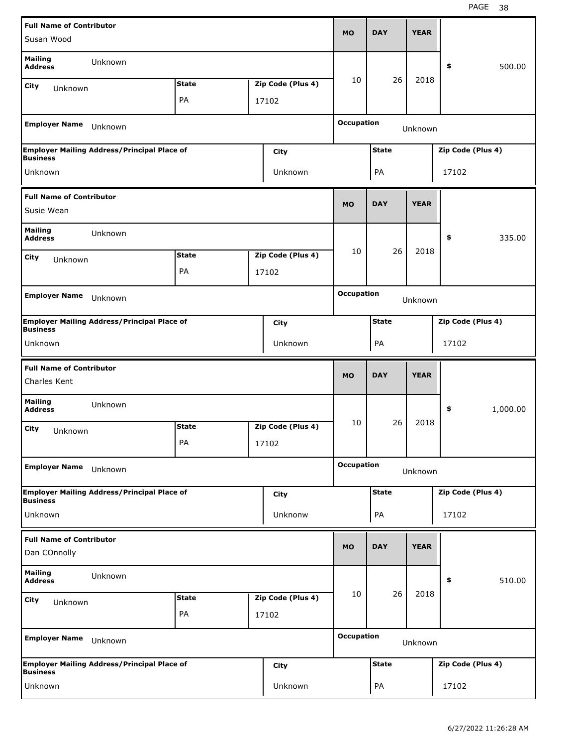| <b>Full Name of Contributor</b>                 |                                                    |              |                   | <b>MO</b>         | <b>DAY</b>   | <b>YEAR</b> |                   |          |
|-------------------------------------------------|----------------------------------------------------|--------------|-------------------|-------------------|--------------|-------------|-------------------|----------|
| Susan Wood                                      |                                                    |              |                   |                   |              |             |                   |          |
| <b>Mailing</b><br><b>Address</b>                | Unknown                                            |              |                   |                   |              |             | \$                | 500.00   |
| City<br>Unknown                                 |                                                    | <b>State</b> | Zip Code (Plus 4) | 10                | 26           | 2018        |                   |          |
|                                                 |                                                    | PA           | 17102             |                   |              |             |                   |          |
| <b>Employer Name</b>                            | Unknown                                            |              |                   | <b>Occupation</b> |              | Unknown     |                   |          |
| <b>Business</b>                                 | <b>Employer Mailing Address/Principal Place of</b> |              | City              |                   | <b>State</b> |             | Zip Code (Plus 4) |          |
| Unknown                                         |                                                    |              | Unknown           |                   | PA           |             | 17102             |          |
| <b>Full Name of Contributor</b>                 |                                                    |              |                   |                   |              |             |                   |          |
| Susie Wean                                      |                                                    |              |                   | <b>MO</b>         | <b>DAY</b>   | <b>YEAR</b> |                   |          |
| <b>Mailing</b><br><b>Address</b>                | Unknown                                            |              |                   |                   |              |             | \$                | 335.00   |
| City<br>Unknown                                 |                                                    | <b>State</b> | Zip Code (Plus 4) | 10                | 26           | 2018        |                   |          |
|                                                 |                                                    | PA           | 17102             |                   |              |             |                   |          |
| <b>Employer Name</b>                            | Unknown                                            |              |                   | <b>Occupation</b> |              | Unknown     |                   |          |
|                                                 | <b>Employer Mailing Address/Principal Place of</b> |              | City              |                   | <b>State</b> |             | Zip Code (Plus 4) |          |
| <b>Business</b>                                 |                                                    |              |                   |                   |              |             |                   |          |
| Unknown                                         |                                                    |              | Unknown           |                   | PA           |             | 17102             |          |
|                                                 |                                                    |              |                   |                   |              |             |                   |          |
| <b>Full Name of Contributor</b><br>Charles Kent |                                                    |              |                   | <b>MO</b>         | <b>DAY</b>   | <b>YEAR</b> |                   |          |
| <b>Mailing</b><br><b>Address</b>                | Unknown                                            |              |                   |                   |              |             | \$                | 1,000.00 |
| City                                            |                                                    | <b>State</b> | Zip Code (Plus 4) | 10                | 26           | 2018        |                   |          |
| Unknown                                         |                                                    | PA           | 17102             |                   |              |             |                   |          |
| <b>Employer Name</b>                            | Unknown                                            |              |                   | <b>Occupation</b> |              | Unknown     |                   |          |
|                                                 | <b>Employer Mailing Address/Principal Place of</b> |              | City              |                   | <b>State</b> |             | Zip Code (Plus 4) |          |
| <b>Business</b><br>Unknown                      |                                                    |              | Unknonw           |                   | PA           |             | 17102             |          |
| <b>Full Name of Contributor</b>                 |                                                    |              |                   | <b>MO</b>         | <b>DAY</b>   | <b>YEAR</b> |                   |          |
| Dan COnnolly                                    |                                                    |              |                   |                   |              |             |                   |          |
| <b>Mailing</b><br><b>Address</b>                | Unknown                                            |              |                   |                   |              |             | \$                | 510.00   |
| City<br>Unknown                                 |                                                    | <b>State</b> | Zip Code (Plus 4) | 10                | 26           | 2018        |                   |          |
|                                                 |                                                    | PA           | 17102             |                   |              |             |                   |          |
| <b>Employer Name</b>                            | Unknown                                            |              |                   | <b>Occupation</b> |              | Unknown     |                   |          |
| <b>Business</b>                                 | <b>Employer Mailing Address/Principal Place of</b> |              | City              |                   | <b>State</b> |             | Zip Code (Plus 4) |          |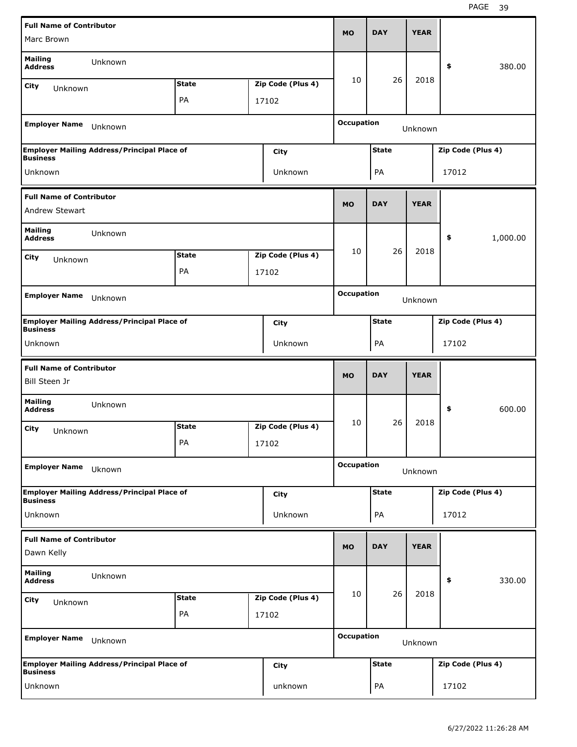| <b>Full Name of Contributor</b>                  |                                                    |              |                   | <b>MO</b>         | <b>DAY</b>   | <b>YEAR</b> |                   |          |
|--------------------------------------------------|----------------------------------------------------|--------------|-------------------|-------------------|--------------|-------------|-------------------|----------|
| Marc Brown                                       |                                                    |              |                   |                   |              |             |                   |          |
| <b>Mailing</b><br><b>Address</b>                 | Unknown                                            |              |                   |                   |              |             | \$                | 380.00   |
| City<br>Unknown                                  |                                                    | <b>State</b> | Zip Code (Plus 4) | 10                | 26           | 2018        |                   |          |
|                                                  |                                                    | PA           | 17102             |                   |              |             |                   |          |
| <b>Employer Name</b>                             | Unknown                                            |              |                   | <b>Occupation</b> |              | Unknown     |                   |          |
| <b>Business</b>                                  | <b>Employer Mailing Address/Principal Place of</b> |              | City              |                   | <b>State</b> |             | Zip Code (Plus 4) |          |
| Unknown                                          |                                                    |              | Unknown           |                   | PA           |             | 17012             |          |
| <b>Full Name of Contributor</b>                  |                                                    |              |                   |                   |              |             |                   |          |
| Andrew Stewart                                   |                                                    |              |                   | <b>MO</b>         | <b>DAY</b>   | <b>YEAR</b> |                   |          |
| <b>Mailing</b><br><b>Address</b>                 | Unknown                                            |              |                   |                   |              |             | \$                | 1,000.00 |
| City<br>Unknown                                  |                                                    | <b>State</b> | Zip Code (Plus 4) | 10                | 26           | 2018        |                   |          |
|                                                  |                                                    | PA           | 17102             |                   |              |             |                   |          |
|                                                  |                                                    |              |                   | <b>Occupation</b> |              |             |                   |          |
| <b>Employer Name</b>                             | Unknown                                            |              |                   |                   |              | Unknown     |                   |          |
|                                                  | <b>Employer Mailing Address/Principal Place of</b> |              | City              |                   | <b>State</b> |             | Zip Code (Plus 4) |          |
| <b>Business</b><br>Unknown                       |                                                    |              | Unknown           |                   | PA           |             | 17102             |          |
|                                                  |                                                    |              |                   |                   |              |             |                   |          |
|                                                  |                                                    |              |                   |                   |              |             |                   |          |
| <b>Full Name of Contributor</b><br>Bill Steen Jr |                                                    |              |                   | <b>MO</b>         | <b>DAY</b>   | <b>YEAR</b> |                   |          |
| <b>Mailing</b><br><b>Address</b>                 | Unknown                                            |              |                   |                   |              |             | \$                | 600.00   |
| City<br>Unknown                                  |                                                    | <b>State</b> | Zip Code (Plus 4) | 10                | 26           | 2018        |                   |          |
|                                                  |                                                    | PА           | 17102             |                   |              |             |                   |          |
| <b>Employer Name</b>                             | Uknown                                             |              |                   | <b>Occupation</b> |              | Unknown     |                   |          |
|                                                  | <b>Employer Mailing Address/Principal Place of</b> |              | City              |                   | <b>State</b> |             | Zip Code (Plus 4) |          |
| <b>Business</b>                                  |                                                    |              |                   |                   |              |             |                   |          |
| Unknown                                          |                                                    |              | Unknown           |                   | PA           |             | 17012             |          |
| <b>Full Name of Contributor</b><br>Dawn Kelly    |                                                    |              |                   | <b>MO</b>         | <b>DAY</b>   | <b>YEAR</b> |                   |          |
| <b>Mailing</b><br><b>Address</b>                 | Unknown                                            |              |                   |                   |              |             | \$                | 330.00   |
| City                                             |                                                    | <b>State</b> | Zip Code (Plus 4) | 10                | 26           | 2018        |                   |          |
| Unknown                                          |                                                    | PA           | 17102             |                   |              |             |                   |          |
| <b>Employer Name</b>                             | Unknown                                            |              |                   | <b>Occupation</b> |              | Unknown     |                   |          |
| <b>Business</b>                                  | <b>Employer Mailing Address/Principal Place of</b> |              | <b>City</b>       |                   | <b>State</b> |             | Zip Code (Plus 4) |          |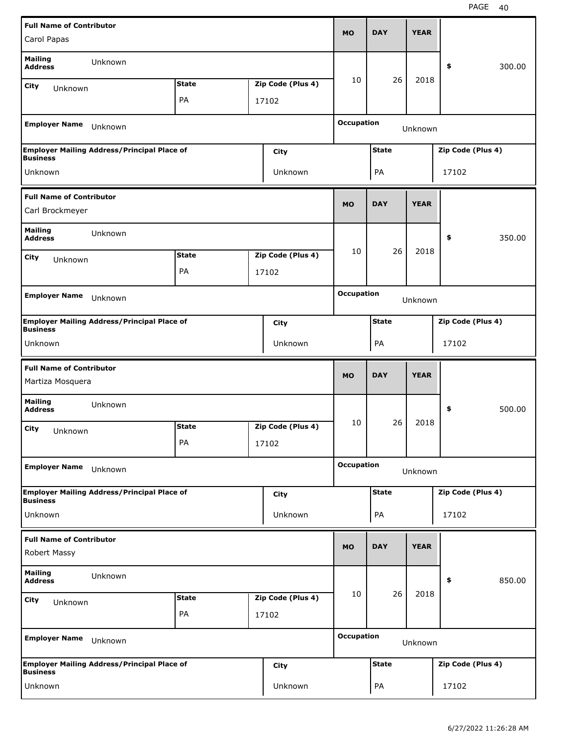| <b>Full Name of Contributor</b>                     |                                                    |              |                   |                   | <b>DAY</b>   | <b>YEAR</b> |                   |        |
|-----------------------------------------------------|----------------------------------------------------|--------------|-------------------|-------------------|--------------|-------------|-------------------|--------|
| Carol Papas                                         |                                                    |              |                   | <b>MO</b>         |              |             |                   |        |
| <b>Mailing</b><br><b>Address</b>                    | Unknown                                            |              |                   |                   |              |             | \$                | 300.00 |
| City<br>Unknown                                     |                                                    | <b>State</b> | Zip Code (Plus 4) | 10                | 26           | 2018        |                   |        |
|                                                     |                                                    | PA           | 17102             |                   |              |             |                   |        |
| <b>Employer Name</b>                                | Unknown                                            |              |                   | <b>Occupation</b> |              | Unknown     |                   |        |
| <b>Business</b>                                     | <b>Employer Mailing Address/Principal Place of</b> |              | City              |                   | <b>State</b> |             | Zip Code (Plus 4) |        |
| Unknown                                             |                                                    |              | Unknown           |                   | PA           |             | 17102             |        |
| <b>Full Name of Contributor</b>                     |                                                    |              |                   | <b>MO</b>         | <b>DAY</b>   | <b>YEAR</b> |                   |        |
| Carl Brockmeyer                                     |                                                    |              |                   |                   |              |             |                   |        |
| <b>Mailing</b><br><b>Address</b>                    | Unknown                                            |              |                   |                   |              |             | \$                | 350.00 |
| City<br>Unknown                                     |                                                    | <b>State</b> | Zip Code (Plus 4) | 10                | 26           | 2018        |                   |        |
|                                                     |                                                    | PA           | 17102             |                   |              |             |                   |        |
| <b>Employer Name</b>                                | Unknown                                            |              |                   | <b>Occupation</b> |              | Unknown     |                   |        |
|                                                     | <b>Employer Mailing Address/Principal Place of</b> |              |                   |                   | <b>State</b> |             | Zip Code (Plus 4) |        |
| <b>Business</b>                                     |                                                    |              | City              |                   |              |             |                   |        |
| Unknown                                             |                                                    |              | Unknown           |                   | PA           |             | 17102             |        |
|                                                     |                                                    |              |                   |                   |              |             |                   |        |
| <b>Full Name of Contributor</b><br>Martiza Mosquera |                                                    |              |                   | <b>MO</b>         | <b>DAY</b>   | <b>YEAR</b> |                   |        |
| <b>Mailing</b><br><b>Address</b>                    | Unknown                                            |              |                   |                   |              |             | \$                | 500.00 |
| City                                                |                                                    | <b>State</b> | Zip Code (Plus 4) | 10                | 26           | 2018        |                   |        |
| Unknown                                             |                                                    | PA           | 17102             |                   |              |             |                   |        |
| <b>Employer Name</b>                                | Unknown                                            |              |                   | <b>Occupation</b> |              | Unknown     |                   |        |
|                                                     | <b>Employer Mailing Address/Principal Place of</b> |              | City              |                   | <b>State</b> |             | Zip Code (Plus 4) |        |
| <b>Business</b><br>Unknown                          |                                                    |              | Unknown           |                   | PA           |             | 17102             |        |
| <b>Full Name of Contributor</b>                     |                                                    |              |                   |                   |              |             |                   |        |
| Robert Massy                                        |                                                    |              |                   | <b>MO</b>         | <b>DAY</b>   | <b>YEAR</b> |                   |        |
| <b>Mailing</b><br><b>Address</b>                    | Unknown                                            |              |                   |                   |              |             | \$                | 850.00 |
| City<br>Unknown                                     |                                                    | <b>State</b> | Zip Code (Plus 4) | 10                | 26           | 2018        |                   |        |
|                                                     |                                                    | PA           | 17102             |                   |              |             |                   |        |
| <b>Employer Name</b>                                | Unknown                                            |              |                   | <b>Occupation</b> |              | Unknown     |                   |        |
| <b>Business</b>                                     | <b>Employer Mailing Address/Principal Place of</b> |              | <b>City</b>       |                   | <b>State</b> |             | Zip Code (Plus 4) |        |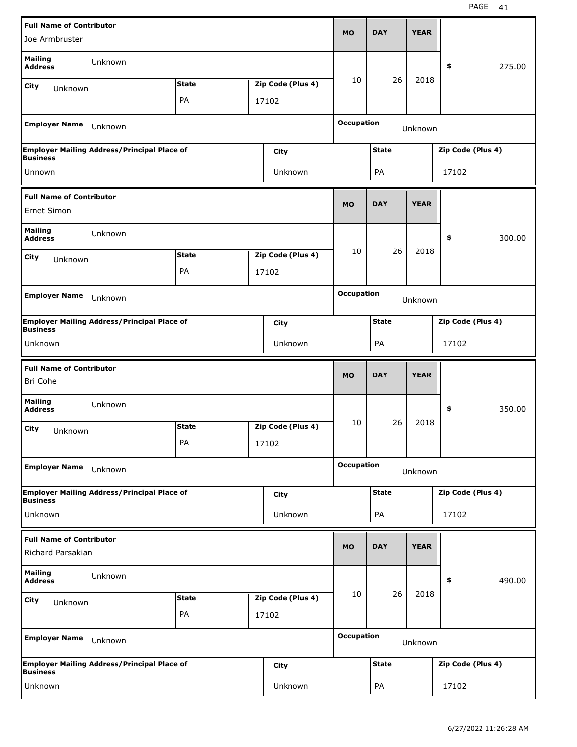| <b>Full Name of Contributor</b>             |                                                    |              |                   | <b>MO</b>         | <b>DAY</b>   | <b>YEAR</b> |                   |        |
|---------------------------------------------|----------------------------------------------------|--------------|-------------------|-------------------|--------------|-------------|-------------------|--------|
| Joe Armbruster                              |                                                    |              |                   |                   |              |             |                   |        |
| <b>Mailing</b><br><b>Address</b>            | Unknown                                            |              |                   |                   |              |             | \$                | 275.00 |
| City<br>Unknown                             |                                                    | <b>State</b> | Zip Code (Plus 4) | 10                | 26           | 2018        |                   |        |
|                                             |                                                    | PA           | 17102             |                   |              |             |                   |        |
| <b>Employer Name</b>                        | Unknown                                            |              |                   | <b>Occupation</b> |              | Unknown     |                   |        |
| <b>Business</b>                             | <b>Employer Mailing Address/Principal Place of</b> |              | City              |                   | <b>State</b> |             | Zip Code (Plus 4) |        |
| Unnown                                      |                                                    |              | Unknown           |                   | PA           |             | 17102             |        |
| <b>Full Name of Contributor</b>             |                                                    |              |                   |                   |              |             |                   |        |
| Ernet Simon                                 |                                                    |              |                   | <b>MO</b>         | <b>DAY</b>   | <b>YEAR</b> |                   |        |
| <b>Mailing</b><br><b>Address</b>            | Unknown                                            |              |                   |                   |              |             | \$                | 300.00 |
| City<br>Unknown                             |                                                    | <b>State</b> | Zip Code (Plus 4) | 10                | 26           | 2018        |                   |        |
|                                             |                                                    | PA           | 17102             |                   |              |             |                   |        |
| <b>Employer Name</b>                        | Unknown                                            |              |                   | <b>Occupation</b> |              |             |                   |        |
|                                             |                                                    |              |                   |                   |              | Unknown     |                   |        |
| <b>Business</b>                             | <b>Employer Mailing Address/Principal Place of</b> |              | City              |                   | <b>State</b> |             | Zip Code (Plus 4) |        |
| Unknown                                     |                                                    |              | Unknown           |                   | PA           |             | 17102             |        |
|                                             |                                                    |              |                   |                   |              |             |                   |        |
| <b>Full Name of Contributor</b><br>Bri Cohe |                                                    |              |                   | <b>MO</b>         | <b>DAY</b>   | <b>YEAR</b> |                   |        |
| <b>Mailing</b><br><b>Address</b>            | Unknown                                            |              |                   |                   |              |             | \$                | 350.00 |
|                                             |                                                    | <b>State</b> | Zip Code (Plus 4) | 10                | 26           | 2018        |                   |        |
| City<br>Unknown                             |                                                    | PА           | 17102             |                   |              |             |                   |        |
| <b>Employer Name</b>                        | Unknown                                            |              |                   | <b>Occupation</b> |              | Unknown     |                   |        |
|                                             | <b>Employer Mailing Address/Principal Place of</b> |              | <b>City</b>       |                   | <b>State</b> |             | Zip Code (Plus 4) |        |
| <b>Business</b><br>Unknown                  |                                                    |              | Unknown           |                   | PA           |             | 17102             |        |
| <b>Full Name of Contributor</b>             |                                                    |              |                   |                   |              |             |                   |        |
| Richard Parsakian                           |                                                    |              |                   | <b>MO</b>         | <b>DAY</b>   | <b>YEAR</b> |                   |        |
| <b>Mailing</b><br><b>Address</b>            | Unknown                                            |              |                   |                   |              |             | \$                | 490.00 |
| City<br>Unknown                             |                                                    | <b>State</b> | Zip Code (Plus 4) | 10                | 26           | 2018        |                   |        |
|                                             |                                                    | PA           | 17102             |                   |              |             |                   |        |
| <b>Employer Name</b>                        | Unknown                                            |              |                   | <b>Occupation</b> |              | Unknown     |                   |        |
| <b>Business</b>                             | <b>Employer Mailing Address/Principal Place of</b> |              | <b>City</b>       |                   | <b>State</b> |             | Zip Code (Plus 4) |        |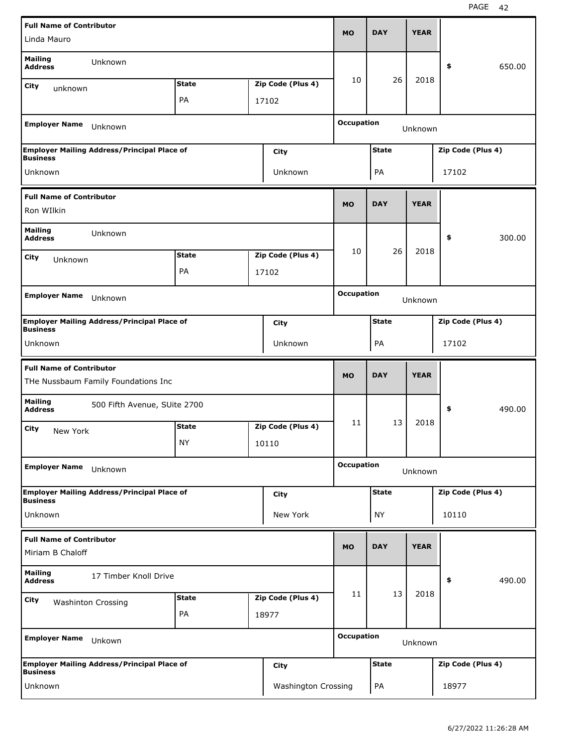| <b>Full Name of Contributor</b><br>Linda Mauro |                                                    |              |  |                   | <b>MO</b>         | <b>DAY</b>   | <b>YEAR</b> |                   |        |
|------------------------------------------------|----------------------------------------------------|--------------|--|-------------------|-------------------|--------------|-------------|-------------------|--------|
|                                                |                                                    |              |  |                   |                   |              |             |                   |        |
| <b>Mailing</b><br><b>Address</b>               | Unknown                                            |              |  |                   |                   |              |             | \$                | 650.00 |
| City<br>unknown                                |                                                    | <b>State</b> |  | Zip Code (Plus 4) | 10                | 26           | 2018        |                   |        |
|                                                |                                                    | PA           |  | 17102             |                   |              |             |                   |        |
|                                                |                                                    |              |  |                   |                   |              |             |                   |        |
| <b>Employer Name</b>                           | Unknown                                            |              |  |                   | <b>Occupation</b> |              | Unknown     |                   |        |
| <b>Business</b>                                | <b>Employer Mailing Address/Principal Place of</b> |              |  | City              |                   | <b>State</b> |             | Zip Code (Plus 4) |        |
| Unknown                                        |                                                    |              |  | Unknown           |                   | PA           |             | 17102             |        |
| <b>Full Name of Contributor</b>                |                                                    |              |  |                   |                   |              |             |                   |        |
| Ron WIlkin                                     |                                                    |              |  |                   | <b>MO</b>         | <b>DAY</b>   | <b>YEAR</b> |                   |        |
| <b>Mailing</b><br><b>Address</b>               | Unknown                                            |              |  |                   |                   |              |             | \$                | 300.00 |
| City<br>Unknown                                |                                                    | <b>State</b> |  | Zip Code (Plus 4) | 10                | 26           | 2018        |                   |        |
|                                                |                                                    | <b>PA</b>    |  | 17102             |                   |              |             |                   |        |
|                                                |                                                    |              |  |                   | <b>Occupation</b> |              |             |                   |        |
| <b>Employer Name</b>                           | Unknown                                            |              |  |                   |                   |              | Unknown     |                   |        |
| <b>Business</b>                                | <b>Employer Mailing Address/Principal Place of</b> |              |  | City              |                   | <b>State</b> |             | Zip Code (Plus 4) |        |
| Unknown                                        |                                                    |              |  | Unknown           |                   | PA           |             | 17102             |        |
|                                                |                                                    |              |  |                   |                   |              |             |                   |        |
|                                                |                                                    |              |  |                   |                   |              |             |                   |        |
| <b>Full Name of Contributor</b>                | THe Nussbaum Family Foundations Inc                |              |  |                   | <b>MO</b>         | <b>DAY</b>   | <b>YEAR</b> |                   |        |
| <b>Mailing</b><br><b>Address</b>               | 500 Fifth Avenue, SUite 2700                       |              |  |                   |                   |              |             | \$                | 490.00 |
| City                                           |                                                    | <b>State</b> |  | Zip Code (Plus 4) | 11                | 13           | 2018        |                   |        |
| New York                                       |                                                    | <b>NY</b>    |  | 10110             |                   |              |             |                   |        |
| <b>Employer Name</b>                           | Unknown                                            |              |  |                   | <b>Occupation</b> |              |             |                   |        |
|                                                |                                                    |              |  |                   |                   |              | Unknown     |                   |        |
| <b>Business</b>                                | <b>Employer Mailing Address/Principal Place of</b> |              |  | <b>City</b>       |                   | <b>State</b> |             | Zip Code (Plus 4) |        |
| Unknown                                        |                                                    |              |  | New York          |                   | <b>NY</b>    |             | 10110             |        |
| <b>Full Name of Contributor</b>                |                                                    |              |  |                   |                   |              |             |                   |        |
| Miriam B Chaloff                               |                                                    |              |  |                   | <b>MO</b>         | <b>DAY</b>   | <b>YEAR</b> |                   |        |
| <b>Mailing</b><br><b>Address</b>               | 17 Timber Knoll Drive                              |              |  |                   |                   |              |             | \$                | 490.00 |
| City                                           |                                                    | <b>State</b> |  | Zip Code (Plus 4) | 11                | 13           | 2018        |                   |        |
|                                                | <b>Washinton Crossing</b>                          | PA           |  | 18977             |                   |              |             |                   |        |
| <b>Employer Name</b>                           | Unkown                                             |              |  |                   | <b>Occupation</b> |              | Unknown     |                   |        |
| <b>Business</b>                                | <b>Employer Mailing Address/Principal Place of</b> |              |  | City              |                   | <b>State</b> |             | Zip Code (Plus 4) |        |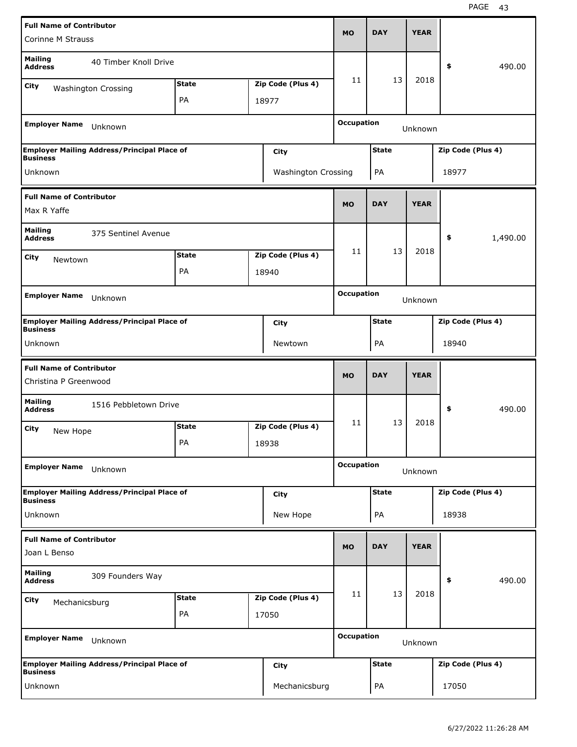| <b>Full Name of Contributor</b>                                       |                       |              |                            | <b>MO</b>         | <b>DAY</b>   | <b>YEAR</b> |                   |          |
|-----------------------------------------------------------------------|-----------------------|--------------|----------------------------|-------------------|--------------|-------------|-------------------|----------|
| Corinne M Strauss                                                     |                       |              |                            |                   |              |             |                   |          |
| <b>Mailing</b><br><b>Address</b>                                      | 40 Timber Knoll Drive |              |                            |                   |              |             | \$                | 490.00   |
| City<br><b>Washington Crossing</b>                                    |                       | <b>State</b> | Zip Code (Plus 4)          | 11                | 13           | 2018        |                   |          |
|                                                                       |                       | PA           | 18977                      |                   |              |             |                   |          |
| <b>Employer Name</b><br>Unknown                                       |                       |              |                            | <b>Occupation</b> |              | Unknown     |                   |          |
| <b>Employer Mailing Address/Principal Place of</b><br><b>Business</b> |                       |              | City                       |                   | <b>State</b> |             | Zip Code (Plus 4) |          |
| Unknown                                                               |                       |              | <b>Washington Crossing</b> |                   | PA           |             | 18977             |          |
| <b>Full Name of Contributor</b><br>Max R Yaffe                        |                       |              |                            | <b>MO</b>         | <b>DAY</b>   | <b>YEAR</b> |                   |          |
| <b>Mailing</b><br><b>Address</b>                                      | 375 Sentinel Avenue   |              |                            |                   |              |             | \$                | 1,490.00 |
|                                                                       |                       |              |                            | 11                | 13           | 2018        |                   |          |
| City<br>Newtown                                                       |                       | <b>State</b> | Zip Code (Plus 4)          |                   |              |             |                   |          |
|                                                                       |                       | PA           | 18940                      |                   |              |             |                   |          |
| <b>Employer Name</b><br>Unknown                                       |                       |              |                            | <b>Occupation</b> |              | Unknown     |                   |          |
| <b>Employer Mailing Address/Principal Place of</b>                    |                       |              | City                       |                   | <b>State</b> |             | Zip Code (Plus 4) |          |
| <b>Business</b><br>Unknown                                            |                       |              | Newtown                    |                   | PA           |             | 18940             |          |
| <b>Full Name of Contributor</b><br>Christina P Greenwood              |                       |              |                            | <b>MO</b>         | <b>DAY</b>   | <b>YEAR</b> |                   |          |
| <b>Mailing</b><br><b>Address</b>                                      | 1516 Pebbletown Drive |              |                            |                   |              |             | \$                | 490.00   |
| City<br>New Hope                                                      |                       | <b>State</b> | Zip Code (Plus 4)          | 11                | 13           | 2018        |                   |          |
|                                                                       |                       | PA           | 18938                      |                   |              |             |                   |          |
| <b>Employer Name</b><br>Unknown                                       |                       |              |                            | <b>Occupation</b> |              | Unknown     |                   |          |
| Employer Mailing Address/Principal Place of<br><b>Business</b>        |                       |              | <b>City</b>                |                   | <b>State</b> |             | Zip Code (Plus 4) |          |
| Unknown                                                               |                       |              | New Hope                   |                   | PA           |             | 18938             |          |
| <b>Full Name of Contributor</b>                                       |                       |              |                            |                   |              |             |                   |          |
| Joan L Benso                                                          |                       |              |                            | <b>MO</b>         | <b>DAY</b>   | <b>YEAR</b> |                   |          |
| <b>Mailing</b><br><b>Address</b>                                      | 309 Founders Way      |              |                            |                   |              |             | \$                | 490.00   |
| City                                                                  |                       |              |                            |                   |              |             |                   |          |
|                                                                       |                       | <b>State</b> | Zip Code (Plus 4)          | 11                | 13           | 2018        |                   |          |
| Mechanicsburg                                                         |                       | PA           | 17050                      |                   |              |             |                   |          |
| <b>Employer Name</b><br>Unknown                                       |                       |              |                            | <b>Occupation</b> |              | Unknown     |                   |          |
| <b>Employer Mailing Address/Principal Place of</b><br><b>Business</b> |                       |              | City                       |                   | <b>State</b> |             | Zip Code (Plus 4) |          |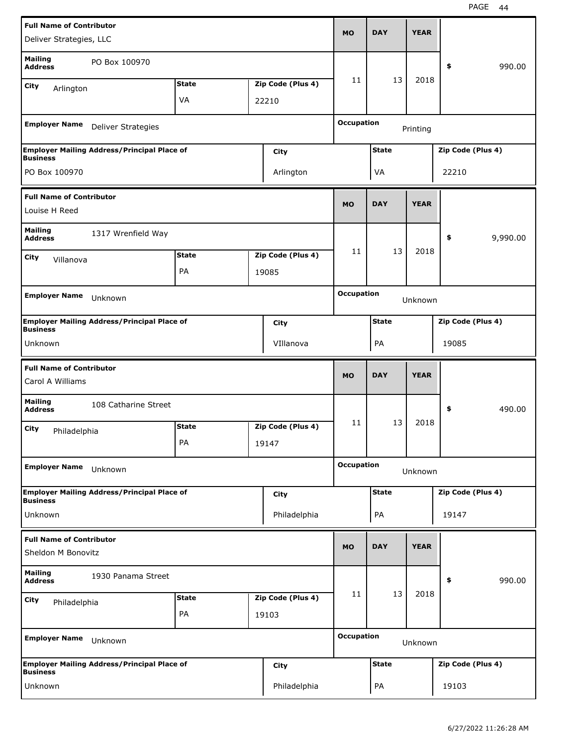| <b>Full Name of Contributor</b>                     |                                                    |              |                   |                   |              |             |                   |          |
|-----------------------------------------------------|----------------------------------------------------|--------------|-------------------|-------------------|--------------|-------------|-------------------|----------|
| Deliver Strategies, LLC                             |                                                    |              |                   | <b>MO</b>         | <b>DAY</b>   | <b>YEAR</b> |                   |          |
| <b>Mailing</b><br><b>Address</b>                    | PO Box 100970                                      |              |                   |                   |              |             | \$                | 990.00   |
| City<br>Arlington                                   |                                                    | <b>State</b> | Zip Code (Plus 4) | 11                | 13           | 2018        |                   |          |
|                                                     |                                                    | VA           | 22210             |                   |              |             |                   |          |
|                                                     |                                                    |              |                   |                   |              |             |                   |          |
| <b>Employer Name</b>                                | <b>Deliver Strategies</b>                          |              |                   | <b>Occupation</b> |              | Printing    |                   |          |
| <b>Business</b>                                     | <b>Employer Mailing Address/Principal Place of</b> |              | City              |                   | <b>State</b> |             | Zip Code (Plus 4) |          |
| PO Box 100970                                       |                                                    |              | Arlington         |                   | VA           |             | 22210             |          |
| <b>Full Name of Contributor</b>                     |                                                    |              |                   |                   |              |             |                   |          |
| Louise H Reed                                       |                                                    |              |                   | <b>MO</b>         | <b>DAY</b>   | <b>YEAR</b> |                   |          |
| <b>Mailing</b><br><b>Address</b>                    | 1317 Wrenfield Way                                 |              |                   |                   |              |             | \$                | 9,990.00 |
| City                                                |                                                    | <b>State</b> | Zip Code (Plus 4) | 11                | 13           | 2018        |                   |          |
| Villanova                                           |                                                    | <b>PA</b>    | 19085             |                   |              |             |                   |          |
|                                                     |                                                    |              |                   |                   |              |             |                   |          |
| <b>Employer Name</b>                                | Unknown                                            |              |                   | <b>Occupation</b> |              | Unknown     |                   |          |
| <b>Business</b>                                     | <b>Employer Mailing Address/Principal Place of</b> |              | City              |                   | <b>State</b> |             | Zip Code (Plus 4) |          |
| Unknown                                             |                                                    |              | VIllanova         |                   | PA           |             | 19085             |          |
|                                                     |                                                    |              |                   |                   |              |             |                   |          |
|                                                     |                                                    |              |                   |                   |              |             |                   |          |
| <b>Full Name of Contributor</b><br>Carol A Williams |                                                    |              |                   | <b>MO</b>         | <b>DAY</b>   | <b>YEAR</b> |                   |          |
| <b>Mailing</b><br><b>Address</b>                    | 108 Catharine Street                               |              |                   |                   |              |             | \$                | 490.00   |
| City                                                |                                                    | <b>State</b> | Zip Code (Plus 4) | 11                | 13           | 2018        |                   |          |
| Philadelphia                                        |                                                    | PA           | 19147             |                   |              |             |                   |          |
| <b>Employer Name</b>                                | Unknown                                            |              |                   | <b>Occupation</b> |              |             |                   |          |
|                                                     |                                                    |              |                   |                   |              | Unknown     |                   |          |
| <b>Business</b>                                     | <b>Employer Mailing Address/Principal Place of</b> |              | City              |                   | <b>State</b> |             | Zip Code (Plus 4) |          |
| Unknown                                             |                                                    |              | Philadelphia      |                   | PA           |             | 19147             |          |
| <b>Full Name of Contributor</b>                     |                                                    |              |                   |                   |              |             |                   |          |
| Sheldon M Bonovitz                                  |                                                    |              |                   | <b>MO</b>         | <b>DAY</b>   | <b>YEAR</b> |                   |          |
| <b>Mailing</b><br><b>Address</b>                    | 1930 Panama Street                                 |              |                   |                   |              |             | \$                | 990.00   |
|                                                     |                                                    | <b>State</b> | Zip Code (Plus 4) | 11                | 13           | 2018        |                   |          |
| <b>City</b><br>Philadelphia                         |                                                    | PA           | 19103             |                   |              |             |                   |          |
|                                                     |                                                    |              |                   |                   |              |             |                   |          |
| <b>Employer Name</b>                                | Unknown                                            |              |                   | <b>Occupation</b> |              | Unknown     |                   |          |
| <b>Business</b>                                     | <b>Employer Mailing Address/Principal Place of</b> |              | City              |                   | <b>State</b> |             | Zip Code (Plus 4) |          |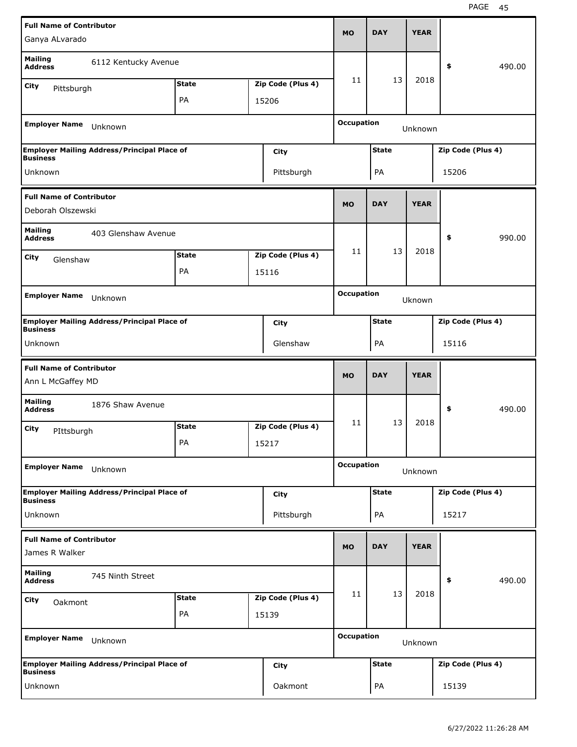| <b>Full Name of Contributor</b>                      |                                                    |              |                   |                   |              |             |                   |        |
|------------------------------------------------------|----------------------------------------------------|--------------|-------------------|-------------------|--------------|-------------|-------------------|--------|
| Ganya ALvarado                                       |                                                    |              |                   | <b>MO</b>         | <b>DAY</b>   | <b>YEAR</b> |                   |        |
| <b>Mailing</b><br><b>Address</b>                     | 6112 Kentucky Avenue                               |              |                   |                   |              |             | \$                | 490.00 |
| City<br>Pittsburgh                                   |                                                    | <b>State</b> | Zip Code (Plus 4) | 11                | 13           | 2018        |                   |        |
|                                                      |                                                    | PA           | 15206             |                   |              |             |                   |        |
| <b>Employer Name</b>                                 | Unknown                                            |              |                   | <b>Occupation</b> |              | Unknown     |                   |        |
|                                                      | <b>Employer Mailing Address/Principal Place of</b> |              | City              |                   | <b>State</b> |             | Zip Code (Plus 4) |        |
| <b>Business</b>                                      |                                                    |              |                   |                   |              |             |                   |        |
| Unknown                                              |                                                    |              | Pittsburgh        |                   | PA           |             | 15206             |        |
| <b>Full Name of Contributor</b><br>Deborah Olszewski |                                                    |              |                   | <b>MO</b>         | <b>DAY</b>   | <b>YEAR</b> |                   |        |
| <b>Mailing</b><br><b>Address</b>                     | 403 Glenshaw Avenue                                |              |                   |                   |              |             | \$                | 990.00 |
|                                                      |                                                    | <b>State</b> | Zip Code (Plus 4) | 11                | 13           | 2018        |                   |        |
| City<br>Glenshaw                                     |                                                    | PA           | 15116             |                   |              |             |                   |        |
|                                                      |                                                    |              |                   |                   |              |             |                   |        |
| <b>Employer Name</b>                                 | Unknown                                            |              |                   | <b>Occupation</b> |              | Uknown      |                   |        |
| <b>Business</b>                                      | <b>Employer Mailing Address/Principal Place of</b> |              | City              |                   | <b>State</b> |             | Zip Code (Plus 4) |        |
| Unknown                                              |                                                    |              | Glenshaw          |                   | PA           |             | 15116             |        |
|                                                      |                                                    |              |                   |                   |              |             |                   |        |
| <b>Full Name of Contributor</b><br>Ann L McGaffey MD |                                                    |              |                   | <b>MO</b>         | <b>DAY</b>   | <b>YEAR</b> |                   |        |
| <b>Mailing</b><br><b>Address</b>                     | 1876 Shaw Avenue                                   |              |                   |                   |              |             | \$                | 490.00 |
| City                                                 |                                                    | <b>State</b> | Zip Code (Plus 4) | 11                | 13           | 2018        |                   |        |
| PIttsburgh                                           |                                                    | PA           | 15217             |                   |              |             |                   |        |
| <b>Employer Name</b>                                 | Unknown                                            |              |                   | <b>Occupation</b> |              | Unknown     |                   |        |
|                                                      | <b>Employer Mailing Address/Principal Place of</b> |              | City              |                   | <b>State</b> |             | Zip Code (Plus 4) |        |
| <b>Business</b><br>Unknown                           |                                                    |              | Pittsburgh        |                   | PA           |             | 15217             |        |
| <b>Full Name of Contributor</b><br>James R Walker    |                                                    |              |                   | <b>MO</b>         | <b>DAY</b>   | <b>YEAR</b> |                   |        |
| <b>Mailing</b><br><b>Address</b>                     | 745 Ninth Street                                   |              |                   |                   |              |             | \$                | 490.00 |
|                                                      |                                                    | <b>State</b> | Zip Code (Plus 4) | 11                | 13           | 2018        |                   |        |
| City<br>Oakmont                                      |                                                    | PA           | 15139             |                   |              |             |                   |        |
| <b>Employer Name</b>                                 | Unknown                                            |              |                   | <b>Occupation</b> |              | Unknown     |                   |        |
| <b>Business</b>                                      | <b>Employer Mailing Address/Principal Place of</b> |              | <b>City</b>       |                   | <b>State</b> |             | Zip Code (Plus 4) |        |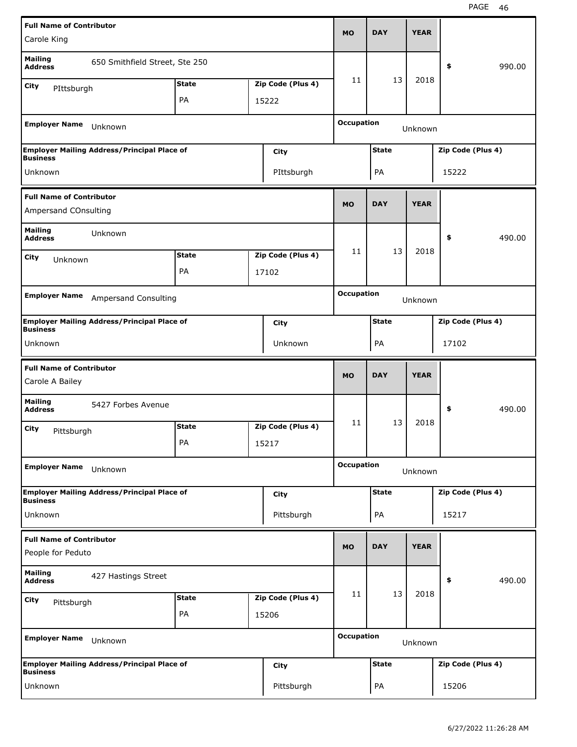| <b>Full Name of Contributor</b>                    |                                                    |                    |                            |                   |              |             |                   |        |
|----------------------------------------------------|----------------------------------------------------|--------------------|----------------------------|-------------------|--------------|-------------|-------------------|--------|
| Carole King                                        |                                                    |                    |                            | <b>MO</b>         | <b>DAY</b>   | <b>YEAR</b> |                   |        |
| <b>Mailing</b><br><b>Address</b>                   | 650 Smithfield Street, Ste 250                     |                    |                            |                   |              |             | \$                | 990.00 |
| City<br>PIttsburgh                                 |                                                    | <b>State</b>       | Zip Code (Plus 4)          | 11                | 13           | 2018        |                   |        |
|                                                    |                                                    | PA                 | 15222                      |                   |              |             |                   |        |
| <b>Employer Name</b>                               | Unknown                                            |                    |                            | <b>Occupation</b> |              | Unknown     |                   |        |
|                                                    | <b>Employer Mailing Address/Principal Place of</b> |                    | City                       |                   | <b>State</b> |             | Zip Code (Plus 4) |        |
| <b>Business</b><br>Unknown                         |                                                    |                    | PIttsburgh                 |                   | PA           |             | 15222             |        |
| <b>Full Name of Contributor</b>                    |                                                    |                    |                            |                   |              |             |                   |        |
| Ampersand COnsulting                               |                                                    |                    |                            | <b>MO</b>         | <b>DAY</b>   | <b>YEAR</b> |                   |        |
| <b>Mailing</b><br><b>Address</b>                   | Unknown                                            |                    |                            |                   |              |             | \$                | 490.00 |
| City<br>Unknown                                    |                                                    | <b>State</b>       | Zip Code (Plus 4)          | 11                | 13           | 2018        |                   |        |
|                                                    |                                                    | PA                 | 17102                      |                   |              |             |                   |        |
| <b>Employer Name</b>                               | <b>Ampersand Consulting</b>                        |                    |                            | <b>Occupation</b> |              |             |                   |        |
|                                                    |                                                    |                    |                            |                   |              | Unknown     |                   |        |
| <b>Business</b>                                    | <b>Employer Mailing Address/Principal Place of</b> |                    | City                       |                   | <b>State</b> |             | Zip Code (Plus 4) |        |
| Unknown                                            |                                                    |                    | Unknown                    |                   | PA           |             | 17102             |        |
|                                                    |                                                    |                    |                            |                   |              |             |                   |        |
| <b>Full Name of Contributor</b><br>Carole A Bailey |                                                    |                    |                            | <b>MO</b>         | <b>DAY</b>   | <b>YEAR</b> |                   |        |
| <b>Mailing</b>                                     | 5427 Forbes Avenue                                 |                    |                            |                   |              |             | \$                | 490.00 |
| <b>Address</b>                                     |                                                    |                    |                            | 11                | 13           | 2018        |                   |        |
| City<br>Pittsburgh                                 |                                                    | <b>State</b><br>PA | Zip Code (Plus 4)<br>15217 |                   |              |             |                   |        |
|                                                    |                                                    |                    |                            |                   |              |             |                   |        |
| <b>Employer Name</b>                               | Unknown                                            |                    |                            | <b>Occupation</b> |              | Unknown     |                   |        |
| <b>Business</b>                                    | <b>Employer Mailing Address/Principal Place of</b> |                    | City                       |                   | <b>State</b> |             | Zip Code (Plus 4) |        |
| Unknown                                            |                                                    |                    | Pittsburgh                 |                   | PA           |             | 15217             |        |
| <b>Full Name of Contributor</b>                    |                                                    |                    |                            |                   |              |             |                   |        |
| People for Peduto                                  |                                                    |                    |                            | <b>MO</b>         | <b>DAY</b>   | <b>YEAR</b> |                   |        |
| <b>Mailing</b><br><b>Address</b>                   | 427 Hastings Street                                |                    |                            |                   |              |             | \$                | 490.00 |
| <b>City</b>                                        |                                                    | <b>State</b>       | Zip Code (Plus 4)          | 11                | 13           | 2018        |                   |        |
| Pittsburgh                                         |                                                    | PA                 | 15206                      |                   |              |             |                   |        |
| <b>Employer Name</b>                               | Unknown                                            |                    |                            | <b>Occupation</b> |              | Unknown     |                   |        |
| <b>Business</b>                                    | <b>Employer Mailing Address/Principal Place of</b> |                    | <b>City</b>                |                   | <b>State</b> |             | Zip Code (Plus 4) |        |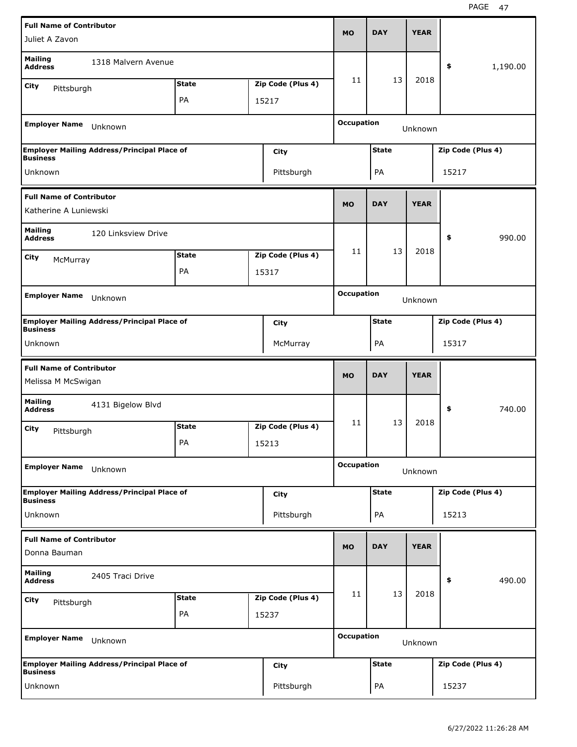| <b>Full Name of Contributor</b>                          |                                                    |                    |                            |                   |              | <b>YEAR</b> |                   |          |
|----------------------------------------------------------|----------------------------------------------------|--------------------|----------------------------|-------------------|--------------|-------------|-------------------|----------|
| Juliet A Zavon                                           |                                                    |                    |                            | <b>MO</b>         | <b>DAY</b>   |             |                   |          |
| <b>Mailing</b><br><b>Address</b>                         | 1318 Malvern Avenue                                |                    |                            |                   |              |             | \$                | 1,190.00 |
| City<br>Pittsburgh                                       |                                                    | <b>State</b>       | Zip Code (Plus 4)          | 11                | 13           | 2018        |                   |          |
|                                                          |                                                    | PA                 | 15217                      |                   |              |             |                   |          |
| <b>Employer Name</b>                                     | Unknown                                            |                    |                            | <b>Occupation</b> |              | Unknown     |                   |          |
|                                                          | <b>Employer Mailing Address/Principal Place of</b> |                    | City                       |                   | <b>State</b> |             | Zip Code (Plus 4) |          |
| <b>Business</b><br>Unknown                               |                                                    |                    |                            |                   |              |             | 15217             |          |
|                                                          |                                                    |                    | Pittsburgh                 |                   | PA           |             |                   |          |
| <b>Full Name of Contributor</b><br>Katherine A Luniewski |                                                    |                    |                            | <b>MO</b>         | <b>DAY</b>   | <b>YEAR</b> |                   |          |
| <b>Mailing</b><br><b>Address</b>                         | 120 Linksview Drive                                |                    |                            |                   |              |             | \$                | 990.00   |
| City                                                     |                                                    | <b>State</b>       | Zip Code (Plus 4)          | 11                | 13           | 2018        |                   |          |
| McMurray                                                 |                                                    | PA                 | 15317                      |                   |              |             |                   |          |
|                                                          |                                                    |                    |                            |                   |              |             |                   |          |
| <b>Employer Name</b>                                     | Unknown                                            |                    |                            | <b>Occupation</b> |              | Unknown     |                   |          |
| <b>Business</b>                                          | <b>Employer Mailing Address/Principal Place of</b> |                    | City                       |                   | <b>State</b> |             | Zip Code (Plus 4) |          |
| Unknown                                                  |                                                    |                    | McMurray                   |                   | PA           |             | 15317             |          |
|                                                          |                                                    |                    |                            |                   |              |             |                   |          |
|                                                          |                                                    |                    |                            |                   |              |             |                   |          |
| <b>Full Name of Contributor</b><br>Melissa M McSwigan    |                                                    |                    |                            | <b>MO</b>         | <b>DAY</b>   | <b>YEAR</b> |                   |          |
| <b>Mailing</b><br><b>Address</b>                         | 4131 Bigelow Blvd                                  |                    |                            |                   |              |             | \$                | 740.00   |
| City                                                     |                                                    | <b>State</b>       | Zip Code (Plus 4)          | 11                | 13           | 2018        |                   |          |
| Pittsburgh                                               |                                                    | PA                 | 15213                      |                   |              |             |                   |          |
| <b>Employer Name</b>                                     | Unknown                                            |                    |                            | <b>Occupation</b> |              | Unknown     |                   |          |
|                                                          | <b>Employer Mailing Address/Principal Place of</b> |                    | City                       |                   | <b>State</b> |             | Zip Code (Plus 4) |          |
| <b>Business</b><br>Unknown                               |                                                    |                    | Pittsburgh                 |                   | PA           |             | 15213             |          |
| <b>Full Name of Contributor</b><br>Donna Bauman          |                                                    |                    |                            | <b>MO</b>         | <b>DAY</b>   | <b>YEAR</b> |                   |          |
| <b>Mailing</b><br><b>Address</b>                         | 2405 Traci Drive                                   |                    |                            |                   |              |             | \$                | 490.00   |
|                                                          |                                                    |                    |                            | 11                | 13           | 2018        |                   |          |
| City<br>Pittsburgh                                       |                                                    | <b>State</b><br>PA | Zip Code (Plus 4)<br>15237 |                   |              |             |                   |          |
| <b>Employer Name</b>                                     | Unknown                                            |                    |                            | <b>Occupation</b> |              | Unknown     |                   |          |
|                                                          |                                                    |                    |                            |                   |              |             |                   |          |
| <b>Business</b>                                          | <b>Employer Mailing Address/Principal Place of</b> |                    | City                       |                   | <b>State</b> |             | Zip Code (Plus 4) |          |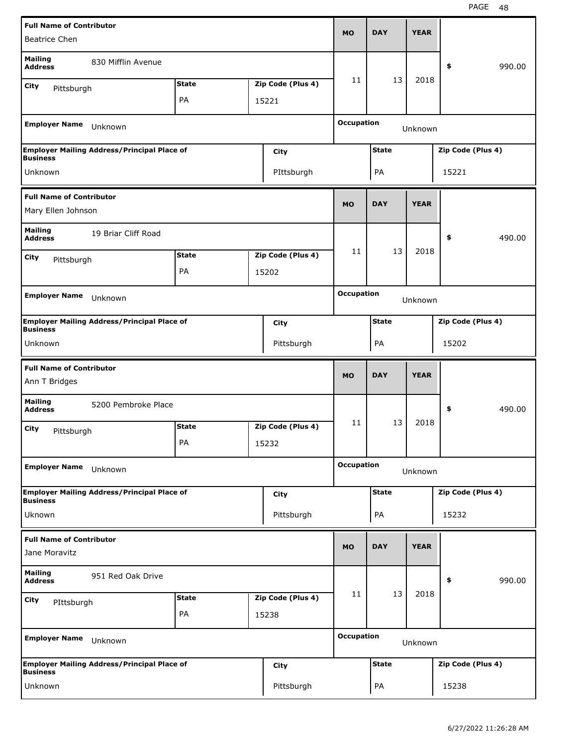| <b>Full Name of Contributor</b>                                     |                                                    |              |                   | <b>MO</b>         | <b>DAY</b>   | <b>YEAR</b> |                   |        |
|---------------------------------------------------------------------|----------------------------------------------------|--------------|-------------------|-------------------|--------------|-------------|-------------------|--------|
| <b>Beatrice Chen</b>                                                |                                                    |              |                   |                   |              |             |                   |        |
| <b>Mailing</b><br><b>Address</b>                                    | 830 Mifflin Avenue                                 |              |                   |                   |              |             | \$                | 990.00 |
| City<br>Pittsburgh                                                  |                                                    | <b>State</b> | Zip Code (Plus 4) | 11                | 13           | 2018        |                   |        |
|                                                                     |                                                    | PA           | 15221             |                   |              |             |                   |        |
| <b>Employer Name</b>                                                | Unknown                                            |              |                   | <b>Occupation</b> |              | Unknown     |                   |        |
| <b>Business</b>                                                     | <b>Employer Mailing Address/Principal Place of</b> |              | City              |                   | <b>State</b> |             | Zip Code (Plus 4) |        |
| Unknown                                                             |                                                    |              | PIttsburgh        |                   | PA           |             | 15221             |        |
| <b>Full Name of Contributor</b><br>Mary Ellen Johnson               |                                                    |              |                   | <b>MO</b>         | <b>DAY</b>   | <b>YEAR</b> |                   |        |
| <b>Mailing</b><br><b>Address</b>                                    | 19 Briar Cliff Road                                |              |                   |                   |              |             | \$                | 490.00 |
| City<br>Pittsburgh                                                  |                                                    | <b>State</b> | Zip Code (Plus 4) | 11                | 13           | 2018        |                   |        |
|                                                                     |                                                    | PA           | 15202             |                   |              |             |                   |        |
|                                                                     |                                                    |              |                   | <b>Occupation</b> |              |             |                   |        |
| <b>Employer Name</b>                                                | Unknown                                            |              |                   |                   |              | Unknown     |                   |        |
| <b>Business</b>                                                     | <b>Employer Mailing Address/Principal Place of</b> |              | City              |                   | <b>State</b> |             | Zip Code (Plus 4) |        |
| Unknown                                                             |                                                    |              | Pittsburgh        |                   | PA           |             | 15202             |        |
|                                                                     |                                                    |              |                   |                   |              |             |                   |        |
| <b>Full Name of Contributor</b><br>Ann T Bridges                    |                                                    |              |                   | <b>MO</b>         | <b>DAY</b>   | <b>YEAR</b> |                   |        |
| <b>Mailing</b><br><b>Address</b>                                    | 5200 Pembroke Place                                |              |                   |                   |              |             | \$                | 490.00 |
| City                                                                |                                                    | <b>State</b> | Zip Code (Plus 4) | 11                | 13           | 2018        |                   |        |
| Pittsburgh                                                          |                                                    | PА           | 15232             |                   |              |             |                   |        |
| <b>Employer Name</b>                                                | Unknown                                            |              |                   | <b>Occupation</b> |              | Unknown     |                   |        |
|                                                                     | Employer Mailing Address/Principal Place of        |              | City              |                   | <b>State</b> |             | Zip Code (Plus 4) |        |
| Uknown                                                              |                                                    |              | Pittsburgh        |                   | PA           |             | 15232             |        |
| <b>Business</b><br><b>Full Name of Contributor</b><br>Jane Moravitz |                                                    |              |                   | <b>MO</b>         | <b>DAY</b>   | <b>YEAR</b> |                   |        |
| <b>Mailing</b><br><b>Address</b>                                    | 951 Red Oak Drive                                  |              |                   |                   |              |             | \$                | 990.00 |
|                                                                     |                                                    | <b>State</b> | Zip Code (Plus 4) | 11                | 13           | 2018        |                   |        |
| City<br>PIttsburgh                                                  |                                                    | PA           | 15238             |                   |              |             |                   |        |
| <b>Employer Name</b>                                                | Unknown                                            |              |                   | <b>Occupation</b> |              | Unknown     |                   |        |
| <b>Business</b>                                                     | <b>Employer Mailing Address/Principal Place of</b> |              | City              |                   | <b>State</b> |             | Zip Code (Plus 4) |        |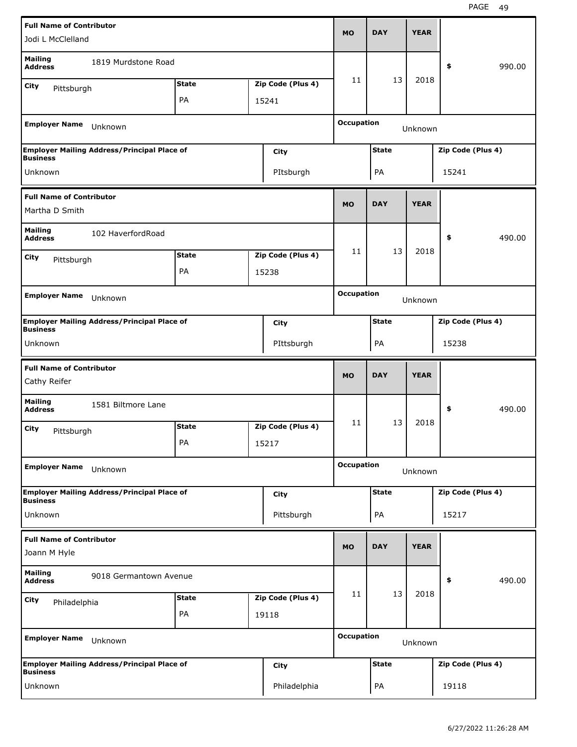| <b>Full Name of Contributor</b>                   |                                                    |              |                   |                   | <b>DAY</b>   | <b>YEAR</b> |                   |        |
|---------------------------------------------------|----------------------------------------------------|--------------|-------------------|-------------------|--------------|-------------|-------------------|--------|
| Jodi L McClelland                                 |                                                    |              |                   | <b>MO</b>         |              |             |                   |        |
| <b>Mailing</b><br><b>Address</b>                  | 1819 Murdstone Road                                |              |                   |                   |              |             | \$                | 990.00 |
| City<br>Pittsburgh                                |                                                    | <b>State</b> | Zip Code (Plus 4) | 11                | 13           | 2018        |                   |        |
|                                                   |                                                    | PA           | 15241             |                   |              |             |                   |        |
| <b>Employer Name</b>                              | Unknown                                            |              |                   | <b>Occupation</b> |              | Unknown     |                   |        |
|                                                   | <b>Employer Mailing Address/Principal Place of</b> |              | City              |                   | <b>State</b> |             | Zip Code (Plus 4) |        |
| <b>Business</b>                                   |                                                    |              |                   |                   |              |             |                   |        |
| Unknown                                           |                                                    |              | PItsburgh         |                   | PA           |             | 15241             |        |
| <b>Full Name of Contributor</b><br>Martha D Smith |                                                    |              |                   | <b>MO</b>         | <b>DAY</b>   | <b>YEAR</b> |                   |        |
| <b>Mailing</b><br><b>Address</b>                  | 102 HaverfordRoad                                  |              |                   |                   |              |             | \$                | 490.00 |
| City<br>Pittsburgh                                |                                                    | <b>State</b> | Zip Code (Plus 4) | 11                | 13           | 2018        |                   |        |
|                                                   |                                                    | PA           | 15238             |                   |              |             |                   |        |
|                                                   |                                                    |              |                   | <b>Occupation</b> |              |             |                   |        |
| <b>Employer Name</b>                              | Unknown                                            |              |                   |                   |              | Unknown     |                   |        |
| <b>Business</b>                                   | <b>Employer Mailing Address/Principal Place of</b> |              | <b>City</b>       |                   | <b>State</b> |             | Zip Code (Plus 4) |        |
| Unknown                                           |                                                    |              | PIttsburgh        |                   | PA           |             | 15238             |        |
|                                                   |                                                    |              |                   |                   |              |             |                   |        |
|                                                   |                                                    |              |                   |                   |              |             |                   |        |
| <b>Full Name of Contributor</b><br>Cathy Reifer   |                                                    |              |                   | <b>MO</b>         | <b>DAY</b>   | <b>YEAR</b> |                   |        |
| <b>Mailing</b><br><b>Address</b>                  | 1581 Biltmore Lane                                 |              |                   |                   |              |             | \$                | 490.00 |
| City                                              |                                                    | <b>State</b> | Zip Code (Plus 4) | 11                | 13           | 2018        |                   |        |
| Pittsburgh                                        |                                                    | PA           | 15217             |                   |              |             |                   |        |
| <b>Employer Name</b>                              | Unknown                                            |              |                   | <b>Occupation</b> |              | Unknown     |                   |        |
|                                                   | <b>Employer Mailing Address/Principal Place of</b> |              | <b>City</b>       |                   | <b>State</b> |             | Zip Code (Plus 4) |        |
| <b>Business</b><br>Unknown                        |                                                    |              | Pittsburgh        |                   | PA           |             | 15217             |        |
|                                                   |                                                    |              |                   |                   |              |             |                   |        |
| <b>Full Name of Contributor</b><br>Joann M Hyle   |                                                    |              |                   | <b>MO</b>         | <b>DAY</b>   | <b>YEAR</b> |                   |        |
| <b>Mailing</b><br><b>Address</b>                  | 9018 Germantown Avenue                             |              |                   |                   |              |             | \$                | 490.00 |
| <b>City</b><br>Philadelphia                       |                                                    | <b>State</b> | Zip Code (Plus 4) | 11                | 13           | 2018        |                   |        |
|                                                   |                                                    | PA           | 19118             |                   |              |             |                   |        |
| <b>Employer Name</b>                              | Unknown                                            |              |                   | <b>Occupation</b> |              | Unknown     |                   |        |
| <b>Business</b>                                   | <b>Employer Mailing Address/Principal Place of</b> |              | <b>City</b>       |                   | <b>State</b> |             | Zip Code (Plus 4) |        |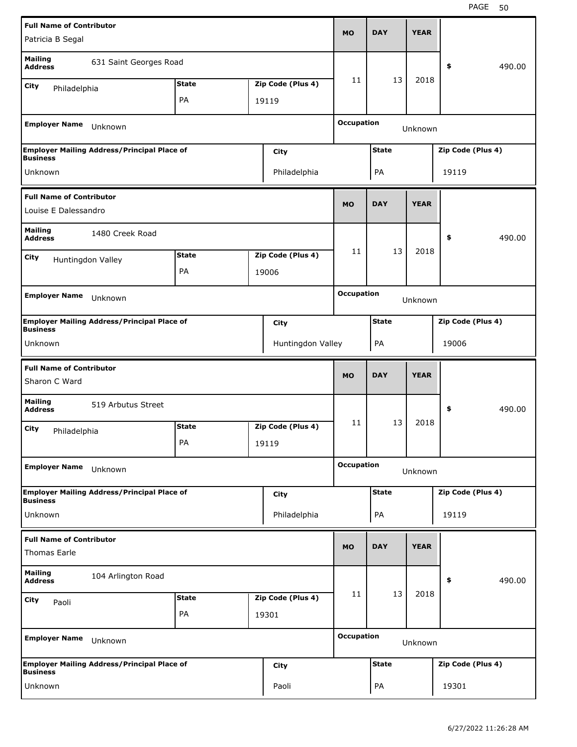| <b>Full Name of Contributor</b>                  |                                                    |              |                   | <b>MO</b>         | <b>DAY</b>   | <b>YEAR</b> |                   |        |
|--------------------------------------------------|----------------------------------------------------|--------------|-------------------|-------------------|--------------|-------------|-------------------|--------|
| Patricia B Segal                                 |                                                    |              |                   |                   |              |             |                   |        |
| <b>Mailing</b><br><b>Address</b>                 | 631 Saint Georges Road                             |              |                   |                   |              |             | \$                | 490.00 |
| City<br>Philadelphia                             |                                                    | <b>State</b> | Zip Code (Plus 4) | 11                | 13           | 2018        |                   |        |
|                                                  |                                                    | PA           | 19119             |                   |              |             |                   |        |
| <b>Employer Name</b>                             | Unknown                                            |              |                   | <b>Occupation</b> |              | Unknown     |                   |        |
| <b>Business</b>                                  | <b>Employer Mailing Address/Principal Place of</b> |              | City              |                   | <b>State</b> |             | Zip Code (Plus 4) |        |
| Unknown                                          |                                                    |              | Philadelphia      |                   | PA           |             | 19119             |        |
| <b>Full Name of Contributor</b>                  |                                                    |              |                   | <b>MO</b>         | <b>DAY</b>   | <b>YEAR</b> |                   |        |
| Louise E Dalessandro                             |                                                    |              |                   |                   |              |             |                   |        |
| <b>Mailing</b><br><b>Address</b>                 | 1480 Creek Road                                    |              |                   |                   |              |             | \$                | 490.00 |
| City                                             | Huntingdon Valley                                  | <b>State</b> | Zip Code (Plus 4) | 11                | 13           | 2018        |                   |        |
|                                                  |                                                    | PA           | 19006             |                   |              |             |                   |        |
|                                                  |                                                    |              |                   | <b>Occupation</b> |              |             |                   |        |
| <b>Employer Name</b>                             | Unknown                                            |              |                   |                   |              | Unknown     |                   |        |
| <b>Business</b>                                  | <b>Employer Mailing Address/Principal Place of</b> |              | City              |                   | <b>State</b> |             | Zip Code (Plus 4) |        |
| Unknown                                          |                                                    |              | Huntingdon Valley |                   | PA           |             | 19006             |        |
|                                                  |                                                    |              |                   |                   |              |             |                   |        |
|                                                  |                                                    |              |                   |                   |              |             |                   |        |
| <b>Full Name of Contributor</b><br>Sharon C Ward |                                                    |              |                   | <b>MO</b>         | <b>DAY</b>   | <b>YEAR</b> |                   |        |
| <b>Mailing</b><br><b>Address</b>                 | 519 Arbutus Street                                 |              |                   |                   |              |             | \$                | 490.00 |
| City                                             |                                                    | <b>State</b> | Zip Code (Plus 4) | 11                | 13           | 2018        |                   |        |
| Philadelphia                                     |                                                    | PA           | 19119             |                   |              |             |                   |        |
| <b>Employer Name</b>                             | Unknown                                            |              |                   | <b>Occupation</b> |              | Unknown     |                   |        |
|                                                  | <b>Employer Mailing Address/Principal Place of</b> |              | City              |                   | <b>State</b> |             | Zip Code (Plus 4) |        |
| <b>Business</b><br>Unknown                       |                                                    |              | Philadelphia      |                   | PA           |             | 19119             |        |
|                                                  |                                                    |              |                   |                   |              |             |                   |        |
| <b>Full Name of Contributor</b><br>Thomas Earle  |                                                    |              |                   | <b>MO</b>         | <b>DAY</b>   | <b>YEAR</b> |                   |        |
| <b>Mailing</b><br><b>Address</b>                 | 104 Arlington Road                                 |              |                   |                   |              |             | \$                | 490.00 |
| City<br>Paoli                                    |                                                    | <b>State</b> | Zip Code (Plus 4) | 11                | 13           | 2018        |                   |        |
|                                                  |                                                    | PA           | 19301             |                   |              |             |                   |        |
| <b>Employer Name</b>                             | Unknown                                            |              |                   | <b>Occupation</b> |              | Unknown     |                   |        |
| <b>Business</b>                                  | <b>Employer Mailing Address/Principal Place of</b> |              | City              |                   | <b>State</b> |             | Zip Code (Plus 4) |        |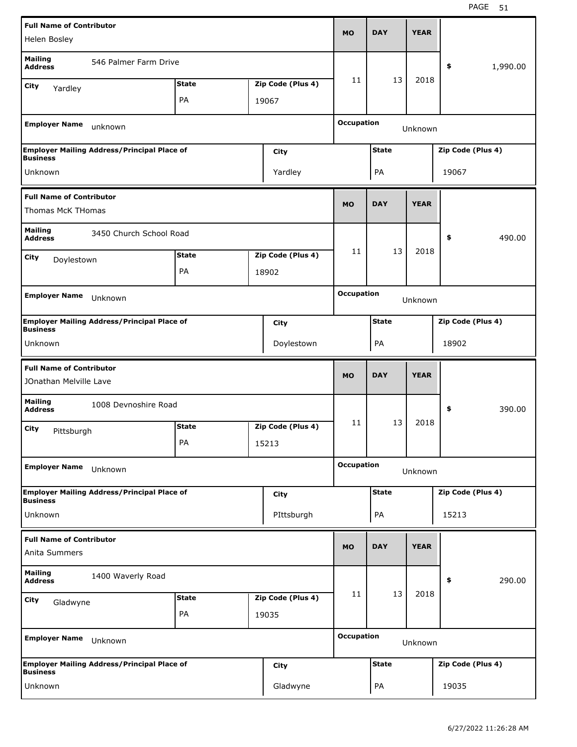| <b>Full Name of Contributor</b>                           |                                                    |              |                   |                   | <b>DAY</b>   | <b>YEAR</b> |                   |          |
|-----------------------------------------------------------|----------------------------------------------------|--------------|-------------------|-------------------|--------------|-------------|-------------------|----------|
| Helen Bosley                                              |                                                    |              |                   | <b>MO</b>         |              |             |                   |          |
| <b>Mailing</b><br><b>Address</b>                          | 546 Palmer Farm Drive                              |              |                   |                   |              |             | \$                | 1,990.00 |
| City<br>Yardley                                           |                                                    | <b>State</b> | Zip Code (Plus 4) | 11                | 13           | 2018        |                   |          |
|                                                           |                                                    | PA           | 19067             |                   |              |             |                   |          |
| <b>Employer Name</b>                                      | unknown                                            |              |                   | <b>Occupation</b> |              | Unknown     |                   |          |
| <b>Business</b>                                           | <b>Employer Mailing Address/Principal Place of</b> |              | City              |                   | <b>State</b> |             | Zip Code (Plus 4) |          |
| Unknown                                                   |                                                    |              | Yardley           |                   | PA           |             | 19067             |          |
| <b>Full Name of Contributor</b><br>Thomas McK THomas      |                                                    |              |                   | <b>MO</b>         | <b>DAY</b>   | <b>YEAR</b> |                   |          |
| <b>Mailing</b><br><b>Address</b>                          | 3450 Church School Road                            |              |                   |                   |              |             | \$                | 490.00   |
| City                                                      |                                                    | <b>State</b> | Zip Code (Plus 4) | 11                | 13           | 2018        |                   |          |
| Doylestown                                                |                                                    | PA           | 18902             |                   |              |             |                   |          |
|                                                           |                                                    |              |                   |                   |              |             |                   |          |
| <b>Employer Name</b>                                      | Unknown                                            |              |                   | <b>Occupation</b> |              | Unknown     |                   |          |
| <b>Business</b>                                           | <b>Employer Mailing Address/Principal Place of</b> |              | City              |                   | <b>State</b> |             | Zip Code (Plus 4) |          |
| Unknown                                                   |                                                    |              | Doylestown        |                   | PA           |             | 18902             |          |
|                                                           |                                                    |              |                   |                   |              |             |                   |          |
|                                                           |                                                    |              |                   |                   |              |             |                   |          |
| <b>Full Name of Contributor</b><br>JOnathan Melville Lave |                                                    |              |                   | <b>MO</b>         | <b>DAY</b>   | <b>YEAR</b> |                   |          |
| <b>Mailing</b><br><b>Address</b>                          | 1008 Devnoshire Road                               |              |                   |                   |              |             | \$                | 390.00   |
| City                                                      |                                                    | <b>State</b> | Zip Code (Plus 4) | 11                | 13           | 2018        |                   |          |
| Pittsburgh                                                |                                                    | PA           | 15213             |                   |              |             |                   |          |
| <b>Employer Name</b>                                      | Unknown                                            |              |                   | <b>Occupation</b> |              | Unknown     |                   |          |
|                                                           | <b>Employer Mailing Address/Principal Place of</b> |              | City              |                   | <b>State</b> |             | Zip Code (Plus 4) |          |
| <b>Business</b><br>Unknown                                |                                                    |              | PIttsburgh        |                   | PA           |             | 15213             |          |
| <b>Full Name of Contributor</b><br>Anita Summers          |                                                    |              |                   | <b>MO</b>         | <b>DAY</b>   | <b>YEAR</b> |                   |          |
| <b>Mailing</b><br><b>Address</b>                          | 1400 Waverly Road                                  |              |                   |                   |              |             | \$                | 290.00   |
| City                                                      |                                                    | <b>State</b> | Zip Code (Plus 4) | 11                | 13           | 2018        |                   |          |
| Gladwyne                                                  |                                                    | PA           | 19035             |                   |              |             |                   |          |
| <b>Employer Name</b>                                      | Unknown                                            |              |                   | <b>Occupation</b> |              | Unknown     |                   |          |
| <b>Business</b>                                           | <b>Employer Mailing Address/Principal Place of</b> |              | City              |                   | <b>State</b> |             | Zip Code (Plus 4) |          |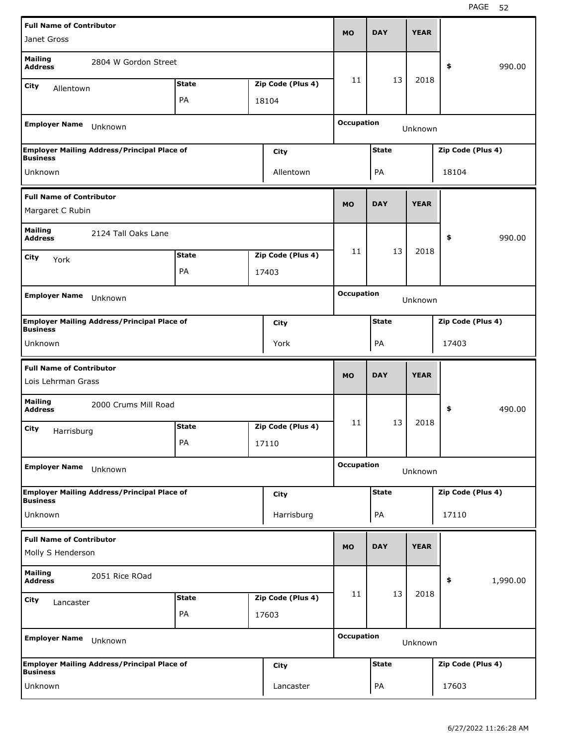| <b>Full Name of Contributor</b>                       |                                                    |              |                   |                   |              |             |                   |          |
|-------------------------------------------------------|----------------------------------------------------|--------------|-------------------|-------------------|--------------|-------------|-------------------|----------|
| Janet Gross                                           |                                                    |              |                   | <b>MO</b>         | <b>DAY</b>   | <b>YEAR</b> |                   |          |
| <b>Mailing</b><br><b>Address</b>                      | 2804 W Gordon Street                               |              |                   |                   |              |             | \$                | 990.00   |
| City<br>Allentown                                     |                                                    | <b>State</b> | Zip Code (Plus 4) | 11                | 13           | 2018        |                   |          |
|                                                       |                                                    | PA           | 18104             |                   |              |             |                   |          |
| <b>Employer Name</b>                                  | Unknown                                            |              |                   | <b>Occupation</b> |              | Unknown     |                   |          |
| <b>Business</b>                                       | <b>Employer Mailing Address/Principal Place of</b> |              | City              |                   | <b>State</b> |             | Zip Code (Plus 4) |          |
| Unknown                                               |                                                    |              | Allentown         |                   | PA           |             | 18104             |          |
| <b>Full Name of Contributor</b><br>Margaret C Rubin   |                                                    |              |                   | <b>MO</b>         | <b>DAY</b>   | <b>YEAR</b> |                   |          |
| <b>Mailing</b>                                        | 2124 Tall Oaks Lane                                |              |                   |                   |              |             |                   |          |
| <b>Address</b>                                        |                                                    |              |                   | 11                | 13           | 2018        | \$                | 990.00   |
| City<br>York                                          |                                                    | <b>State</b> | Zip Code (Plus 4) |                   |              |             |                   |          |
|                                                       |                                                    | PA           | 17403             |                   |              |             |                   |          |
| <b>Employer Name</b>                                  | Unknown                                            |              |                   | <b>Occupation</b> |              | Unknown     |                   |          |
| <b>Business</b>                                       | <b>Employer Mailing Address/Principal Place of</b> |              | City              |                   | <b>State</b> |             | Zip Code (Plus 4) |          |
| Unknown                                               |                                                    |              | York              |                   | PA           |             | 17403             |          |
|                                                       |                                                    |              |                   |                   |              |             |                   |          |
| <b>Full Name of Contributor</b><br>Lois Lehrman Grass |                                                    |              |                   | <b>MO</b>         | <b>DAY</b>   | <b>YEAR</b> |                   |          |
| <b>Mailing</b><br><b>Address</b>                      | 2000 Crums Mill Road                               |              |                   |                   |              |             | \$                | 490.00   |
| City                                                  |                                                    | <b>State</b> | Zip Code (Plus 4) | 11                | 13           | 2018        |                   |          |
| Harrisburg                                            |                                                    | PA           | 17110             |                   |              |             |                   |          |
| <b>Employer Name</b>                                  | Unknown                                            |              |                   | <b>Occupation</b> |              | Unknown     |                   |          |
|                                                       | <b>Employer Mailing Address/Principal Place of</b> |              | <b>City</b>       |                   | <b>State</b> |             | Zip Code (Plus 4) |          |
| <b>Business</b><br>Unknown                            |                                                    |              | Harrisburg        |                   | PA           |             | 17110             |          |
| <b>Full Name of Contributor</b>                       |                                                    |              |                   | <b>MO</b>         | <b>DAY</b>   | <b>YEAR</b> |                   |          |
| Molly S Henderson                                     |                                                    |              |                   |                   |              |             |                   |          |
| <b>Mailing</b><br><b>Address</b>                      | 2051 Rice ROad                                     |              |                   |                   |              |             | \$                | 1,990.00 |
| City<br>Lancaster                                     |                                                    | <b>State</b> | Zip Code (Plus 4) | 11                | 13           | 2018        |                   |          |
|                                                       |                                                    | PA           | 17603             |                   |              |             |                   |          |
| <b>Employer Name</b>                                  | Unknown                                            |              |                   | <b>Occupation</b> |              | Unknown     |                   |          |
| <b>Business</b>                                       | <b>Employer Mailing Address/Principal Place of</b> |              | <b>City</b>       |                   | <b>State</b> |             | Zip Code (Plus 4) |          |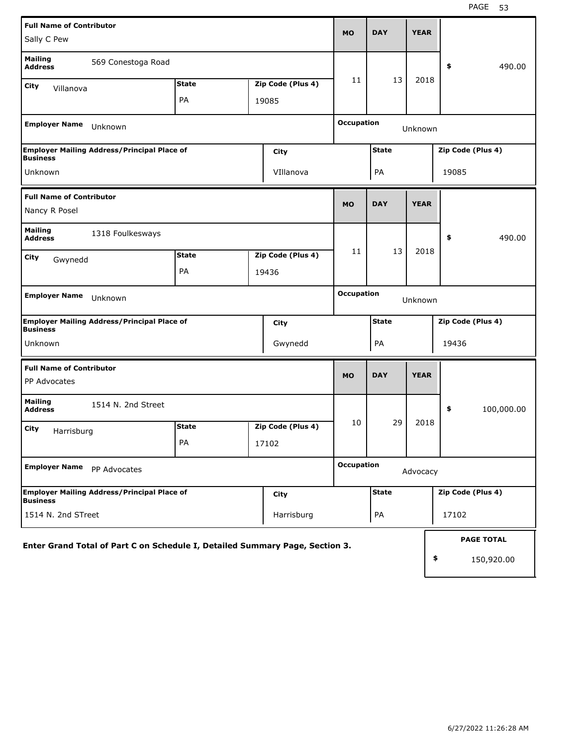| <b>Full Name of Contributor</b>                                              |              |       |                   |                   |              | <b>YEAR</b> |       |                   |
|------------------------------------------------------------------------------|--------------|-------|-------------------|-------------------|--------------|-------------|-------|-------------------|
| Sally C Pew                                                                  |              |       |                   | <b>MO</b>         | <b>DAY</b>   |             |       |                   |
| <b>Mailing</b><br>569 Conestoga Road<br><b>Address</b>                       |              |       |                   |                   |              |             | \$    | 490.00            |
| City<br>Villanova                                                            | <b>State</b> |       | Zip Code (Plus 4) | 11                | 13           | 2018        |       |                   |
|                                                                              | PA           | 19085 |                   |                   |              |             |       |                   |
| <b>Employer Name</b><br>Unknown                                              |              |       |                   | <b>Occupation</b> |              | Unknown     |       |                   |
| <b>Employer Mailing Address/Principal Place of</b><br><b>Business</b>        |              |       | City              |                   | <b>State</b> |             |       | Zip Code (Plus 4) |
| Unknown                                                                      |              |       | VIllanova         |                   | PA           |             | 19085 |                   |
| <b>Full Name of Contributor</b>                                              |              |       |                   | <b>MO</b>         | <b>DAY</b>   | <b>YEAR</b> |       |                   |
| Nancy R Posel                                                                |              |       |                   |                   |              |             |       |                   |
| <b>Mailing</b><br>1318 Foulkesways<br><b>Address</b>                         |              |       |                   |                   |              |             | \$    | 490.00            |
| City<br>Gwynedd                                                              | <b>State</b> |       | Zip Code (Plus 4) | 11                | 13           | 2018        |       |                   |
|                                                                              | PA           | 19436 |                   |                   |              |             |       |                   |
| <b>Employer Name</b><br>Unknown                                              |              |       |                   | <b>Occupation</b> |              | Unknown     |       |                   |
| <b>Employer Mailing Address/Principal Place of</b><br><b>Business</b>        |              |       | City              |                   | <b>State</b> |             |       | Zip Code (Plus 4) |
| Unknown                                                                      |              |       | Gwynedd           |                   | PA           |             | 19436 |                   |
| <b>Full Name of Contributor</b>                                              |              |       |                   | <b>MO</b>         | <b>DAY</b>   | <b>YEAR</b> |       |                   |
| PP Advocates                                                                 |              |       |                   |                   |              |             |       |                   |
| <b>Mailing</b><br>1514 N. 2nd Street<br><b>Address</b>                       |              |       |                   |                   |              |             | \$    | 100,000.00        |
| City<br>Harrisburg                                                           | <b>State</b> |       | Zip Code (Plus 4) | 10                | 29           | 2018        |       |                   |
|                                                                              | PA           | 17102 |                   |                   |              |             |       |                   |
| <b>Employer Name</b><br>PP Advocates                                         |              |       |                   | <b>Occupation</b> |              | Advocacy    |       |                   |
| <b>Employer Mailing Address/Principal Place of</b><br><b>Business</b>        |              |       | <b>City</b>       |                   | <b>State</b> |             |       | Zip Code (Plus 4) |
| 1514 N. 2nd STreet                                                           |              |       | Harrisburg        |                   | PA           |             | 17102 |                   |
| Enter Grand Total of Part C on Schedule I, Detailed Summary Page, Section 3. |              |       |                   |                   |              |             |       | <b>PAGE TOTAL</b> |
|                                                                              |              |       |                   |                   |              |             | \$    | 150,920.00        |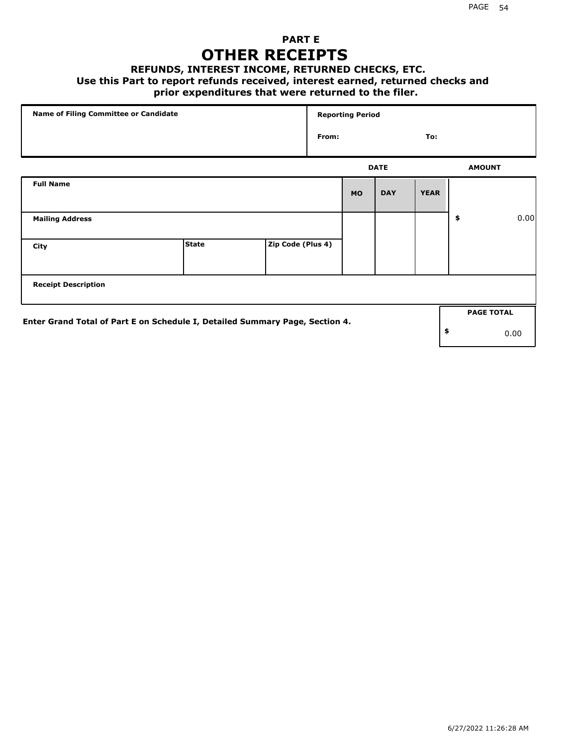### **PART E OTHER RECEIPTS**

#### **REFUNDS, INTEREST INCOME, RETURNED CHECKS, ETC.**

### **Use this Part to report refunds received, interest earned, returned checks and**

### **prior expenditures that were returned to the filer.**

| Name of Filing Committee or Candidate                                        |              |                   |       | <b>Reporting Period</b> |             |             |                   |      |
|------------------------------------------------------------------------------|--------------|-------------------|-------|-------------------------|-------------|-------------|-------------------|------|
|                                                                              |              |                   | From: |                         |             | To:         |                   |      |
|                                                                              |              |                   |       |                         | <b>DATE</b> |             | <b>AMOUNT</b>     |      |
| <b>Full Name</b>                                                             |              |                   |       | <b>MO</b>               | <b>DAY</b>  | <b>YEAR</b> |                   |      |
| <b>Mailing Address</b>                                                       |              |                   |       |                         |             |             | \$                | 0.00 |
| City                                                                         | <b>State</b> | Zip Code (Plus 4) |       |                         |             |             |                   |      |
| <b>Receipt Description</b>                                                   |              |                   |       |                         |             |             |                   |      |
| Enter Grand Total of Part E on Schedule I, Detailed Summary Page, Section 4. |              |                   |       |                         |             |             | <b>PAGE TOTAL</b> |      |
|                                                                              |              |                   |       |                         |             |             | \$                | 0.00 |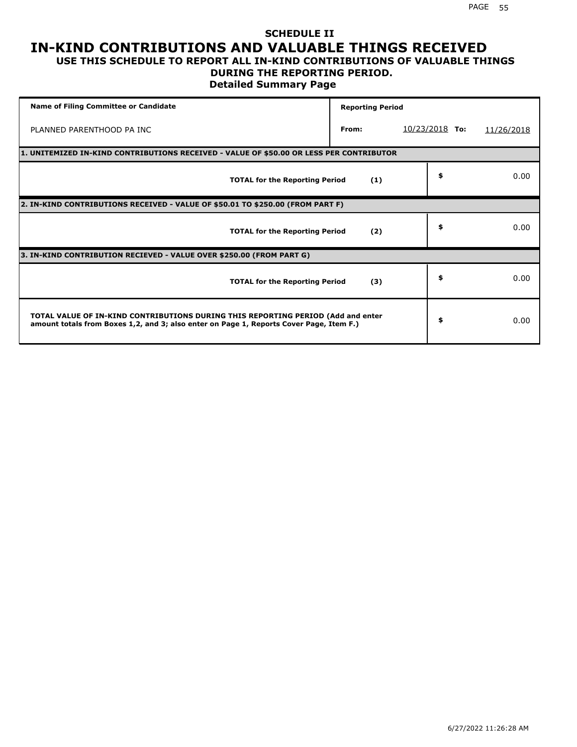### **SCHEDULE II IN-KIND CONTRIBUTIONS AND VALUABLE THINGS RECEIVED USE THIS SCHEDULE TO REPORT ALL IN-KIND CONTRIBUTIONS OF VALUABLE THINGS**

### **DURING THE REPORTING PERIOD.**

**Detailed Summary Page**

| <b>Name of Filing Committee or Candidate</b>                                                                                                                                | <b>Reporting Period</b> |                  |            |
|-----------------------------------------------------------------------------------------------------------------------------------------------------------------------------|-------------------------|------------------|------------|
| PLANNED PARENTHOOD PA INC                                                                                                                                                   | From:                   | $10/23/2018$ To: | 11/26/2018 |
| 1. UNITEMIZED IN-KIND CONTRIBUTIONS RECEIVED - VALUE OF \$50.00 OR LESS PER CONTRIBUTOR                                                                                     |                         |                  |            |
| <b>TOTAL for the Reporting Period</b>                                                                                                                                       | (1)                     | \$               | 0.00       |
| 2. IN-KIND CONTRIBUTIONS RECEIVED - VALUE OF \$50.01 TO \$250.00 (FROM PART F)                                                                                              |                         |                  |            |
| <b>TOTAL for the Reporting Period</b>                                                                                                                                       | (2)                     | \$               | 0.00       |
| 3. IN-KIND CONTRIBUTION RECIEVED - VALUE OVER \$250.00 (FROM PART G)                                                                                                        |                         |                  |            |
| <b>TOTAL for the Reporting Period</b>                                                                                                                                       | (3)                     | \$               | 0.00       |
| TOTAL VALUE OF IN-KIND CONTRIBUTIONS DURING THIS REPORTING PERIOD (Add and enter<br>amount totals from Boxes 1,2, and 3; also enter on Page 1, Reports Cover Page, Item F.) |                         | \$               | 0.00       |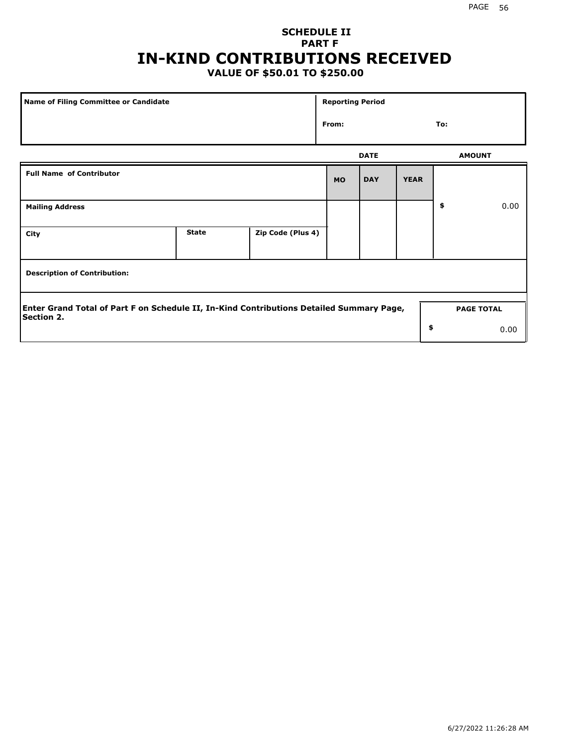# **SCHEDULE II PART F IN-KIND CONTRIBUTIONS RECEIVED**

## **VALUE OF \$50.01 TO \$250.00**

| <b>Name of Filing Committee or Candidate</b>                                                                  |              |                   | <b>Reporting Period</b> |             |             |                   |      |
|---------------------------------------------------------------------------------------------------------------|--------------|-------------------|-------------------------|-------------|-------------|-------------------|------|
|                                                                                                               |              |                   | From:                   |             |             | To:               |      |
|                                                                                                               |              |                   |                         | <b>DATE</b> |             | <b>AMOUNT</b>     |      |
| <b>Full Name of Contributor</b>                                                                               |              |                   | <b>MO</b>               | <b>DAY</b>  | <b>YEAR</b> |                   |      |
| <b>Mailing Address</b>                                                                                        |              |                   |                         |             |             | \$                | 0.00 |
| City                                                                                                          | <b>State</b> | Zip Code (Plus 4) |                         |             |             |                   |      |
| <b>Description of Contribution:</b>                                                                           |              |                   |                         |             |             |                   |      |
| Enter Grand Total of Part F on Schedule II, In-Kind Contributions Detailed Summary Page,<br><b>Section 2.</b> |              |                   |                         |             |             | <b>PAGE TOTAL</b> |      |
|                                                                                                               |              |                   |                         |             | \$          |                   | 0.00 |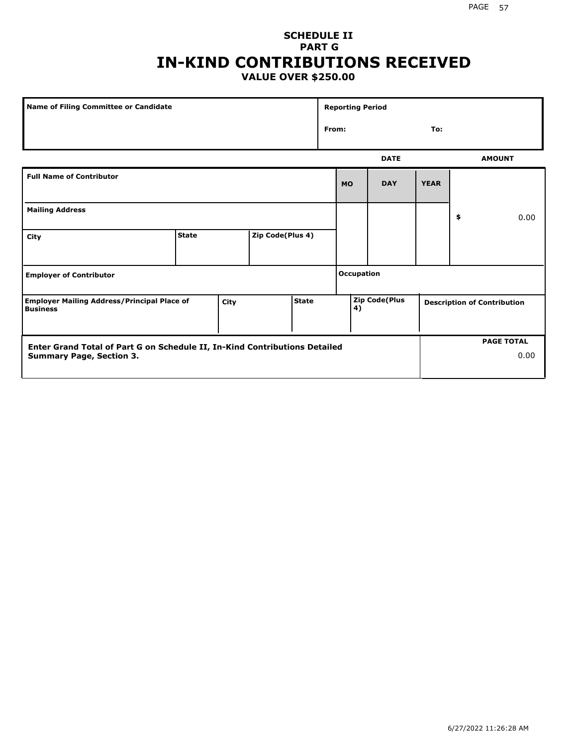### **SCHEDULE II PART G IN-KIND CONTRIBUTIONS RECEIVED VALUE OVER \$250.00**

|                                                                                                               | <b>Name of Filing Committee or Candidate</b> |      |                  |              | <b>Reporting Period</b> |                      |             |                                    |
|---------------------------------------------------------------------------------------------------------------|----------------------------------------------|------|------------------|--------------|-------------------------|----------------------|-------------|------------------------------------|
|                                                                                                               |                                              |      |                  |              | From:                   |                      | To:         |                                    |
|                                                                                                               |                                              |      |                  |              |                         | <b>DATE</b>          |             | <b>AMOUNT</b>                      |
| <b>Full Name of Contributor</b>                                                                               |                                              |      |                  |              | <b>MO</b>               | <b>DAY</b>           | <b>YEAR</b> |                                    |
| <b>Mailing Address</b>                                                                                        |                                              |      |                  |              |                         |                      |             | \$<br>0.00                         |
| City                                                                                                          | <b>State</b>                                 |      | Zip Code(Plus 4) |              |                         |                      |             |                                    |
| <b>Employer of Contributor</b>                                                                                |                                              |      |                  |              | <b>Occupation</b>       |                      |             |                                    |
| <b>Employer Mailing Address/Principal Place of</b><br><b>Business</b>                                         |                                              | City |                  | <b>State</b> | 4)                      | <b>Zip Code(Plus</b> |             | <b>Description of Contribution</b> |
| Enter Grand Total of Part G on Schedule II, In-Kind Contributions Detailed<br><b>Summary Page, Section 3.</b> |                                              |      |                  |              |                         |                      |             | <b>PAGE TOTAL</b><br>0.00          |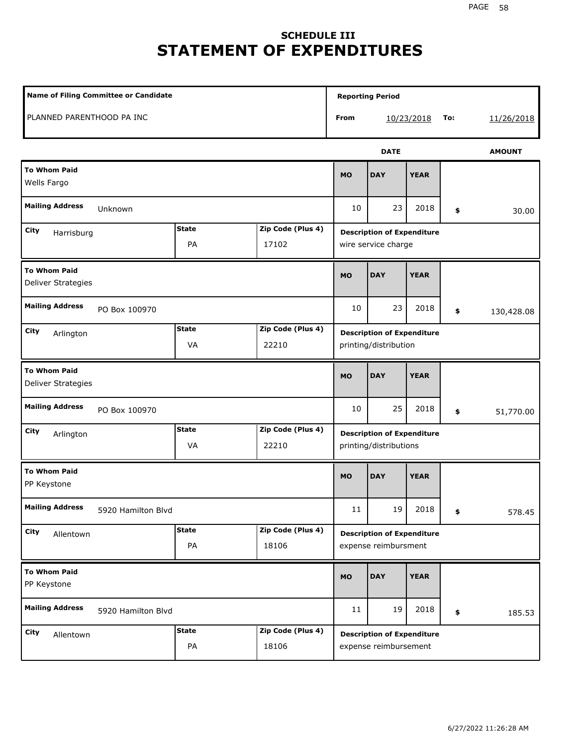# **SCHEDULE III STATEMENT OF EXPENDITURES**

| <b>Name of Filing Committee or Candidate</b> |                    |                            |           | <b>Reporting Period</b>                                     |             |     |               |
|----------------------------------------------|--------------------|----------------------------|-----------|-------------------------------------------------------------|-------------|-----|---------------|
| PLANNED PARENTHOOD PA INC                    |                    |                            | From      |                                                             | 10/23/2018  | To: | 11/26/2018    |
|                                              |                    |                            |           | <b>DATE</b>                                                 |             |     | <b>AMOUNT</b> |
| <b>To Whom Paid</b><br>Wells Fargo           |                    |                            | <b>MO</b> | <b>DAY</b>                                                  | <b>YEAR</b> |     |               |
| <b>Mailing Address</b><br>Unknown            |                    |                            | 10        | 23                                                          | 2018        | \$  | 30.00         |
| City<br>Harrisburg                           | <b>State</b><br>PA | Zip Code (Plus 4)<br>17102 |           | <b>Description of Expenditure</b><br>wire service charge    |             |     |               |
| <b>To Whom Paid</b><br>Deliver Strategies    |                    |                            | <b>MO</b> | <b>DAY</b>                                                  | <b>YEAR</b> |     |               |
| <b>Mailing Address</b><br>PO Box 100970      |                    |                            | 10        | 23                                                          | 2018        | \$  | 130,428.08    |
| City<br>Arlington                            | <b>State</b><br>VA | Zip Code (Plus 4)<br>22210 |           | <b>Description of Expenditure</b><br>printing/distribution  |             |     |               |
| <b>To Whom Paid</b><br>Deliver Strategies    |                    |                            | <b>MO</b> | <b>DAY</b>                                                  | <b>YEAR</b> |     |               |
| <b>Mailing Address</b><br>PO Box 100970      |                    |                            | 10        | 25                                                          | 2018        | \$  | 51,770.00     |
| City<br>Arlington                            | <b>State</b><br>VA | Zip Code (Plus 4)<br>22210 |           | <b>Description of Expenditure</b><br>printing/distributions |             |     |               |
| <b>To Whom Paid</b><br>PP Keystone           |                    |                            | <b>MO</b> | <b>DAY</b>                                                  | <b>YEAR</b> |     |               |
| <b>Mailing Address</b><br>5920 Hamilton Blvd |                    |                            | $11\,$    | 19                                                          | 2018        | \$  | 578.45        |
| City<br>Allentown                            | <b>State</b><br>PA | Zip Code (Plus 4)<br>18106 |           | <b>Description of Expenditure</b><br>expense reimbursment   |             |     |               |
| <b>To Whom Paid</b><br>PP Keystone           |                    |                            | <b>MO</b> | <b>DAY</b>                                                  | <b>YEAR</b> |     |               |
| <b>Mailing Address</b><br>5920 Hamilton Blvd |                    |                            | 11        | 19                                                          | 2018        | \$  | 185.53        |
| City<br>Allentown                            | <b>State</b><br>PA | Zip Code (Plus 4)<br>18106 |           | <b>Description of Expenditure</b><br>expense reimbursement  |             |     |               |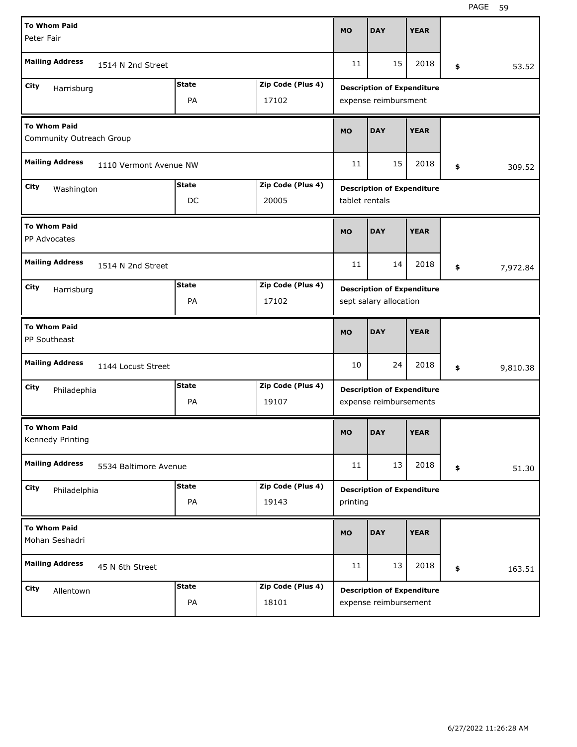| <b>To Whom Paid</b><br>Peter Fair               |                        |              |                   | <b>MO</b>      | <b>DAY</b>                                                  | <b>YEAR</b> |                |
|-------------------------------------------------|------------------------|--------------|-------------------|----------------|-------------------------------------------------------------|-------------|----------------|
| <b>Mailing Address</b>                          | 1514 N 2nd Street      |              |                   | 11             | 15                                                          | 2018        | \$<br>53.52    |
| City                                            |                        | <b>State</b> | Zip Code (Plus 4) |                | <b>Description of Expenditure</b>                           |             |                |
| Harrisburg                                      |                        | PA           | 17102             |                | expense reimbursment                                        |             |                |
| <b>To Whom Paid</b><br>Community Outreach Group |                        |              |                   | <b>MO</b>      | <b>DAY</b>                                                  | <b>YEAR</b> |                |
| <b>Mailing Address</b>                          | 1110 Vermont Avenue NW |              |                   | 11             | 15                                                          | 2018        | \$<br>309.52   |
| City<br>Washington                              |                        | <b>State</b> | Zip Code (Plus 4) |                | <b>Description of Expenditure</b>                           |             |                |
|                                                 |                        | DC           | 20005             | tablet rentals |                                                             |             |                |
| <b>To Whom Paid</b><br>PP Advocates             |                        |              |                   | <b>MO</b>      | <b>DAY</b>                                                  | <b>YEAR</b> |                |
| <b>Mailing Address</b>                          | 1514 N 2nd Street      |              |                   | 11             | 14                                                          | 2018        | \$<br>7,972.84 |
| City<br>Harrisburg                              |                        | <b>State</b> | Zip Code (Plus 4) |                | <b>Description of Expenditure</b>                           |             |                |
|                                                 |                        | PA           | 17102             |                | sept salary allocation                                      |             |                |
| <b>To Whom Paid</b>                             |                        |              |                   |                |                                                             |             |                |
| PP Southeast                                    |                        |              |                   | <b>MO</b>      | <b>DAY</b>                                                  | <b>YEAR</b> |                |
| <b>Mailing Address</b>                          | 1144 Locust Street     |              |                   | 10             | 24                                                          | 2018        | \$<br>9,810.38 |
| City                                            |                        | <b>State</b> | Zip Code (Plus 4) |                |                                                             |             |                |
| Philadephia                                     |                        | PA           | 19107             |                | <b>Description of Expenditure</b><br>expense reimbursements |             |                |
| <b>To Whom Paid</b><br>Kennedy Printing         |                        |              |                   | MO             | <b>DAY</b>                                                  | <b>YEAR</b> |                |
| <b>Mailing Address</b>                          | 5534 Baltimore Avenue  |              |                   | 11             | 13                                                          | 2018        | \$<br>51.30    |
| City                                            |                        | <b>State</b> | Zip Code (Plus 4) |                | <b>Description of Expenditure</b>                           |             |                |
| Philadelphia                                    |                        | PA           | 19143             | printing       |                                                             |             |                |
| <b>To Whom Paid</b><br>Mohan Seshadri           |                        |              |                   | <b>MO</b>      | <b>DAY</b>                                                  | <b>YEAR</b> |                |
| <b>Mailing Address</b>                          | 45 N 6th Street        |              |                   | 11             | 13                                                          | 2018        | \$<br>163.51   |
| City<br>Allentown                               |                        | <b>State</b> | Zip Code (Plus 4) |                | <b>Description of Expenditure</b>                           |             |                |
|                                                 |                        | PA           | 18101             |                | expense reimbursement                                       |             |                |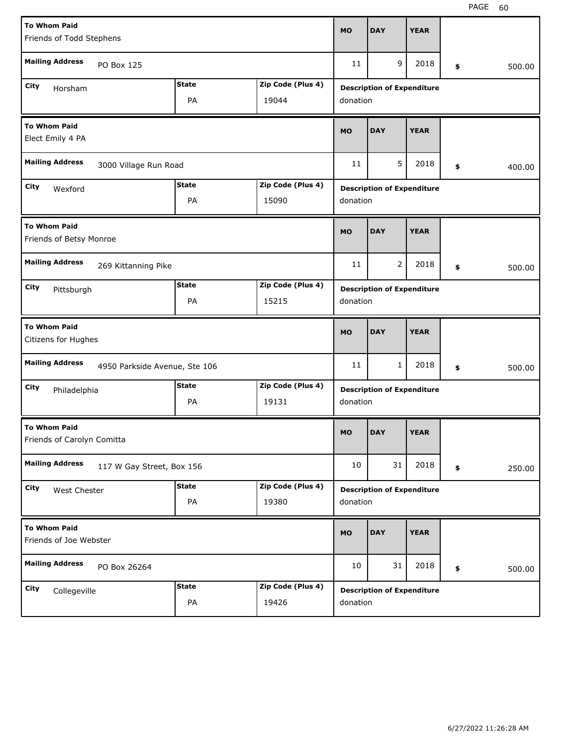| <b>To Whom Paid</b>                                     |              |                   | <b>MO</b> | <b>DAY</b>                        | <b>YEAR</b> |              |
|---------------------------------------------------------|--------------|-------------------|-----------|-----------------------------------|-------------|--------------|
| Friends of Todd Stephens                                |              |                   |           |                                   |             |              |
| <b>Mailing Address</b><br>PO Box 125                    |              |                   | 11        | 9                                 | 2018        | \$<br>500.00 |
| City<br>Horsham                                         | <b>State</b> | Zip Code (Plus 4) |           | <b>Description of Expenditure</b> |             |              |
|                                                         | PA           | 19044             | donation  |                                   |             |              |
| <b>To Whom Paid</b><br>Elect Emily 4 PA                 |              |                   | <b>MO</b> | <b>DAY</b>                        | <b>YEAR</b> |              |
| <b>Mailing Address</b><br>3000 Village Run Road         |              |                   | 11        | 5                                 | 2018        | \$<br>400.00 |
| City<br>Wexford                                         | <b>State</b> | Zip Code (Plus 4) |           | <b>Description of Expenditure</b> |             |              |
|                                                         | PA           | 15090             | donation  |                                   |             |              |
| <b>To Whom Paid</b><br>Friends of Betsy Monroe          |              |                   | <b>MO</b> | <b>DAY</b>                        | <b>YEAR</b> |              |
| <b>Mailing Address</b><br>269 Kittanning Pike           |              |                   | 11        | $\overline{2}$                    | 2018        | \$<br>500.00 |
| City<br>Pittsburgh                                      | <b>State</b> | Zip Code (Plus 4) |           | <b>Description of Expenditure</b> |             |              |
|                                                         | PA           | 15215             | donation  |                                   |             |              |
|                                                         |              |                   |           |                                   |             |              |
| <b>To Whom Paid</b><br>Citizens for Hughes              |              |                   | <b>MO</b> | <b>DAY</b>                        | <b>YEAR</b> |              |
| <b>Mailing Address</b><br>4950 Parkside Avenue, Ste 106 |              |                   | 11        | 1                                 | 2018        | \$<br>500.00 |
| City<br>Philadelphia                                    | <b>State</b> | Zip Code (Plus 4) |           | <b>Description of Expenditure</b> |             |              |
|                                                         | PA           | 19131             | donation  |                                   |             |              |
| <b>To Whom Paid</b><br>Friends of Carolyn Comitta       |              |                   | <b>MO</b> | <b>DAY</b>                        | <b>YEAR</b> |              |
| <b>Mailing Address</b><br>117 W Gay Street, Box 156     |              |                   | 10        | 31                                | 2018        | \$<br>250.00 |
| City<br>West Chester                                    | <b>State</b> | Zip Code (Plus 4) |           | <b>Description of Expenditure</b> |             |              |
|                                                         | PA           | 19380             | donation  |                                   |             |              |
| <b>To Whom Paid</b><br>Friends of Joe Webster           |              |                   | <b>MO</b> | <b>DAY</b>                        | <b>YEAR</b> |              |
| <b>Mailing Address</b><br>PO Box 26264                  |              |                   | 10        | 31                                | 2018        | \$<br>500.00 |
| <b>City</b><br>Collegeville                             | <b>State</b> | Zip Code (Plus 4) |           | <b>Description of Expenditure</b> |             |              |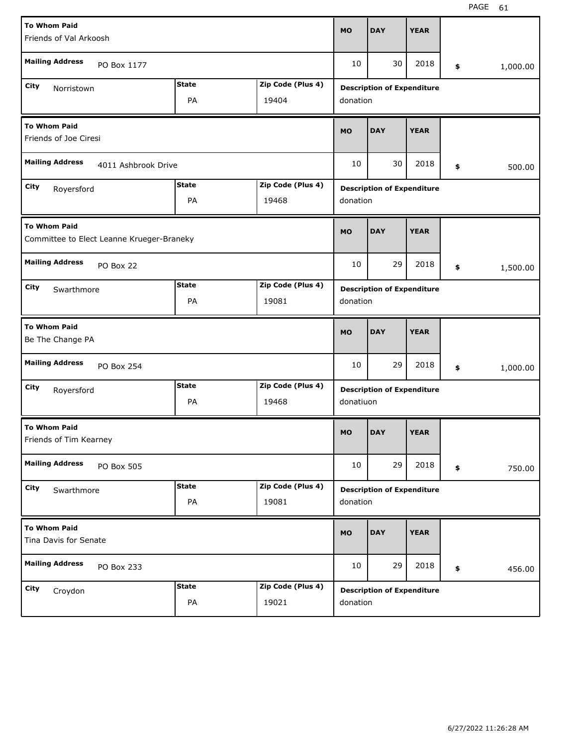| <b>To Whom Paid</b>                                              |            |                   |                                                        |                                   |                                   |             |    |          |
|------------------------------------------------------------------|------------|-------------------|--------------------------------------------------------|-----------------------------------|-----------------------------------|-------------|----|----------|
| Friends of Val Arkoosh                                           |            |                   |                                                        | <b>MO</b>                         | <b>DAY</b>                        | <b>YEAR</b> |    |          |
| <b>Mailing Address</b><br>PO Box 1177                            |            |                   |                                                        | 10                                | 30                                | 2018        | \$ | 1,000.00 |
| City<br>Norristown                                               |            | <b>State</b>      | Zip Code (Plus 4)<br><b>Description of Expenditure</b> |                                   |                                   |             |    |          |
|                                                                  |            | PA                | 19404                                                  | donation                          |                                   |             |    |          |
| <b>To Whom Paid</b><br>Friends of Joe Ciresi                     |            |                   |                                                        | <b>MO</b>                         | <b>DAY</b>                        | <b>YEAR</b> |    |          |
| <b>Mailing Address</b><br>4011 Ashbrook Drive                    |            |                   |                                                        | 10                                | 30                                | 2018        | \$ | 500.00   |
| City<br>Royersford                                               |            | Zip Code (Plus 4) |                                                        | <b>Description of Expenditure</b> |                                   |             |    |          |
|                                                                  |            | PA                | 19468                                                  |                                   | donation                          |             |    |          |
| <b>To Whom Paid</b><br>Committee to Elect Leanne Krueger-Braneky |            |                   |                                                        | <b>MO</b>                         | <b>DAY</b>                        | <b>YEAR</b> |    |          |
| <b>Mailing Address</b><br>PO Box 22                              |            |                   |                                                        | 10                                | 29                                | 2018        | \$ | 1,500.00 |
| City<br>Swarthmore                                               |            | Zip Code (Plus 4) |                                                        | <b>Description of Expenditure</b> |                                   |             |    |          |
|                                                                  |            | PA                | 19081                                                  | donation                          |                                   |             |    |          |
| <b>To Whom Paid</b><br>Be The Change PA                          |            |                   |                                                        |                                   |                                   |             |    |          |
|                                                                  |            |                   |                                                        | <b>MO</b>                         | <b>DAY</b>                        | <b>YEAR</b> |    |          |
| <b>Mailing Address</b>                                           | PO Box 254 |                   |                                                        | 10                                | 29                                | 2018        | \$ | 1,000.00 |
| City<br>Royersford                                               |            | <b>State</b>      | Zip Code (Plus 4)                                      |                                   | <b>Description of Expenditure</b> |             |    |          |
|                                                                  |            | PA                | 19468                                                  | donatiuon                         |                                   |             |    |          |
| <b>To Whom Paid</b><br>Friends of Tim Kearney                    |            |                   |                                                        | <b>MO</b>                         | <b>DAY</b>                        | <b>YEAR</b> |    |          |
| <b>Mailing Address</b>                                           | PO Box 505 |                   |                                                        | 10                                | 29                                | 2018        | \$ | 750.00   |
| City<br>Swarthmore                                               |            | <b>State</b>      | Zip Code (Plus 4)                                      |                                   | <b>Description of Expenditure</b> |             |    |          |
|                                                                  |            | PA                | 19081                                                  | donation                          |                                   |             |    |          |
| <b>To Whom Paid</b><br>Tina Davis for Senate                     |            |                   |                                                        | <b>MO</b>                         | <b>DAY</b>                        | <b>YEAR</b> |    |          |
| <b>Mailing Address</b>                                           | PO Box 233 |                   |                                                        | 10                                | 29                                | 2018        | \$ | 456.00   |
| City<br>Croydon                                                  |            | <b>State</b>      | Zip Code (Plus 4)                                      |                                   | <b>Description of Expenditure</b> |             |    |          |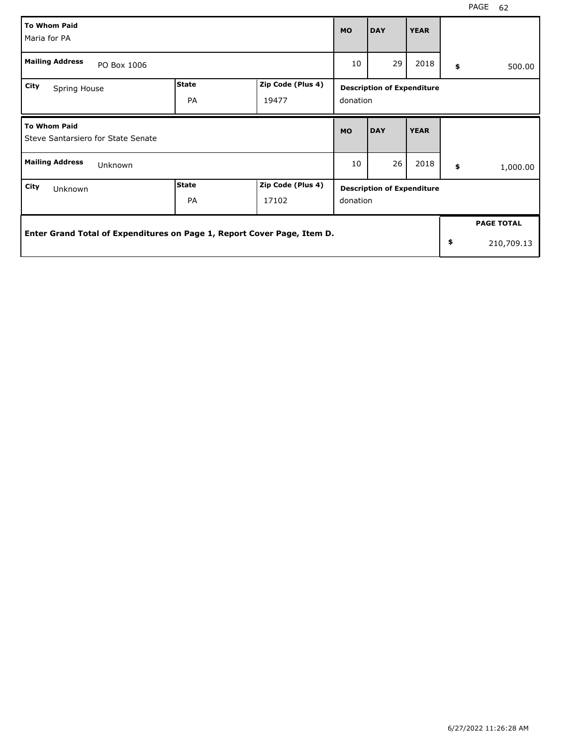| <b>To Whom Paid</b><br>Maria for PA                                     |                    |                            |                                               | <b>DAY</b> | <b>YEAR</b> |    |                   |
|-------------------------------------------------------------------------|--------------------|----------------------------|-----------------------------------------------|------------|-------------|----|-------------------|
| <b>Mailing Address</b><br>PO Box 1006                                   |                    |                            |                                               | 29         | 2018        | \$ | 500.00            |
| City<br>Spring House                                                    | <b>State</b><br>PA | Zip Code (Plus 4)<br>19477 | <b>Description of Expenditure</b><br>donation |            |             |    |                   |
| <b>To Whom Paid</b><br>Steve Santarsiero for State Senate               |                    |                            |                                               | <b>DAY</b> | <b>YEAR</b> |    |                   |
| <b>Mailing Address</b><br>Unknown                                       |                    |                            |                                               | 26         | 2018        | \$ | 1,000.00          |
| City<br>Unknown                                                         | State<br><b>PA</b> | Zip Code (Plus 4)<br>17102 | <b>Description of Expenditure</b><br>donation |            |             |    |                   |
|                                                                         |                    |                            |                                               |            |             |    | <b>PAGE TOTAL</b> |
| Enter Grand Total of Expenditures on Page 1, Report Cover Page, Item D. |                    |                            |                                               |            |             |    | 210,709.13        |